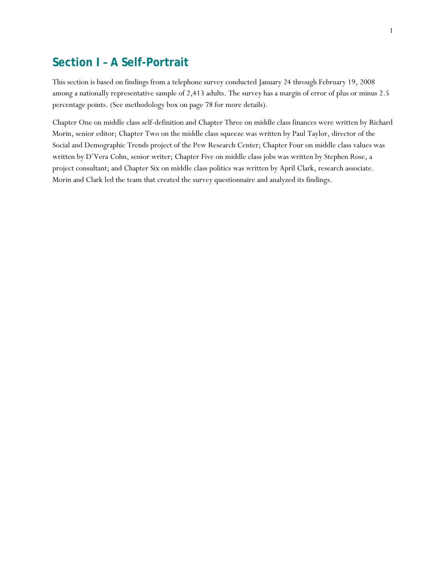# **Section I – A Self-Portrait**

This section is based on findings from a telephone survey conducted January 24 through February 19, 2008 among a nationally representative sample of 2,413 adults. The survey has a margin of error of plus or minus 2.5 percentage points. (See methodology box on page 78 for more details).

Chapter One on middle class self-definition and Chapter Three on middle class finances were written by Richard Morin, senior editor; Chapter Two on the middle class squeeze was written by Paul Taylor, director of the Social and Demographic Trends project of the Pew Research Center; Chapter Four on middle class values was written by D'Vera Cohn, senior writer; Chapter Five on middle class jobs was written by Stephen Rose, a project consultant; and Chapter Six on middle class politics was written by April Clark, research associate. Morin and Clark led the team that created the survey questionnaire and analyzed its findings.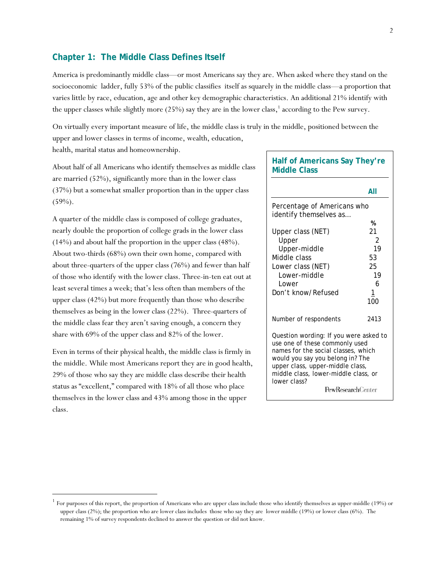## **Chapter 1: The Middle Class Defines Itself**

America is predominantly middle class—or most Americans say they are. When asked where they stand on the socioeconomic ladder, fully 53% of the public classifies itself as squarely in the middle class—a proportion that varies little by race, education, age and other key demographic characteristics. An additional 21% identify with the upper classes while slightly more (25%) say they are in the lower class,<sup>1</sup> according to the Pew survey.

On virtually every important measure of life, the middle class is truly in the middle, positioned between the upper and lower classes in terms of income, wealth, education, health, marital status and homeownership.

About half of all Americans who identify themselves as middle class are married (52%), significantly more than in the lower class (37%) but a somewhat smaller proportion than in the upper class  $(59\%)$ .

A quarter of the middle class is composed of college graduates, nearly double the proportion of college grads in the lower class (14%) and about half the proportion in the upper class (48%). About two-thirds (68%) own their own home, compared with about three-quarters of the upper class (76%) and fewer than half of those who identify with the lower class. Three-in-ten eat out at least several times a week; that's less often than members of the upper class (42%) but more frequently than those who describe themselves as being in the lower class (22%). Three-quarters of the middle class fear they aren't saving enough, a concern they share with 69% of the upper class and 82% of the lower.

Even in terms of their physical health, the middle class is firmly in the middle. While most Americans report they are in good health, 29% of those who say they are middle class describe their health status as "excellent," compared with 18% of all those who place themselves in the lower class and 43% among those in the upper class.

l

## **Half of Americans Say They're Middle Class**

|                                                                          | All       |
|--------------------------------------------------------------------------|-----------|
| Percentage of Americans who<br>identify themselves as                    |           |
|                                                                          | %         |
| Upper class (NET)                                                        | 21        |
| Upper                                                                    | 2         |
| Upper-middle                                                             | 19        |
| Middle class                                                             | 53        |
| Lower class (NET)                                                        | 25        |
| Lower-middle                                                             | 19        |
| Lower                                                                    | 6         |
| Don't know/Refused                                                       | <u> 1</u> |
|                                                                          | 100       |
| Number of respondents                                                    | 2413      |
| Question wording: If you were asked to<br>use one of these commonly used |           |
| names for the social classes, which                                      |           |
| would you say you belong in? The                                         |           |
| upper class, upper-middle class,                                         |           |
| middle class, lower-middle class, or<br>lower class?                     |           |
| <b>PewResearch</b> Center                                                |           |

<sup>1</sup> For purposes of this report, the proportion of Americans who are upper class include those who identify themselves as upper-middle (19%) or upper class (2%); the proportion who are lower class includes those who say they are lower middle (19%) or lower class (6%). The remaining 1% of survey respondents declined to answer the question or did not know.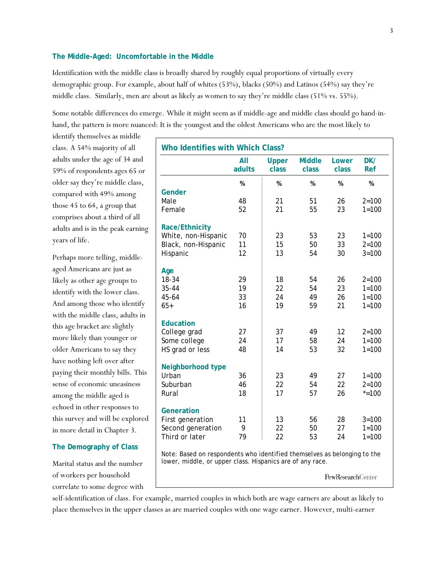### **The Middle-Aged: Uncomfortable in the Middle**

Identification with the middle class is broadly shared by roughly equal proportions of virtually every demographic group. For example, about half of whites (53%), blacks (50%) and Latinos (54%) say they're middle class. Similarly, men are about as likely as women to say they're middle class (51% vs. 55%).

Some notable differences do emerge. While it might seem as if middle-age and middle class should go hand-inhand, the pattern is more nuanced: It is the youngest and the oldest Americans who are the most likely to

identify themselves as middle class. A 54% majority of all adults under the age of 34 and 59% of respondents ages 65 or older say they're middle class, compared with 49% among those 45 to 64, a group that comprises about a third of all adults and is in the peak earning years of life.

Perhaps more telling, middleaged Americans are just as likely as other age groups to identify with the lower class. And among those who identify with the middle class, adults in this age bracket are slightly more likely than younger or older Americans to say they have nothing left over after paying their monthly bills. This sense of economic uneasiness among the middle aged is echoed in other responses to this survey and will be explored in more detail in Chapter 3.

#### **The Demography of Class**

Marital status and the number of workers per household correlate to some degree with

|                       | All    | <b>Upper</b> | <b>Middle</b> | Lower | DK/       |
|-----------------------|--------|--------------|---------------|-------|-----------|
|                       | adults | class        | class         | class | Ref       |
|                       | %      | %            | %             | %     | %         |
| Gender                |        |              |               |       |           |
| Male                  | 48     | 21           | 51            | 26    | $2 = 100$ |
| Female                | 52     | 21           | 55            | 23    | $1 = 100$ |
| <b>Race/Ethnicity</b> |        |              |               |       |           |
| White, non-Hispanic   | 70     | 23           | 53            | 23    | $1 = 100$ |
| Black, non-Hispanic   | 11     | 15           | 50            | 33    | $2 = 100$ |
| Hispanic              | 12     | 13           | 54            | 30    | $3 = 100$ |
| Age                   |        |              |               |       |           |
| 18-34                 | 29     | 18           | 54            | 26    | $2 = 100$ |
| $35 - 44$             | 19     | 22           | 54            | 23    | $1 = 100$ |
| 45-64                 | 33     | 24           | 49            | 26    | $1 = 100$ |
| $65+$                 | 16     | 19           | 59            | 21    | $1 = 100$ |
| <b>Education</b>      |        |              |               |       |           |
| College grad          | 27     | 37           | 49            | 12    | $2 = 100$ |
| Some college          | 24     | 17           | 58            | 24    | $1 = 100$ |
| HS grad or less       | 48     | 14           | 53            | 32    | $1 = 100$ |
| Neighborhood type     |        |              |               |       |           |
| Urban                 | 36     | 23           | 49            | 27    | $1 = 100$ |
| Suburban              | 46     | 22           | 54            | 22    | $2 = 100$ |
| Rural                 | 18     | 17           | 57            | 26    | $* = 100$ |
| Generation            |        |              |               |       |           |
| First generation      | 11     | 13           | 56            | 28    | $3 = 100$ |
| Second generation     | 9      | 22           | 50            | 27    | $1 = 100$ |
| Third or later        | 79     | 22           | 53            | 24    | $1 = 100$ |

Note: Based on respondents who identified themselves as belonging to the lower, middle, or upper class. Hispanics are of any race.

**PewResearchCenter** 

self-identification of class. For example, married couples in which both are wage earners are about as likely to place themselves in the upper classes as are married couples with one wage earner. However, multi-earner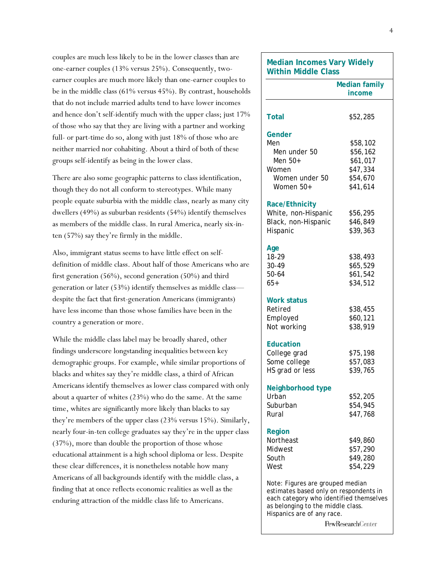couples are much less likely to be in the lower classes than are one-earner couples (13% versus 25%). Consequently, twoearner couples are much more likely than one-earner couples to be in the middle class (61% versus 45%). By contrast, households that do not include married adults tend to have lower incomes and hence don't self-identify much with the upper class; just 17% of those who say that they are living with a partner and working full- or part-time do so, along with just 18% of those who are neither married nor cohabiting. About a third of both of these groups self-identify as being in the lower class.

There are also some geographic patterns to class identification, though they do not all conform to stereotypes. While many people equate suburbia with the middle class, nearly as many city dwellers (49%) as suburban residents (54%) identify themselves as members of the middle class. In rural America, nearly six-inten (57%) say they're firmly in the middle.

Also, immigrant status seems to have little effect on selfdefinition of middle class. About half of those Americans who are first generation (56%), second generation (50%) and third generation or later (53%) identify themselves as middle class despite the fact that first-generation Americans (immigrants) have less income than those whose families have been in the country a generation or more.

While the middle class label may be broadly shared, other findings underscore longstanding inequalities between key demographic groups. For example, while similar proportions of blacks and whites say they're middle class, a third of African Americans identify themselves as lower class compared with only about a quarter of whites (23%) who do the same. At the same time, whites are significantly more likely than blacks to say they're members of the upper class (23% versus 15%). Similarly, nearly four-in-ten college graduates say they're in the upper class (37%), more than double the proportion of those whose educational attainment is a high school diploma or less. Despite these clear differences, it is nonetheless notable how many Americans of all backgrounds identify with the middle class, a finding that at once reflects economic realities as well as the enduring attraction of the middle class life to Americans.

# **Median Incomes Vary Widely Within Middle Class Median family income Total** \$52,285 **Gender** Men \$58,102 Men under 50 \$56,162 Men 50+ \$61,017 Women \$47,334 Women under 50 \$54,670 Women 50+ \$41,614 **Race/Ethnicity**  White, non-Hispanic \$56,295 Black, non-Hispanic \$46,849 Hispanic \$39,363 **Age**  18-29 \$38,493 30-49 \$65,529 50-64 \$61,542 65+ \$34,512 **Work status**  Retired \$38,455 Employed \$60,121 Not working  $$38,919$ **Education**  College grad \$75,198 Some college  $$57,083$ HS grad or less \$39,765 **Neighborhood type**  Urban \$52,205 Suburban \$54,945 Rural \$47,768 **Region**  Northeast \$49,860 Midwest \$57,290 South \$49,280  $West$   $$54,229$ Note: Figures are grouped median estimates based only on respondents in each category who identified themselves as belonging to the middle class. Hispanics are of any race.

PewResearchCenter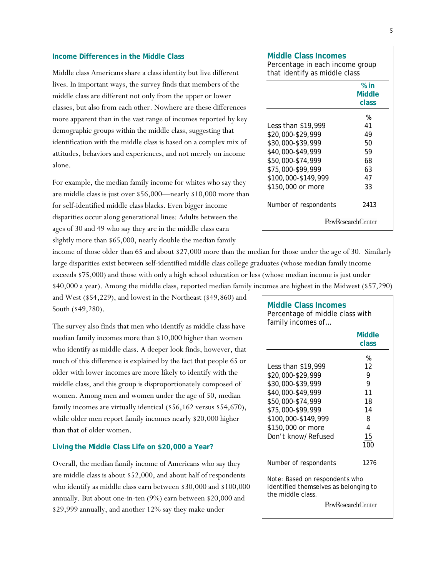#### **Income Differences in the Middle Class**

Middle class Americans share a class identity but live different lives. In important ways, the survey finds that members of the middle class are different not only from the upper or lower classes, but also from each other. Nowhere are these differences more apparent than in the vast range of incomes reported by key demographic groups within the middle class, suggesting that identification with the middle class is based on a complex mix of attitudes, behaviors and experiences, and not merely on income alone.

For example, the median family income for whites who say they are middle class is just over \$56,000—nearly \$10,000 more than for self-identified middle class blacks. Even bigger income disparities occur along generational lines: Adults between the ages of 30 and 49 who say they are in the middle class earn slightly more than \$65,000, nearly double the median family

income of those older than 65 and about \$27,000 more than the median for those under the age of 30. Similarly large disparities exist between self-identified middle class college graduates (whose median family income exceeds \$75,000) and those with only a high school education or less (whose median income is just under \$40,000 a year). Among the middle class, reported median family incomes are highest in the Midwest (\$57,290)

and West (\$54,229), and lowest in the Northeast (\$49,860) and South (\$49,280).

The survey also finds that men who identify as middle class have median family incomes more than \$10,000 higher than women who identify as middle class. A deeper look finds, however, that much of this difference is explained by the fact that people 65 or older with lower incomes are more likely to identify with the middle class, and this group is disproportionately composed of women. Among men and women under the age of 50, median family incomes are virtually identical (\$56,162 versus \$54,670), while older men report family incomes nearly \$20,000 higher than that of older women.

#### **Living the Middle Class Life on \$20,000 a Year?**

Overall, the median family income of Americans who say they are middle class is about \$52,000, and about half of respondents who identify as middle class earn between \$30,000 and \$100,000 annually. But about one-in-ten (9%) earn between \$20,000 and \$29,999 annually, and another 12% say they make under

## Percentage in each income group that identify as middle class  **% in Middle class**  — *материал в област в област в област в* об Less than \$19,999 41 \$20,000-\$29,999 49 \$30,000-\$39,999 50 \$40,000-\$49,999 59 \$50,000-\$74,999 68

\$75,000-\$99,999 63

**Middle Class Incomes** 

\$100,000-\$149,999 47 \$150,000 or more 33 Number of respondents 2413 PewResearchCenter

| <b>Middle Class Incomes</b><br>Percentage of middle class with<br>family incomes of                                                                                                           |                                                            |
|-----------------------------------------------------------------------------------------------------------------------------------------------------------------------------------------------|------------------------------------------------------------|
|                                                                                                                                                                                               | <b>Middle</b><br>class                                     |
| Less than \$19,999<br>\$20,000-\$29,999<br>\$30,000-\$39,999<br>\$40,000-\$49,999<br>\$50,000-\$74,999<br>\$75,000-\$99,999<br>\$100,000-\$149,999<br>\$150,000 or more<br>Don't know/Refused | %<br>12<br>9<br>9<br>11<br>18<br>14<br>8<br>4<br>15<br>100 |
| Number of respondents                                                                                                                                                                         | 1276                                                       |
| Note: Based on respondents who<br>identified themselves as belonging to<br>the middle class.                                                                                                  | <b>PewResearchCenter</b>                                   |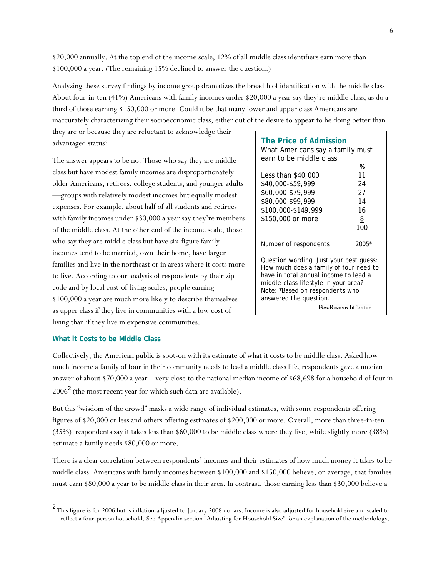\$20,000 annually. At the top end of the income scale, 12% of all middle class identifiers earn more than \$100,000 a year. (The remaining 15% declined to answer the question.)

Analyzing these survey findings by income group dramatizes the breadth of identification with the middle class. About four-in-ten (41%) Americans with family incomes under \$20,000 a year say they're middle class, as do a third of those earning \$150,000 or more. Could it be that many lower and upper class Americans are inaccurately characterizing their socioeconomic class, either out of the desire to appear to be doing better than

they are or because they are reluctant to acknowledge their advantaged status?

The answer appears to be no. Those who say they are middle class but have modest family incomes are disproportionately older Americans, retirees, college students, and younger adults —groups with relatively modest incomes but equally modest expenses. For example, about half of all students and retirees with family incomes under \$30,000 a year say they're members of the middle class. At the other end of the income scale, those who say they are middle class but have six-figure family incomes tend to be married, own their home, have larger families and live in the northeast or in areas where it costs more to live. According to our analysis of respondents by their zip code and by local cost-of-living scales, people earning \$100,000 a year are much more likely to describe themselves as upper class if they live in communities with a low cost of living than if they live in expensive communities.

| The Price of Admission<br>What Americans say a family must<br>earn to be middle class                                                                                                                                           |                   |
|---------------------------------------------------------------------------------------------------------------------------------------------------------------------------------------------------------------------------------|-------------------|
|                                                                                                                                                                                                                                 | %                 |
| Less than \$40,000                                                                                                                                                                                                              | 11                |
| \$40,000-\$59,999                                                                                                                                                                                                               | 24                |
| \$60,000-\$79,999                                                                                                                                                                                                               | 27                |
| \$80,000-\$99,999                                                                                                                                                                                                               | 14                |
| \$100,000-\$149,999                                                                                                                                                                                                             | 16                |
| \$150,000 or more                                                                                                                                                                                                               | 8                 |
|                                                                                                                                                                                                                                 | 100               |
| Number of respondents                                                                                                                                                                                                           | 2005*             |
| Question wording: Just your best quess:<br>How much does a family of four need to<br>have in total annual income to lead a<br>middle-class lifestyle in your area?<br>Note: *Based on respondents who<br>answered the question. | PewResearchCenter |

#### **What it Costs to be Middle Class**

l

Collectively, the American public is spot-on with its estimate of what it costs to be middle class. Asked how much income a family of four in their community needs to lead a middle class life, respondents gave a median answer of about \$70,000 a year – very close to the national median income of \$68,698 for a household of four in  $2006<sup>2</sup>$  (the most recent year for which such data are available).

But this "wisdom of the crowd" masks a wide range of individual estimates, with some respondents offering figures of \$20,000 or less and others offering estimates of \$200,000 or more. Overall, more than three-in-ten (35%) respondents say it takes less than \$60,000 to be middle class where they live, while slightly more (38%) estimate a family needs \$80,000 or more.

There is a clear correlation between respondents' incomes and their estimates of how much money it takes to be middle class. Americans with family incomes between \$100,000 and \$150,000 believe, on average, that families must earn \$80,000 a year to be middle class in their area. In contrast, those earning less than \$30,000 believe a

<sup>&</sup>lt;sup>2</sup> This figure is for 2006 but is inflation-adjusted to January 2008 dollars. Income is also adjusted for household size and scaled to reflect a four-person household. See Appendix section "Adjusting for Household Size" for an explanation of the methodology.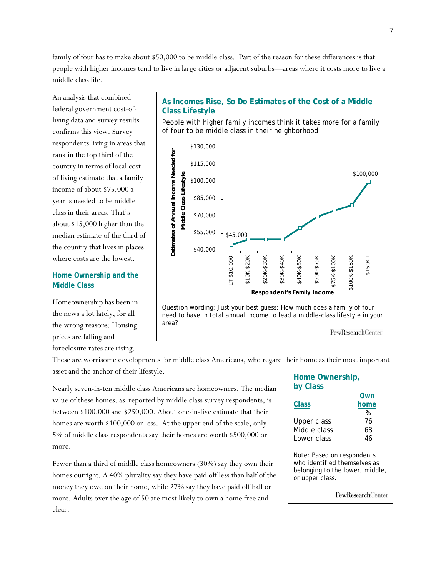family of four has to make about \$50,000 to be middle class. Part of the reason for these differences is that people with higher incomes tend to live in large cities or adjacent suburbs—areas where it costs more to live a middle class life.

An analysis that combined federal government cost-ofliving data and survey results confirms this view. Survey respondents living in areas that rank in the top third of the country in terms of local cost of living estimate that a family income of about \$75,000 a year is needed to be middle class in their areas. That's about \$15,000 higher than the median estimate of the third of the country that lives in places where costs are the lowest.

## **Home Ownership and the Middle Class**

Homeownership has been in the news a lot lately, for all the wrong reasons: Housing prices are falling and

foreclosure rates are rising.

**As Incomes Rise, So Do Estimates of the Cost of a Middle Class Lifestyle** 

People with higher family incomes think it takes more for a family of four to be middle class in their neighborhood



These are worrisome developments for middle class Americans, who regard their home as their most important asset and the anchor of their lifestyle.

Nearly seven-in-ten middle class Americans are homeowners. The median value of these homes, as reported by middle class survey respondents, is between \$100,000 and \$250,000. About one-in-five estimate that their homes are worth \$100,000 or less. At the upper end of the scale, only 5% of middle class respondents say their homes are worth \$500,000 or more.

Fewer than a third of middle class homeowners (30%) say they own their homes outright. A 40% plurality say they have paid off less than half of the money they owe on their home, while 27% say they have paid off half or more. Adults over the age of 50 are most likely to own a home free and clear.

| Home Ownership,<br>by Class                                                                                      |                           |
|------------------------------------------------------------------------------------------------------------------|---------------------------|
| <b>Class</b>                                                                                                     | Own<br>home<br>%          |
| Upper class<br>Middle class<br>Lower class                                                                       | 76<br>68<br>46            |
| Note: Based on respondents<br>who identified themselves as<br>belonging to the lower, middle,<br>or upper class. |                           |
|                                                                                                                  | <b>PewResearch</b> Center |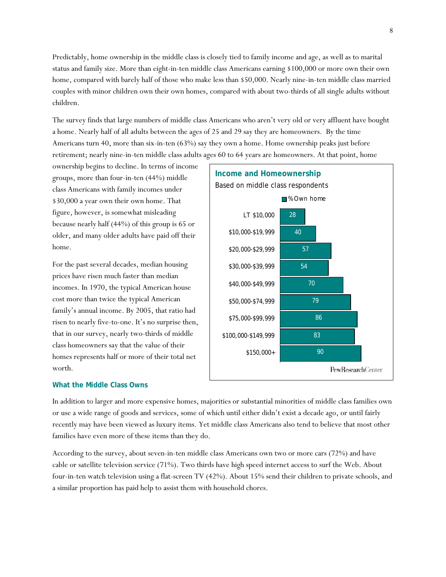Predictably, home ownership in the middle class is closely tied to family income and age, as well as to marital status and family size. More than eight-in-ten middle class Americans earning \$100,000 or more own their own home, compared with barely half of those who make less than \$50,000. Nearly nine-in-ten middle class married couples with minor children own their own homes, compared with about two-thirds of all single adults without children.

The survey finds that large numbers of middle class Americans who aren't very old or very affluent have bought a home. Nearly half of all adults between the ages of 25 and 29 say they are homeowners. By the time Americans turn 40, more than six-in-ten (63%) say they own a home. Home ownership peaks just before retirement; nearly nine-in-ten middle class adults ages 60 to 64 years are homeowners. At that point, home

ownership begins to decline. In terms of income groups, more than four-in-ten (44%) middle class Americans with family incomes under \$30,000 a year own their own home. That figure, however, is somewhat misleading because nearly half (44%) of this group is 65 or older, and many older adults have paid off their home.

For the past several decades, median housing prices have risen much faster than median incomes. In 1970, the typical American house cost more than twice the typical American family's annual income. By 2005, that ratio had risen to nearly five-to-one. It's no surprise then, that in our survey, nearly two-thirds of middle class homeowners say that the value of their homes represents half or more of their total net worth.

## **What the Middle Class Owns**

**Income and Homeownership**  Based on middle class respondents ■% Own home LT \$10,000 28 \$10,000-\$19,999 40 57 \$20,000-\$29,999 \$30,000-\$39,999 54 70 \$40,000-\$49,999 79 \$50,000-\$74,999 \$75,000-\$99,999 86 \$100,000-\$149,999 83 90 \$150,000+ PewResearchCenter

In addition to larger and more expensive homes, majorities or substantial minorities of middle class families own or use a wide range of goods and services, some of which until either didn't exist a decade ago, or until fairly recently may have been viewed as luxury items. Yet middle class Americans also tend to believe that most other families have even more of these items than they do.

According to the survey, about seven-in-ten middle class Americans own two or more cars (72%) and have cable or satellite television service (71%). Two thirds have high speed internet access to surf the Web. About four-in-ten watch television using a flat-screen TV (42%). About 15% send their children to private schools, and a similar proportion has paid help to assist them with household chores.

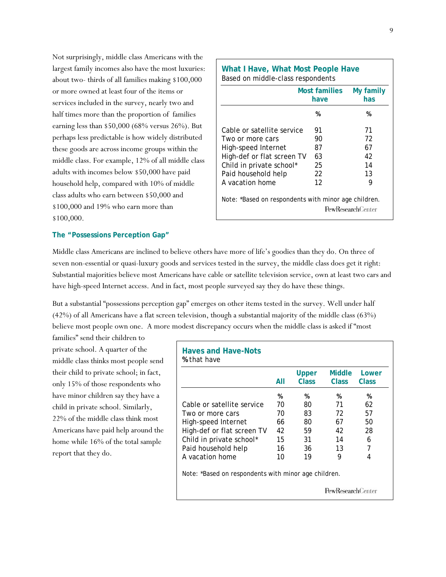Not surprisingly, middle class Americans with the largest family incomes also have the most luxuries: about two- thirds of all families making \$100,000 or more owned at least four of the items or services included in the survey, nearly two and half times more than the proportion of families earning less than \$50,000 (68% versus 26%). But perhaps less predictable is how widely distributed these goods are across income groups within the middle class. For example, 12% of all middle class adults with incomes below \$50,000 have paid household help, compared with 10% of middle class adults who earn between \$50,000 and \$100,000 and 19% who earn more than \$100,000.

|                            | Most families<br>My family<br>has<br>have |    |  |
|----------------------------|-------------------------------------------|----|--|
|                            | %                                         | %  |  |
| Cable or satellite service | 91                                        | 71 |  |
| Two or more cars           | 90                                        | 72 |  |
| High-speed Internet        | 87                                        | 67 |  |
| High-def or flat screen TV | 63                                        | 42 |  |
| Child in private school*   | 25                                        | 14 |  |
| Paid household help        | 22                                        | 13 |  |
| A vacation home            | 12                                        | 9  |  |

#### **The "Possessions Perception Gap"**

Middle class Americans are inclined to believe others have more of life's goodies than they do. On three of seven non-essential or quasi-luxury goods and services tested in the survey, the middle class does get it right: Substantial majorities believe most Americans have cable or satellite television service, own at least two cars and have high-speed Internet access. And in fact, most people surveyed say they do have these things.

But a substantial "possessions perception gap" emerges on other items tested in the survey. Well under half (42%) of all Americans have a flat screen television, though a substantial majority of the middle class (63%) believe most people own one.A more modest discrepancy occurs when the middle class is asked if "most

families" send their children to private school. A quarter of the middle class thinks most people send their child to private school; in fact, only 15% of those respondents who have minor children say they have a child in private school. Similarly, 22% of the middle class think most Americans have paid help around the home while 16% of the total sample report that they do.

|                                                      | All | Upper<br>Class | Middle<br>Class | Lower<br>Class |
|------------------------------------------------------|-----|----------------|-----------------|----------------|
|                                                      | %   | %              | %               | %              |
| Cable or satellite service                           | 70  | 80             | 71              | 62             |
| Two or more cars                                     | 70  | 83             | 72              | 57             |
| High-speed Internet                                  | 66  | 80             | 67              | 50             |
| High-def or flat screen TV                           | 42  | 59             | 42              | 28             |
| Child in private school*                             | 15  | 31             | 14              | 6              |
| Paid household help                                  | 16  | 36             | 13              | 7              |
| A vacation home                                      | 10  | 19             | 9               | 4              |
| Note: *Based on respondents with minor age children. |     |                |                 |                |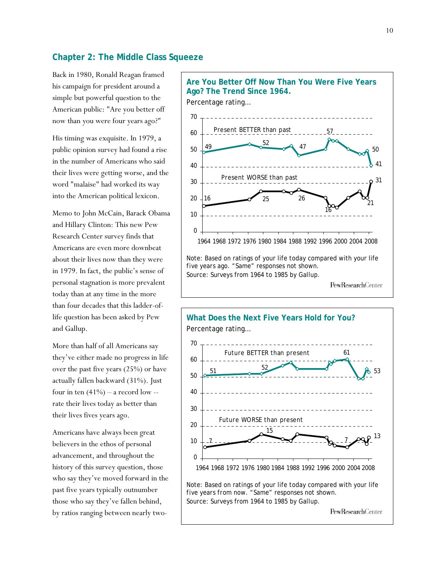## **Chapter 2: The Middle Class Squeeze**

Back in 1980, Ronald Reagan framed his campaign for president around a simple but powerful question to the American public: "Are you better off now than you were four years ago?"

His timing was exquisite. In 1979, a public opinion survey had found a rise in the number of Americans who said their lives were getting worse, and the word "malaise" had worked its way into the American political lexicon.

Memo to John McCain, Barack Obama and Hillary Clinton: This new Pew Research Center survey finds that Americans are even more downbeat about their lives now than they were in 1979. In fact, the public's sense of personal stagnation is more prevalent today than at any time in the more than four decades that this ladder-oflife question has been asked by Pew and Gallup.

More than half of all Americans say they've either made no progress in life over the past five years (25%) or have actually fallen backward (31%). Just four in ten  $(41\%)$  – a record low -rate their lives today as better than their lives fives years ago.

Americans have always been great believers in the ethos of personal advancement, and throughout the history of this survey question, those who say they've moved forward in the past five years typically outnumber those who say they've fallen behind, by ratios ranging between nearly two-



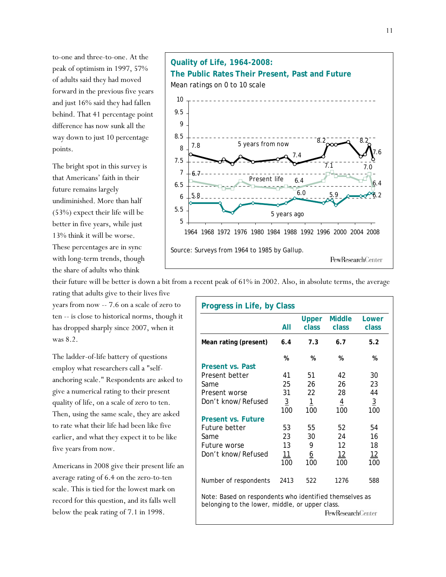to-one and three-to-one. At the peak of optimism in 1997, 57% of adults said they had moved forward in the previous five years and just 16% said they had fallen behind. That 41 percentage point difference has now sunk all the way down to just 10 percentage points.

The bright spot in this survey is that Americans' faith in their future remains largely undiminished. More than half (53%) expect their life will be better in five years, while just 13% think it will be worse.

These percentages are in sync with long-term trends, though the share of adults who think

rating that adults give to their lives five years from now -- 7.6 on a scale of zero to ten -- is close to historical norms, though it has dropped sharply since 2007, when it was 8.2.

The ladder-of-life battery of questions employ what researchers call a "selfanchoring scale." Respondents are asked to give a numerical rating to their present quality of life, on a scale of zero to ten. Then, using the same scale, they are asked to rate what their life had been like five earlier, and what they expect it to be like five years from now.

Americans in 2008 give their present life an average rating of 6.4 on the zero-to-ten scale. This is tied for the lowest mark on record for this question, and its falls well below the peak rating of 7.1 in 1998.



their future will be better is down a bit from a recent peak of 61% in 2002. Also, in absolute terms, the average

| <b>Progress in Life, by Class</b>                                                                                                      |                 |                |                        |                 |  |
|----------------------------------------------------------------------------------------------------------------------------------------|-----------------|----------------|------------------------|-----------------|--|
|                                                                                                                                        | All             | Upper<br>class | <b>Middle</b><br>class | Lower<br>class  |  |
| Mean rating (present)                                                                                                                  | 6.4             | 7.3            | 6.7                    | 5.2             |  |
| Present vs. Past                                                                                                                       | %               | %              | %                      | %               |  |
| Present better                                                                                                                         | 41              | 51             | 42                     | 30              |  |
| Same                                                                                                                                   | 25              | 26             | 26                     | 23              |  |
| Present worse                                                                                                                          | 31              | 22             | 28                     | 44              |  |
| Don't know/Refused                                                                                                                     | $\frac{3}{100}$ | $\overline{1}$ | $\overline{4}$         | $\frac{3}{100}$ |  |
|                                                                                                                                        |                 | 100            | 100                    |                 |  |
| <b>Present vs. Future</b>                                                                                                              |                 |                |                        |                 |  |
| Future better                                                                                                                          | 53              | 55             | 52                     | 54              |  |
| Same                                                                                                                                   | 23              | 30             | 24                     | 16              |  |
| Future worse                                                                                                                           | 13              | 9              | 12                     | 18              |  |
| Don't know/Refused                                                                                                                     | 11              | <u>6</u>       | 12                     | 12              |  |
|                                                                                                                                        | 100             | 100            | 100                    | 100             |  |
| Number of respondents                                                                                                                  | 2413            | 522            | 1276                   | 588             |  |
| Note: Based on respondents who identified themselves as<br>belonging to the lower, middle, or upper class.<br><b>PewResearchCenter</b> |                 |                |                        |                 |  |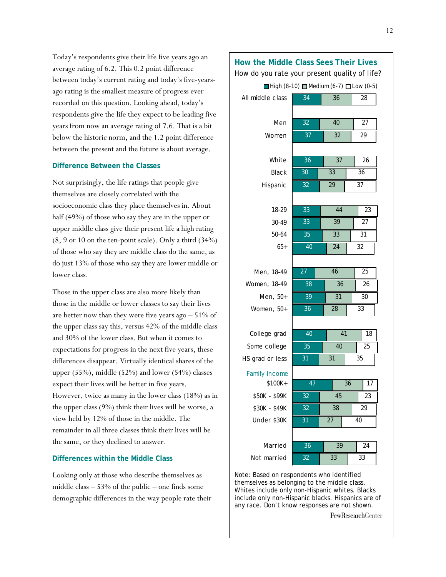Today's respondents give their life five years ago an average rating of 6.2. This 0.2 point difference between today's current rating and today's five-yearsago rating is the smallest measure of progress ever recorded on this question. Looking ahead, today's respondents give the life they expect to be leading five years from now an average rating of 7.6. That is a bit below the historic norm, and the 1.2 point difference between the present and the future is about average.

### **Difference Between the Classes**

Not surprisingly, the life ratings that people give themselves are closely correlated with the socioeconomic class they place themselves in. About half (49%) of those who say they are in the upper or upper middle class give their present life a high rating  $(8, 9 \text{ or } 10 \text{ on the ten-point scale})$ . Only a third  $(34%)$ of those who say they are middle class do the same, as do just 13% of those who say they are lower middle or lower class.

Those in the upper class are also more likely than those in the middle or lower classes to say their lives are better now than they were five years ago – 51% of the upper class say this, versus 42% of the middle class and 30% of the lower class. But when it comes to expectations for progress in the next five years, these differences disappear. Virtually identical shares of the upper (55%), middle (52%) and lower (54%) classes expect their lives will be better in five years. However, twice as many in the lower class (18%) as in the upper class (9%) think their lives will be worse, a view held by 12% of those in the middle. The remainder in all three classes think their lives will be the same, or they declined to answer.

## **Differences within the Middle Class**

Looking only at those who describe themselves as middle class – 53% of the public – one finds some demographic differences in the way people rate their

#### **How the Middle Class Sees Their Lives** How do you rate your present quality of life? 34 36 28 All middle class  $\Box$  High (8-10)  $\Box$  Medium (6-7)  $\Box$  Low (0-5)

32 37

Men Women

White Black Hispanic

> 18-29 30-49 50-64 65+

40 32

27 29

26 36 37

37 33 29

36 30 32

| Men, 18-49   |
|--------------|
| Women, 18-49 |
| Men, 50+     |
| Women, 50+   |
|              |

College grad Some college HS grad or less

| 40              | 41 |  | 18 |
|-----------------|----|--|----|
| $\overline{3}5$ | 40 |  | 25 |
| 31              | 31 |  | 35 |

Family Income

\$100K+ \$50K - \$99K \$30K - \$49K Under \$30K

| 47 |    |  | 36 |    | 17 |
|----|----|--|----|----|----|
| 32 | 45 |  |    | 23 |    |
| 32 | 38 |  |    | 29 |    |
| 31 | 27 |  | 40 |    |    |
|    |    |  |    |    |    |

Married Not married

| 36 | 39 | 24 |
|----|----|----|
| 32 | 33 | 33 |

Note: Based on respondents who identified themselves as belonging to the middle class. Whites include only non-Hispanic whites. Blacks include only non-Hispanic blacks. Hispanics are of any race. Don't know responses are not shown.

PewResearchCenter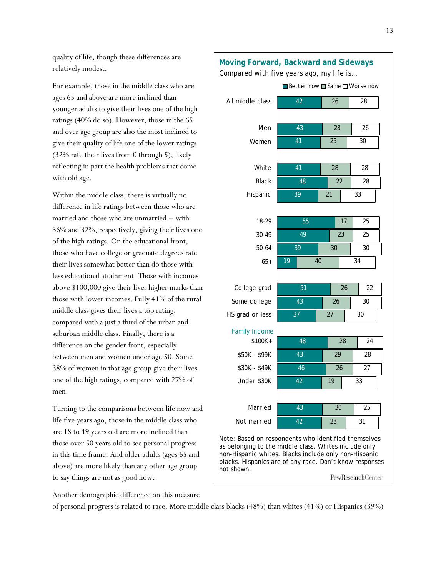quality of life, though these differences are relatively modest.

For example, those in the middle class who are ages 65 and above are more inclined than younger adults to give their lives one of the high ratings (40% do so). However, those in the 65 and over age group are also the most inclined to give their quality of life one of the lower ratings (32% rate their lives from 0 through 5), likely reflecting in part the health problems that come with old age.

Within the middle class, there is virtually no difference in life ratings between those who are married and those who are unmarried -- with 36% and 32%, respectively, giving their lives one of the high ratings. On the educational front, those who have college or graduate degrees rate their lives somewhat better than do those with less educational attainment. Those with incomes above \$100,000 give their lives higher marks than those with lower incomes. Fully 41% of the rural middle class gives their lives a top rating, compared with a just a third of the urban and suburban middle class. Finally, there is a difference on the gender front, especially between men and women under age 50. Some 38% of women in that age group give their lives one of the high ratings, compared with 27% of men.

Turning to the comparisons between life now and life five years ago, those in the middle class who are 18 to 49 years old are more inclined than those over 50 years old to see personal progress in this time frame. And older adults (ages 65 and above) are more likely than any other age group to say things are not as good now.

Compared with five years ago, my life is… 42 43 41 41 48 39 55 49 39 19 51 43 37 48 43 46 42 43 42 26 28 25 28 22 21 17 23 30 40 26 26 27 28 29 26 19 30 23 28 26 30 28 28 33 25 25 30 34 22 30 30 24 28 27 33 25 31 All middle class Men Women White **Black** Hispanic 18-29 30-49 50-64 65+ College grad Some college HS grad or less \$100K+ \$50K - \$99K \$30K - \$49K Under \$30K Married Not married ■Better now ■ Same ■ Worse now Family Income Note: Based on respondents who identified themselves as belonging to the middle class. Whites include only

**Moving Forward, Backward and Sideways**

blacks. Hispanics are of any race. Don't know responses PewResearchCenter

non-Hispanic whites. Blacks include only non-Hispanic

Another demographic difference on this measure

of personal progress is related to race. More middle class blacks (48%) than whites (41%) or Hispanics (39%)

not shown.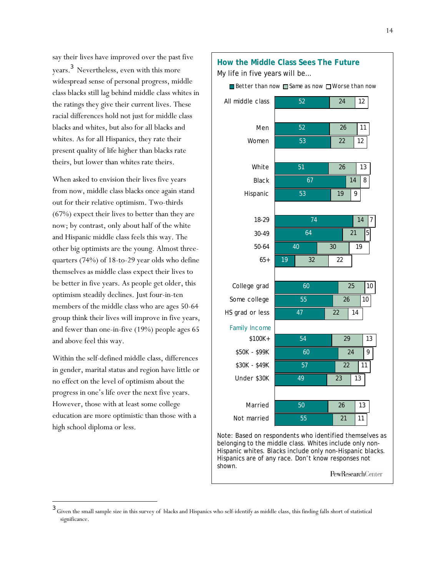say their lives have improved over the past five years. 3 Nevertheless, even with this more widespread sense of personal progress, middle class blacks still lag behind middle class whites in the ratings they give their current lives. These racial differences hold not just for middle class blacks and whites, but also for all blacks and whites. As for all Hispanics, they rate their present quality of life higher than blacks rate theirs, but lower than whites rate theirs.

When asked to envision their lives five years from now, middle class blacks once again stand out for their relative optimism. Two-thirds (67%) expect their lives to better than they are now; by contrast, only about half of the white and Hispanic middle class feels this way. The other big optimists are the young. Almost threequarters (74%) of 18-to-29 year olds who define themselves as middle class expect their lives to be better in five years. As people get older, this optimism steadily declines. Just four-in-ten members of the middle class who are ages 50-64 group think their lives will improve in five years, and fewer than one-in-five (19%) people ages 65 and above feel this way.

Within the self-defined middle class, differences in gender, marital status and region have little or no effect on the level of optimism about the progress in one's life over the next five years. However, those with at least some college education are more optimistic than those with a high school diploma or less.

l



Hispanics are of any race. Don't know responses not shown. PewResearchCenter

<sup>&</sup>lt;sup>3</sup> Given the small sample size in this survey of blacks and Hispanics who self-identify as middle class, this finding falls short of statistical significance.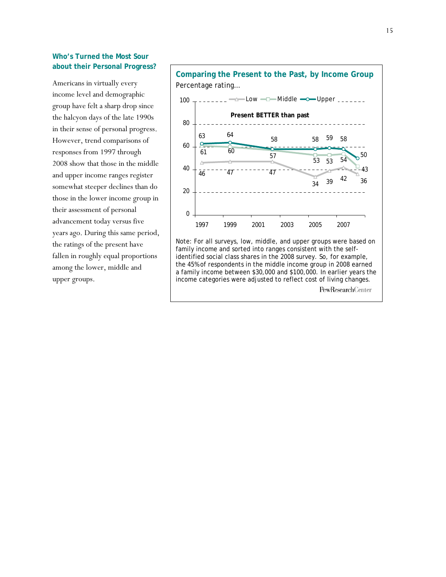## **Who's Turned the Most Sour about their Personal Progress?**

Americans in virtually every income level and demographic group have felt a sharp drop since the halcyon days of the late 1990s in their sense of personal progress. However, trend comparisons of responses from 1997 through 2008 show that those in the middle and upper income ranges register somewhat steeper declines than do those in the lower income group in their assessment of personal advancement today versus five years ago. During this same period, the ratings of the present have fallen in roughly equal proportions among the lower, middle and upper groups.

**Comparing the Present to the Past, by Income Group** Percentage rating… 47  $\frac{1}{34}$  39 <sup>42</sup> 36  $\frac{46}{47}$   $\frac{47}{47}$ 42 43  $\frac{60}{57}$  57 53 53 54 53 59 58 50  $\begin{array}{ccccc}\n63 & & 64 \\
\hline\n63 & & & 58\n\end{array}$  58 0 20 40 60 80 100 1997 1999 2001 2003 2005 2007  $\Box$   $\rightarrow$   $\bot$  Low  $\rightarrow$   $\Box$  Middle  $\rightarrow$  Upper **Present BETTER than past**

Note: For all surveys, low, middle, and upper groups were based on family income and sorted into ranges consistent with the selfidentified social class shares in the 2008 survey. So, for example, the 45% of respondents in the middle income group in 2008 earned a family income between \$30,000 and \$100,000. In earlier years the income categories were adjusted to reflect cost of living changes. PewResearchCenter

15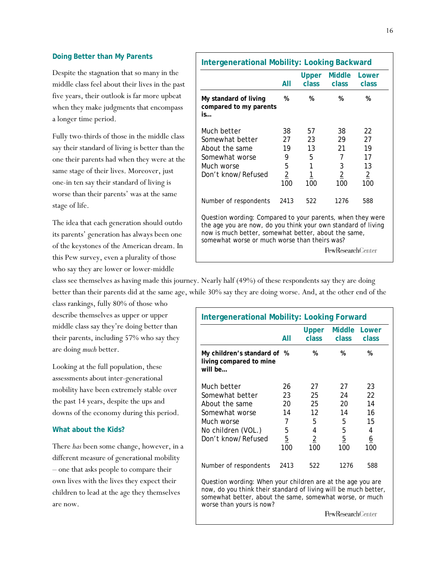#### **Doing Better than My Parents**

Despite the stagnation that so many in the middle class feel about their lives in the past five years, their outlook is far more upbeat when they make judgments that encompass a longer time period.

Fully two-thirds of those in the middle class say their standard of living is better than the one their parents had when they were at the same stage of their lives. Moreover, just one-in ten say their standard of living is worse than their parents' was at the same stage of life.

The idea that each generation should outdo its parents' generation has always been one of the keystones of the American dream. In this Pew survey, even a plurality of those who say they are lower or lower-middle

**Intergenerational Mobility: Looking Backward Upper Middle Lower** *All class class class* **My standard of living % % % % compared to my parents is…**  Much better 38 57 38 22 Somewhat better 27 23 29 27 About the same  $19$  13 21 19 Somewhat worse  $\begin{array}{cccc} 9 & 5 & 7 & 17 \end{array}$ Much worse 5 1 3 13 Don't know/Refused 2 1 2 2 100 100 100 100 Number of respondents 2413 522 1276 588 Question wording: Compared to your parents, when they were the age you are now, do you think your own standard of living now is much better, somewhat better, about the same, somewhat worse or much worse than theirs was? PewResearchCenter

class see themselves as having made this journey. Nearly half (49%) of these respondents say they are doing better than their parents did at the same age, while 30% say they are doing worse. And, at the other end of the

class rankings, fully 80% of those who describe themselves as upper or upper middle class say they're doing better than their parents, including 57% who say they are doing *much* better.

Looking at the full population, these assessments about inter-generational mobility have been extremely stable over the past 14 years, despite the ups and downs of the economy during this period.

### **What about the Kids?**

There *has* been some change, however, in a different measure of generational mobility – one that asks people to compare their own lives with the lives they expect their children to lead at the age they themselves are now.

|                                                                                                                                                                                                                        | All                   | Upper<br>class        | <b>Middle</b><br>class. | Lower<br>class  |
|------------------------------------------------------------------------------------------------------------------------------------------------------------------------------------------------------------------------|-----------------------|-----------------------|-------------------------|-----------------|
| My children's standard of %<br>living compared to mine<br>will be                                                                                                                                                      |                       | %                     | %                       | %               |
| Much better                                                                                                                                                                                                            | 26                    | 27                    | 27                      | 23              |
| Somewhat better                                                                                                                                                                                                        | 23                    | 25                    | 24                      | 22              |
| About the same                                                                                                                                                                                                         | 20                    | 25                    | 20                      | 14              |
| Somewhat worse                                                                                                                                                                                                         | 14                    | 12                    | 14                      | 16              |
| Much worse                                                                                                                                                                                                             | 7                     | 5                     | 5                       | 15              |
| No children (VOL.)                                                                                                                                                                                                     | 5                     | 4                     | 5                       | 4               |
| Don't know/Refused                                                                                                                                                                                                     | $\overline{5}$<br>100 | $\overline{2}$<br>100 | $\overline{5}$<br>100   | <u>6</u><br>100 |
| Number of respondents                                                                                                                                                                                                  | 2413                  | 522                   | 1276                    | 588             |
| Question wording: When your children are at the age you are<br>now, do you think their standard of living will be much better,<br>somewhat better, about the same, somewhat worse, or much<br>worse than yours is now? |                       |                       |                         |                 |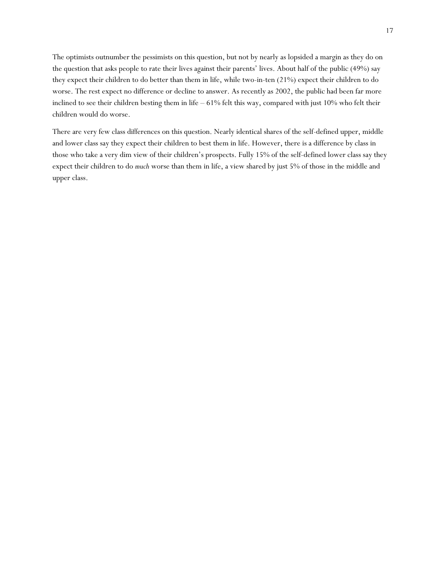The optimists outnumber the pessimists on this question, but not by nearly as lopsided a margin as they do on the question that asks people to rate their lives against their parents' lives. About half of the public (49%) say they expect their children to do better than them in life, while two-in-ten (21%) expect their children to do worse. The rest expect no difference or decline to answer. As recently as 2002, the public had been far more inclined to see their children besting them in life – 61% felt this way, compared with just 10% who felt their children would do worse.

There are very few class differences on this question. Nearly identical shares of the self-defined upper, middle and lower class say they expect their children to best them in life. However, there is a difference by class in those who take a very dim view of their children's prospects. Fully 15% of the self-defined lower class say they expect their children to do *much* worse than them in life, a view shared by just 5% of those in the middle and upper class.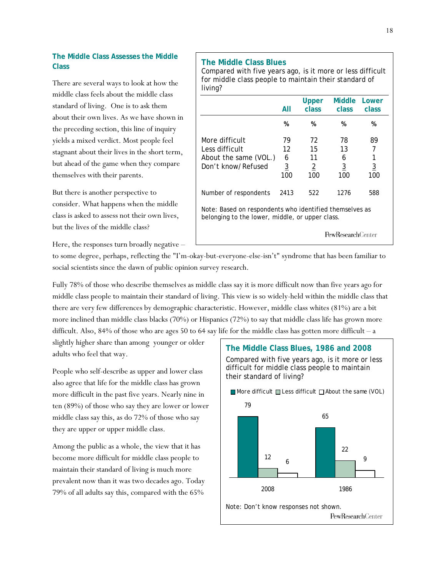## **The Middle Class Assesses the Middle Class**

There are several ways to look at how the middle class feels about the middle class standard of living. One is to ask them about their own lives. As we have shown in the preceding section, this line of inquiry yields a mixed verdict. Most people feel stagnant about their lives in the short term, but ahead of the game when they compare themselves with their parents.

But there is another perspective to consider. What happens when the middle class is asked to assess not their own lives, but the lives of the middle class?

Here, the responses turn broadly negative –

## **The Middle Class Blues**

Compared with five years ago, is it more or less difficult for middle class people to maintain their standard of living?

|                                                                                                            | All                                    | Upper<br>class                          | Middle<br>class                        | Lower<br>class        |  |  |
|------------------------------------------------------------------------------------------------------------|----------------------------------------|-----------------------------------------|----------------------------------------|-----------------------|--|--|
|                                                                                                            | %                                      | %                                       | %                                      | %                     |  |  |
| More difficult<br>Less difficult<br>About the same (VOL.)<br>Don't know/Refused                            | 79<br>12<br>6<br>$\overline{3}$<br>100 | 72<br>15<br>11<br>$\overline{2}$<br>100 | 78<br>13<br>6<br>$\overline{3}$<br>100 | 89<br><u>3</u><br>100 |  |  |
| Number of respondents                                                                                      | 2413                                   | 522                                     | 1276                                   | 588                   |  |  |
| Note: Based on respondents who identified themselves as<br>belonging to the lower, middle, or upper class. |                                        |                                         |                                        |                       |  |  |
|                                                                                                            |                                        |                                         | <b>PewResearch</b> Center              |                       |  |  |

to some degree, perhaps, reflecting the "I'm-okay-but-everyone-else-isn't" syndrome that has been familiar to social scientists since the dawn of public opinion survey research.

Fully 78% of those who describe themselves as middle class say it is more difficult now than five years ago for middle class people to maintain their standard of living. This view is so widely-held within the middle class that there are very few differences by demographic characteristic. However, middle class whites (81%) are a bit more inclined than middle class blacks (70%) or Hispanics (72%) to say that middle class life has grown more difficult. Also, 84% of those who are ages 50 to 64 say life for the middle class has gotten more difficult – a

slightly higher share than among younger or older adults who feel that way.

People who self-describe as upper and lower class also agree that life for the middle class has grown more difficult in the past five years. Nearly nine in ten (89%) of those who say they are lower or lower middle class say this, as do 72% of those who say they are upper or upper middle class.

Among the public as a whole, the view that it has become more difficult for middle class people to maintain their standard of living is much more prevalent now than it was two decades ago. Today 79% of all adults say this, compared with the 65%

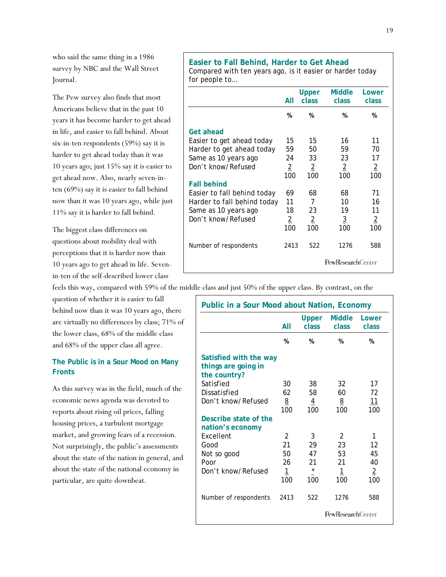who said the same thing in a 1986 survey by NBC and the Wall Street Journal.

The Pew survey also finds that most Americans believe that in the past 10 years it has become harder to get ahead in life, and easier to fall behind. About six-in-ten respondents (59%) say it is harder to get ahead today than it was 10 years ago; just 15% say it is easier to get ahead now. Also, nearly seven-inten (69%) say it is easier to fall behind now than it was 10 years ago, while just 11% say it is harder to fall behind.

The biggest class differences on questions about mobility deal with perceptions that it is harder now than 10 years ago to get ahead in life. Sevenin-ten of the self-described lower class

feels this way, compared with 59% of the middle class and just 50% of the upper class. By contrast, on the

question of whether it is easier to fall behind now than it was 10 years ago, there are virtually no differences by class; 71% of the lower class, 68% of the middle class and 68% of the upper class all agree.

## **The Public is in a Sour Mood on Many Fronts**

As this survey was in the field, much of the economic news agenda was devoted to reports about rising oil prices, falling housing prices, a turbulent mortgage market, and growing fears of a recession. Not surprisingly, the public's assessments about the state of the nation in general, and about the state of the national economy in particular, are quite downbeat.

## **Easier to Fall Behind, Harder to Get Ahead**

Compared with ten years ago, is it easier or harder today for people to…

|                                    | All                   | <b>Upper</b><br>class | <b>Middle</b><br>class   | Lower<br>class        |
|------------------------------------|-----------------------|-----------------------|--------------------------|-----------------------|
|                                    | %                     | %                     | %                        | %                     |
| Get ahead                          |                       |                       |                          |                       |
| Easier to get ahead today          | 15                    | 15                    | 16                       | 11                    |
| Harder to get ahead today          | 59                    | 50                    | 59                       | 70                    |
| Same as 10 years ago               | 24                    | 33                    | 23                       | 17                    |
| Don't know/Refused                 | $\overline{2}$<br>100 | $\overline{2}$<br>100 | $\overline{2}$<br>100    | $\overline{2}$<br>100 |
| <b>Fall behind</b>                 |                       |                       |                          |                       |
| Easier to fall <i>behind</i> today | 69                    | 68                    | 68                       | 71                    |
| Harder to fall <i>behind</i> today | 11                    | 7                     | 10                       | 16                    |
| Same as 10 years ago               | 18                    | 23                    | 19                       | 11                    |
| Don't know/Refused                 | $\overline{2}$<br>100 | $\overline{2}$<br>100 | $\overline{3}$<br>100    | $\overline{2}$<br>100 |
| Number of respondents              | 2413                  | 522                   | 1276                     | 588                   |
|                                    |                       |                       | <b>PewResearchCenter</b> |                       |

|                                                               | AII                   | Upper<br>class.       | <b>Middle</b><br>class | Lower<br>class        |
|---------------------------------------------------------------|-----------------------|-----------------------|------------------------|-----------------------|
|                                                               | %                     | %                     | %                      | %                     |
| Satisfied with the way<br>things are going in<br>the country? |                       |                       |                        |                       |
| Satisfied                                                     | 30                    | 38                    | 32                     | 17                    |
| Dissatisfied                                                  | 62                    | 58                    | 60                     | 72                    |
| Don't know/Refused                                            | <u>8</u><br>100       | $\overline{4}$<br>100 | 8<br>100               | 11<br>100             |
| Describe state of the<br>nation's economy                     |                       |                       |                        |                       |
| <b>Fxcellent</b>                                              | $\mathcal{P}$         | 3                     | $\mathcal{P}$          | 1                     |
| Good                                                          | 21                    | 29                    | 23                     | 12                    |
| Not so good                                                   | 50                    | 47                    | 53                     | 45                    |
| Poor                                                          | 26                    | 21                    | 21                     | 40                    |
| Don't know/Refused                                            | $\overline{1}$<br>100 | $\star$<br>100        | $\mathbf{1}$<br>100    | $\overline{2}$<br>100 |
| Number of respondents                                         | 2413                  | 522                   | 1276                   | 588                   |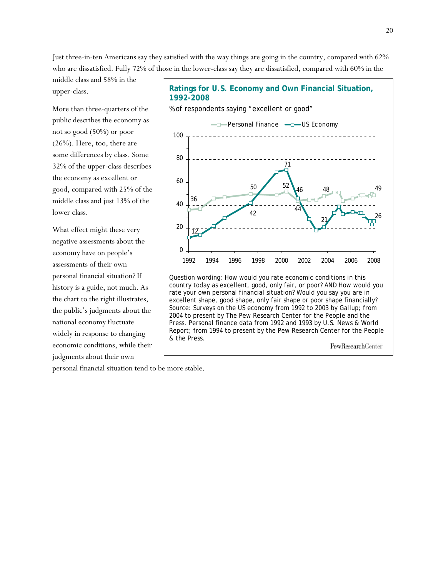Just three-in-ten Americans say they satisfied with the way things are going in the country, compared with 62% who are dissatisfied. Fully 72% of those in the lower-class say they are dissatisfied, compared with 60% in the

middle class and 58% in the upper-class.

More than three-quarters of the public describes the economy as not so good (50%) or poor (26%). Here, too, there are some differences by class. Some 32% of the upper-class describes the economy as excellent or good, compared with 25% of the middle class and just 13% of the lower class.

What effect might these very negative assessments about the economy have on people's assessments of their own personal financial situation? If history is a guide, not much. As the chart to the right illustrates, the public's judgments about the national economy fluctuate widely in response to changing economic conditions, while their judgments about their own

**Ratings for U.S. Economy and Own Financial Situation, 1992-2008** 

% of respondents saying "excellent or good"



Question wording: How would you rate economic conditions in this country today as excellent, good, only fair, or poor? AND How would you rate your own personal financial situation? Would you say you are in excellent shape, good shape, only fair shape or poor shape financially? Source: Surveys on the US economy from 1992 to 2003 by Gallup; from 2004 to present by The Pew Research Center for the People and the Press. Personal finance data from 1992 and 1993 by U.S. News & World Report; from 1994 to present by the Pew Research Center for the People & the Press.

PewResearchCenter

personal financial situation tend to be more stable.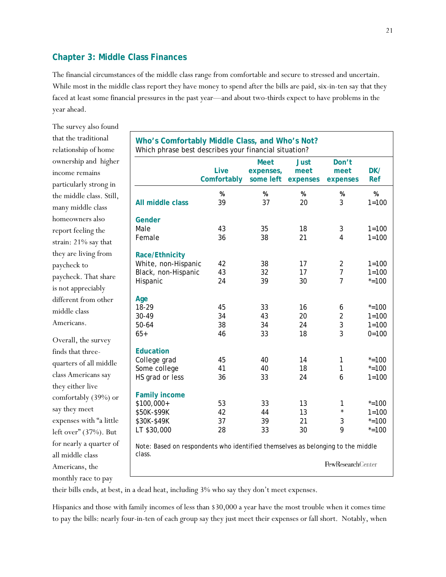## **Chapter 3: Middle Class Finances**

The financial circumstances of the middle class range from comfortable and secure to stressed and uncertain. While most in the middle class report they have money to spend after the bills are paid, six-in-ten say that they faced at least some financial pressures in the past year—and about two-thirds expect to have problems in the year ahead.

The survey also found that the traditional relationship of home ownership and higher income remains particularly strong in the middle class. Still, many middle class homeowners also report feeling the strain: 21% say that they are living from paycheck to paycheck. That share is not appreciably different from other middle class Americans.

Overall, the survey finds that threequarters of all middle class Americans say they either live comfortably (39%) or say they meet expenses with "a little left over" (37%). But for nearly a quarter of all middle class Americans, the monthly race to pay

| Who's Comfortably Middle Class, and Who's Not?<br>Which phrase best describes your financial situation? |             |             |             |                   |           |
|---------------------------------------------------------------------------------------------------------|-------------|-------------|-------------|-------------------|-----------|
|                                                                                                         |             | <b>Meet</b> | <b>Just</b> | Don't             |           |
|                                                                                                         | Live        | expenses,   | meet        | meet              | DK/       |
|                                                                                                         | Comfortably | some left   | expenses    | expenses          | Ref       |
|                                                                                                         | %           | %           | %           | %                 | %         |
| All middle class                                                                                        | 39          | 37          | 20          | 3                 | $1 = 100$ |
|                                                                                                         |             |             |             |                   |           |
| Gender                                                                                                  |             |             |             |                   |           |
| Male                                                                                                    | 43          | 35          | 18          | 3                 | $1 = 100$ |
| Female                                                                                                  | 36          | 38          | 21          | 4                 | $1 = 100$ |
| Race/Ethnicity                                                                                          |             |             |             |                   |           |
| White, non-Hispanic                                                                                     | 42          | 38          | 17          | $\overline{2}$    | $1 = 100$ |
| Black, non-Hispanic                                                                                     | 43          | 32          | 17          | 7                 | $1 = 100$ |
| Hispanic                                                                                                | 24          | 39          | 30          | $\overline{7}$    | $* = 100$ |
|                                                                                                         |             |             |             |                   |           |
| Age                                                                                                     |             |             |             |                   |           |
| 18-29                                                                                                   | 45          | 33          | 16          | 6                 | $* = 100$ |
| 30-49                                                                                                   | 34          | 43          | 20          | $\overline{2}$    | $1 = 100$ |
| $50 - 64$                                                                                               | 38          | 34          | 24          | 3                 | $1 = 100$ |
| $65+$                                                                                                   | 46          | 33          | 18          | 3                 | $0 = 100$ |
|                                                                                                         |             |             |             |                   |           |
| <b>Education</b>                                                                                        |             |             |             |                   |           |
| College grad                                                                                            | 45          | 40          | 14          | 1                 | $* = 100$ |
| Some college                                                                                            | 41          | 40          | 18          | 1                 | $* = 100$ |
| HS grad or less                                                                                         | 36          | 33          | 24          | 6                 | $1 = 100$ |
| <b>Family income</b>                                                                                    |             |             |             |                   |           |
| \$100,000+                                                                                              | 53          | 33          | 13          | 1                 | $* = 100$ |
| \$50K-\$99K                                                                                             | 42          | 44          | 13          | $\star$           | $1 = 100$ |
| \$30K-\$49K                                                                                             | 37          | 39          | 21          | 3                 | $* = 100$ |
| LT \$30,000                                                                                             | 28          | 33          | 30          | 9                 | $* = 100$ |
|                                                                                                         |             |             |             |                   |           |
| Note: Based on respondents who identified themselves as belonging to the middle                         |             |             |             |                   |           |
| class.                                                                                                  |             |             |             | PewResearchCenter |           |
|                                                                                                         |             |             |             |                   |           |

their bills ends, at best, in a dead heat, including 3% who say they don't meet expenses.

Hispanics and those with family incomes of less than \$30,000 a year have the most trouble when it comes time to pay the bills: nearly four-in-ten of each group say they just meet their expenses or fall short. Notably, when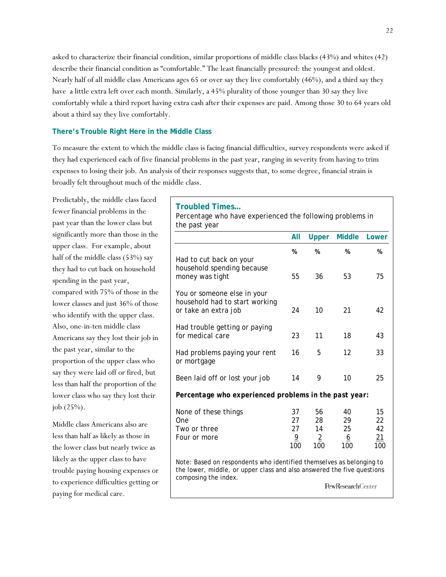asked to characterize their financial condition, similar proportions of middle class blacks (43%) and whites (42) describe their financial condition as "comfortable." The least financially pressured: the youngest and oldest. Nearly half of all middle class Americans ages 65 or over say they live comfortably (46%), and a third say they have a little extra left over each month. Similarly, a 45% plurality of those younger than 30 say they live comfortably while a third report having extra cash after their expenses are paid. Among those 30 to 64 years old about a third say they live comfortably.

### **There's Trouble Right Here in the Middle Class**

To measure the extent to which the middle class is facing financial difficulties, survey respondents were asked if they had experienced each of five financial problems in the past year, ranging in severity from having to trim expenses to losing their job. An analysis of their responses suggests that, to some degree, financial strain is broadly felt throughout much of the middle class.

Predictably, the middle class faced fewer financial problems in the past year than the lower class but significantly more than those in the upper class. For example, about half of the middle class (53%) say they had to cut back on household spending in the past year, compared with 75% of those in the lower classes and just 36% of those who identify with the upper class. Also, one-in-ten middle class Americans say they lost their job in the past year, similar to the proportion of the upper class who say they were laid off or fired, but less than half the proportion of the lower class who say they lost their job (25%).

Middle class Americans also are less than half as likely as those in the lower class but nearly twice as likely as the upper class to have trouble paying housing expenses or to experience difficulties getting or paying for medical care.

#### **Troubled Times…**

Percentage who have experienced the following problems in the past year

|                                                                                                                                                                                                    | All                                     | Upper                                   | <b>Middle</b>                     | Lower                       |  |
|----------------------------------------------------------------------------------------------------------------------------------------------------------------------------------------------------|-----------------------------------------|-----------------------------------------|-----------------------------------|-----------------------------|--|
|                                                                                                                                                                                                    | %                                       | %                                       | %                                 | %                           |  |
| Had to cut back on your<br>household spending because<br>money was tight                                                                                                                           | 55                                      | 36                                      | 53                                | 75                          |  |
| You or someone else in your<br>household had to start working<br>or take an extra job                                                                                                              | 24                                      | 10                                      | 21                                | 42                          |  |
| Had trouble getting or paying<br>for medical care                                                                                                                                                  | 23                                      | 11                                      | 18                                | 43                          |  |
| Had problems paying your rent<br>or mortgage                                                                                                                                                       | 16                                      | 5                                       | 12                                | 33                          |  |
| Been laid off or lost your job                                                                                                                                                                     | 14                                      | 9                                       | 10                                | 25                          |  |
| Percentage who experienced problems in the past year:                                                                                                                                              |                                         |                                         |                                   |                             |  |
| None of these things<br>One<br>Two or three<br>Four or more                                                                                                                                        | 37<br>27<br>27<br>$\overline{9}$<br>100 | 56<br>28<br>14<br>$\overline{2}$<br>100 | 40<br>29<br>25<br><u>6</u><br>100 | 15<br>22<br>42<br>21<br>100 |  |
| Note: Based on respondents who identified themselves as belonging to<br>the lower, middle, or upper class and also answered the five questions<br>composing the index.<br><b>PewResearchCenter</b> |                                         |                                         |                                   |                             |  |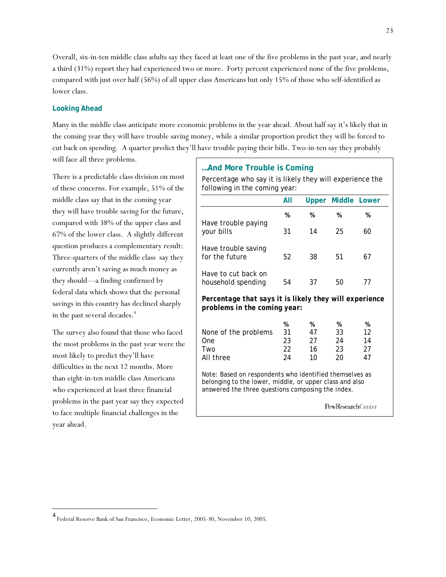Overall, six-in-ten middle class adults say they faced at least one of the five problems in the past year, and nearly a third (31%) report they had experienced two or more. Forty percent experienced none of the five problems, compared with just over half (56%) of all upper class Americans but only 15% of those who self-identified as lower class.

## **Looking Ahead**

Many in the middle class anticipate more economic problems in the year ahead. About half say it's likely that in the coming year they will have trouble saving money, while a similar proportion predict they will be forced to cut back on spending. A quarter predict they'll have trouble paying their bills. Two-in-ten say they probably will face all three problems.

There is a predictable class division on most of these concerns. For example, 51% of the middle class say that in the coming year they will have trouble saving for the future, compared with 38% of the upper class and 67% of the lower class. A slightly different question produces a complementary result: Three-quarters of the middle class say they currently aren't saving as much money as they should—a finding confirmed by federal data which shows that the personal savings in this country has declined sharply in the past several decades.<sup>4</sup>

The survey also found that those who faced the most problems in the past year were the most likely to predict they'll have difficulties in the next 12 months. More than eight-in-ten middle class Americans who experienced at least three financial problems in the past year say they expected to face multiple financial challenges in the year ahead.

 $\overline{\phantom{a}}$ 

## **…And More Trouble is Coming**

Percentage who say it is likely they will experience the following in the coming year:

|                                                                                                                                                                         | All |    | <b>Upper Middle Lower</b> |    |  |
|-------------------------------------------------------------------------------------------------------------------------------------------------------------------------|-----|----|---------------------------|----|--|
|                                                                                                                                                                         | %   | %  | %                         | %  |  |
| Have trouble paying<br>your bills                                                                                                                                       | 31  | 14 | 25                        | 60 |  |
| Have trouble saving<br>for the future                                                                                                                                   | 52  | 38 | 51                        | 67 |  |
| Have to cut back on<br>household spending                                                                                                                               | 54  | 37 | 50                        | 77 |  |
| Percentage that says it is likely they will experience<br>problems in the coming year:                                                                                  |     |    |                           |    |  |
|                                                                                                                                                                         | %   | %  | %                         | %  |  |
| None of the problems                                                                                                                                                    | 31  | 47 | 33                        | 12 |  |
| One                                                                                                                                                                     | 23  | 27 | 24                        | 14 |  |
| Two                                                                                                                                                                     | 22  | 16 | 23                        | 27 |  |
| All three                                                                                                                                                               | 24  | 10 | 20                        | 47 |  |
| Note: Based on respondents who identified themselves as<br>belonging to the lower, middle, or upper class and also<br>answered the three questions composing the index. |     |    |                           |    |  |
|                                                                                                                                                                         |     |    | <b>PewResearch</b> Center |    |  |

<sup>4</sup> Federal Reserve Bank of San Francisco, Economic Letter, 2005-30, November 10, 2005.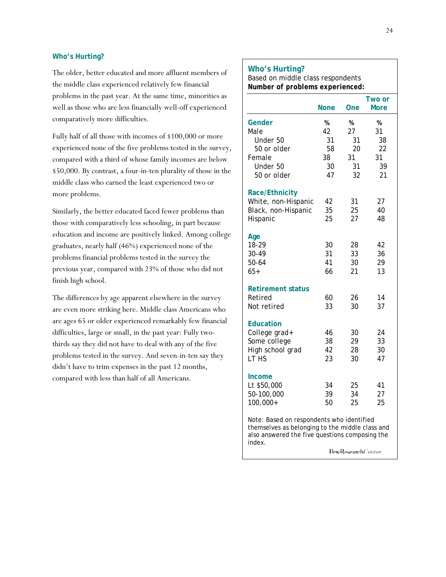### **Who's Hurting?**

The older, better educated and more affluent members of the middle class experienced relatively few financial problems in the past year. At the same time, minorities as well as those who are less financially well-off experienced comparatively more difficulties.

Fully half of all those with incomes of \$100,000 or more experienced none of the five problems tested in the survey, compared with a third of whose family incomes are below \$50,000. By contrast, a four-in-ten plurality of those in the middle class who earned the least experienced two or more problems.

Similarly, the better educated faced fewer problems than those with comparatively less schooling, in part because education and income are positively linked. Among college graduates, nearly half (46%) experienced none of the problems financial problems tested in the survey the previous year, compared with 23% of those who did not finish high school.

The differences by age apparent elsewhere in the survey are even more striking here. Middle class Americans who are ages 65 or older experienced remarkably few financial difficulties, large or small, in the past year: Fully twothirds say they did not have to deal with any of the five problems tested in the survey. And seven-in-ten say they didn't have to trim expenses in the past 12 months, compared with less than half of all Americans.

# Based on middle class respondents *Number of problems experienced:*   **Two or None One More Gender % % %** Male 42 27 31 *Under 50 31 31 38 50 or older 58 20 22* Female 38 31 31  *Under 50 30 31 39 50 or older 47 32 21* **Race/Ethnicity**  White, non-Hispanic 42 31 27 Black, non-Hispanic 35 25 40 Hispanic 25 27 48 **Age**  18-29 30 28 42 30-49 31 33 36 50-64 41 30 29 65+ 66 21 13 **Retirement status**  Retired 60 26 14 Not retired 33 30 37 **Education**  College grad+ 46 30 24 Some college 38 29 33 High school grad  $42$  28 30 LT HS 23 30 47 **Income**  Lt \$50,000 34 25 41 50-100,000 39 34 27 100,000+ 50 25 25

Note: Based on respondents who identified themselves as belonging to the middle class and also answered the five questions composing the index.

PewResearchCenter

#### **Who's Hurting?**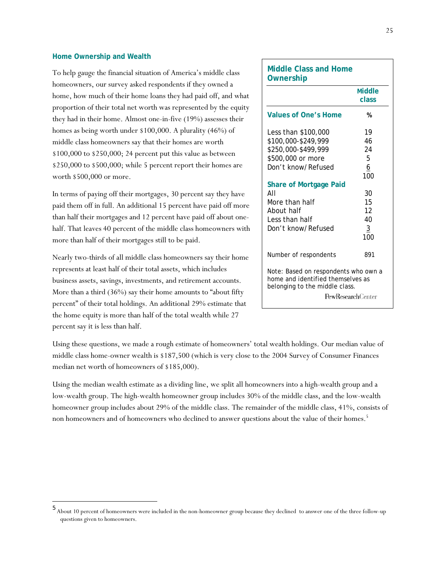### **Home Ownership and Wealth**

l

To help gauge the financial situation of America's middle class homeowners, our survey asked respondents if they owned a home, how much of their home loans they had paid off, and what proportion of their total net worth was represented by the equity they had in their home. Almost one-in-five (19%) assesses their homes as being worth under \$100,000. A plurality (46%) of middle class homeowners say that their homes are worth \$100,000 to \$250,000; 24 percent put this value as between \$250,000 to \$500,000; while 5 percent report their homes are worth \$500,000 or more.

In terms of paying off their mortgages, 30 percent say they have paid them off in full. An additional 15 percent have paid off more than half their mortgages and 12 percent have paid off about onehalf. That leaves 40 percent of the middle class homeowners with more than half of their mortgages still to be paid.

Nearly two-thirds of all middle class homeowners say their home represents at least half of their total assets, which includes business assets, savings, investments, and retirement accounts. More than a third (36%) say their home amounts to "about fifty percent" of their total holdings. An additional 29% estimate that the home equity is more than half of the total wealth while 27 percent say it is less than half.

# **Middle Class and Home Ownership Middle class Values of One's Home %** Less than \$100,000 19 \$100,000-\$249,999 46 \$250,000-\$499,999 24 \$500,000 or more 5 Don't know/Refused 6 **100 Share of Mortgage Paid**  All 30 More than half 15 About half 12 Less than half 40 Don't know/Refused 3 **100** Number of respondents 891 Note: Based on respondents who own a home and identified themselves as belonging to the middle class. PewResearchCenter

Using these questions, we made a rough estimate of homeowners' total wealth holdings. Our median value of middle class home-owner wealth is \$187,500 (which is very close to the 2004 Survey of Consumer Finances median net worth of homeowners of \$185,000).

Using the median wealth estimate as a dividing line, we split all homeowners into a high-wealth group and a low-wealth group. The high-wealth homeowner group includes 30% of the middle class, and the low-wealth homeowner group includes about 29% of the middle class. The remainder of the middle class, 41%, consists of non homeowners and of homeowners who declined to answer questions about the value of their homes.<sup>5</sup>

<sup>5</sup> About 10 percent of homeowners were included in the non-homeowner group because they declined to answer one of the three follow-up questions given to homeowners.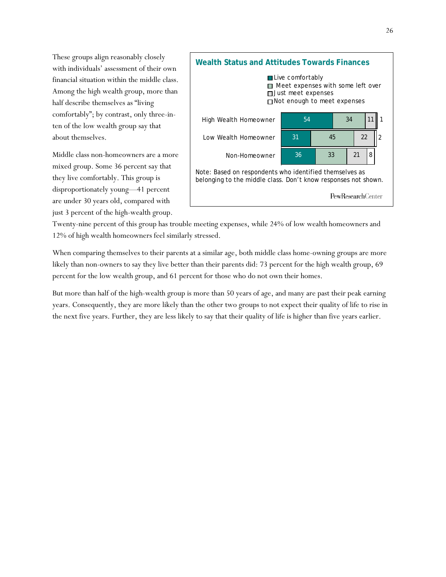These groups align reasonably closely with individuals' assessment of their own financial situation within the middle class. Among the high wealth group, more than half describe themselves as "living comfortably"; by contrast, only three-inten of the low wealth group say that about themselves.

Middle class non-homeowners are a more mixed group. Some 36 percent say that they live comfortably. This group is disproportionately young—41 percent are under 30 years old, compared with just 3 percent of the high-wealth group.



Twenty-nine percent of this group has trouble meeting expenses, while 24% of low wealth homeowners and 12% of high wealth homeowners feel similarly stressed.

When comparing themselves to their parents at a similar age, both middle class home-owning groups are more likely than non-owners to say they live better than their parents did: 73 percent for the high wealth group, 69 percent for the low wealth group, and 61 percent for those who do not own their homes.

But more than half of the high-wealth group is more than 50 years of age, and many are past their peak earning years. Consequently, they are more likely than the other two groups to not expect their quality of life to rise in the next five years. Further, they are less likely to say that their quality of life is higher than five years earlier.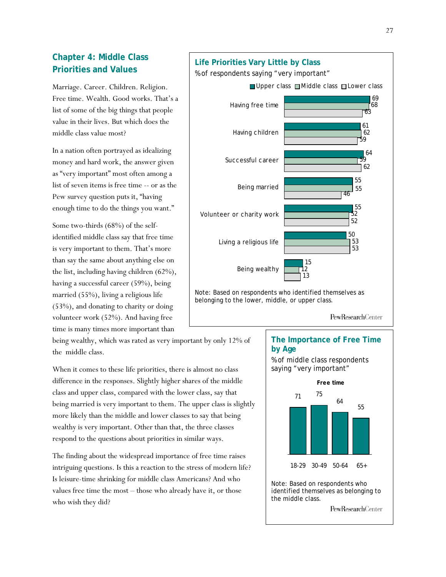# **Chapter 4: Middle Class Priorities and Values**

Marriage. Career. Children. Religion. Free time. Wealth. Good works. That's a list of some of the big things that people value in their lives. But which does the middle class value most?

In a nation often portrayed as idealizing money and hard work, the answer given as "very important" most often among a list of seven items is free time -- or as the Pew survey question puts it, "having enough time to do the things you want."

Some two-thirds (68%) of the selfidentified middle class say that free time is very important to them. That's more than say the same about anything else on the list, including having children (62%), having a successful career (59%), being married (55%), living a religious life (53%), and donating to charity or doing volunteer work (52%). And having free time is many times more important than

being wealthy, which was rated as very important by only 12% of the middle class.

When it comes to these life priorities, there is almost no class difference in the responses. Slightly higher shares of the middle class and upper class, compared with the lower class, say that being married is very important to them. The upper class is slightly more likely than the middle and lower classes to say that being wealthy is very important. Other than that, the three classes respond to the questions about priorities in similar ways.

The finding about the widespread importance of free time raises intriguing questions. Is this a reaction to the stress of modern life? Is leisure-time shrinking for middle class Americans? And who values free time the most – those who already have it, or those who wish they did?

#### 64 55 55 52 62 46 59 55 Successful career Being married Volunteer or charity work

Upper class  $\Box$  Middle class  $\Box$  Lower class

15

13

12

**Life Priorities Vary Little by Class**  % of respondents saying "very important"

Having free time

Having children

Living a religious life

Being wealthy

Note: Based on respondents who identified themselves as belonging to the lower, middle, or upper class.

PewResearchCenter

50

52

53

53

## **The Importance of Free Time by Age**



**PewResearchCenter** 

69

68

61

63

62

59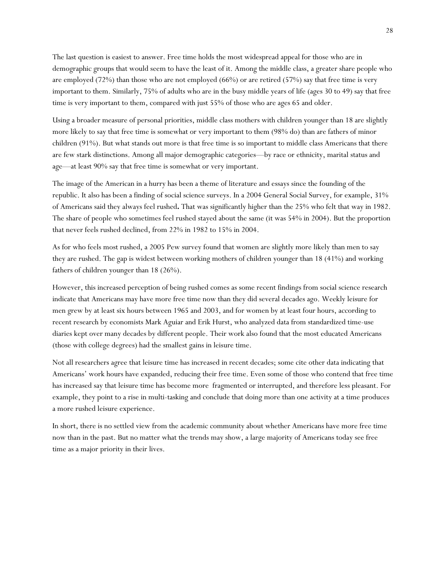The last question is easiest to answer. Free time holds the most widespread appeal for those who are in demographic groups that would seem to have the least of it. Among the middle class, a greater share people who are employed (72%) than those who are not employed (66%) or are retired (57%) say that free time is very important to them. Similarly, 75% of adults who are in the busy middle years of life (ages 30 to 49) say that free time is very important to them, compared with just 55% of those who are ages 65 and older.

Using a broader measure of personal priorities, middle class mothers with children younger than 18 are slightly more likely to say that free time is somewhat or very important to them (98% do) than are fathers of minor children (91%). But what stands out more is that free time is so important to middle class Americans that there are few stark distinctions. Among all major demographic categories—by race or ethnicity, marital status and age—at least 90% say that free time is somewhat or very important.

The image of the American in a hurry has been a theme of literature and essays since the founding of the republic. It also has been a finding of social science surveys. In a 2004 General Social Survey, for example, 31% of Americans said they always feel rushed**.** That was significantly higher than the 25% who felt that way in 1982. The share of people who sometimes feel rushed stayed about the same (it was 54% in 2004). But the proportion that never feels rushed declined, from 22% in 1982 to 15% in 2004.

As for who feels most rushed, a 2005 Pew survey found that women are slightly more likely than men to say they are rushed. The gap is widest between working mothers of children younger than 18 (41%) and working fathers of children younger than 18 (26%).

However, this increased perception of being rushed comes as some recent findings from social science research indicate that Americans may have more free time now than they did several decades ago. Weekly leisure for men grew by at least six hours between 1965 and 2003, and for women by at least four hours, according to recent research by economists Mark Aguiar and Erik Hurst, who analyzed data from standardized time-use diaries kept over many decades by different people. Their work also found that the most educated Americans (those with college degrees) had the smallest gains in leisure time.

Not all researchers agree that leisure time has increased in recent decades; some cite other data indicating that Americans' work hours have expanded, reducing their free time. Even some of those who contend that free time has increased say that leisure time has become more fragmented or interrupted, and therefore less pleasant. For example, they point to a rise in multi-tasking and conclude that doing more than one activity at a time produces a more rushed leisure experience.

In short, there is no settled view from the academic community about whether Americans have more free time now than in the past. But no matter what the trends may show, a large majority of Americans today see free time as a major priority in their lives.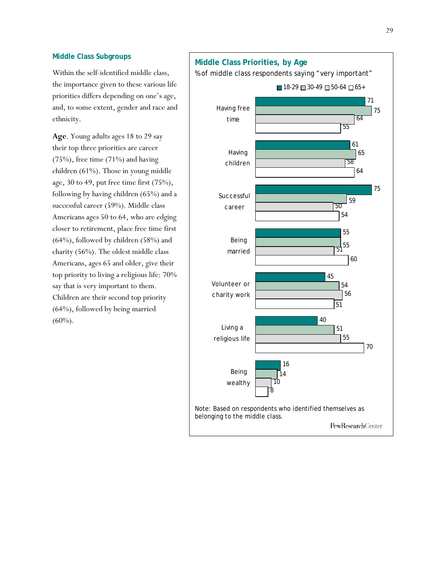## **Middle Class Subgroups**

Within the self-identified middle class, the importance given to these various life priorities differs depending on one's age, and, to some extent, gender and race and ethnicity.

**Age**. Young adults ages 18 to 29 say their top three priorities are career (75%), free time (71%) and having children (61%). Those in young middle age, 30 to 49, put free time first (75%), following by having children (65%) and a successful career (59%). Middle class Americans ages 50 to 64, who are edging closer to retirement, place free time first (64%), followed by children (58%) and charity (56%). The oldest middle class Americans, ages 65 and older, give their top priority to living a religious life: 70% say that is very important to them. Children are their second top priority (64%), followed by being married (60%).

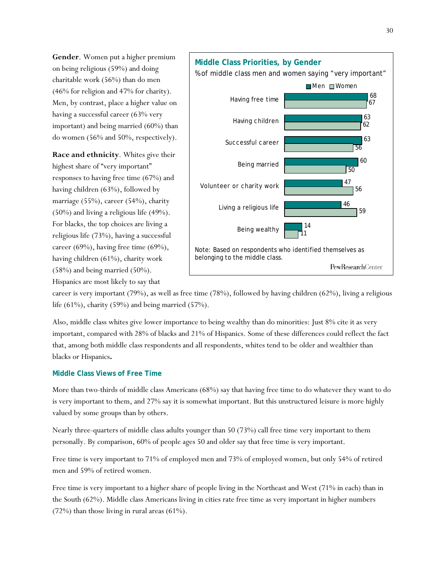**Gender**. Women put a higher premium on being religious (59%) and doing charitable work (56%) than do men (46% for religion and 47% for charity). Men, by contrast, place a higher value on having a successful career (63% very important) and being married (60%) than do women (56% and 50%, respectively).

**Race and ethnicity**. Whites give their highest share of "very important" responses to having free time (67%) and having children (63%), followed by marriage (55%), career (54%), charity (50%) and living a religious life (49%). For blacks, the top choices are living a religious life (73%), having a successful career (69%), having free time (69%), having children (61%), charity work (58%) and being married (50%). Hispanics are most likely to say that



career is very important (79%), as well as free time (78%), followed by having children (62%), living a religious life (61%), charity (59%) and being married (57%).

Also, middle class whites give lower importance to being wealthy than do minorities: Just 8% cite it as very important, compared with 28% of blacks and 21% of Hispanics. Some of these differences could reflect the fact that, among both middle class respondents and all respondents, whites tend to be older and wealthier than blacks or Hispanics**.** 

## **Middle Class Views of Free Time**

More than two-thirds of middle class Americans (68%) say that having free time to do whatever they want to do is very important to them, and 27% say it is somewhat important. But this unstructured leisure is more highly valued by some groups than by others.

Nearly three-quarters of middle class adults younger than 50 (73%) call free time very important to them personally. By comparison, 60% of people ages 50 and older say that free time is very important.

Free time is very important to 71% of employed men and 73% of employed women, but only 54% of retired men and 59% of retired women.

Free time is very important to a higher share of people living in the Northeast and West (71% in each) than in the South (62%). Middle class Americans living in cities rate free time as very important in higher numbers (72%) than those living in rural areas (61%).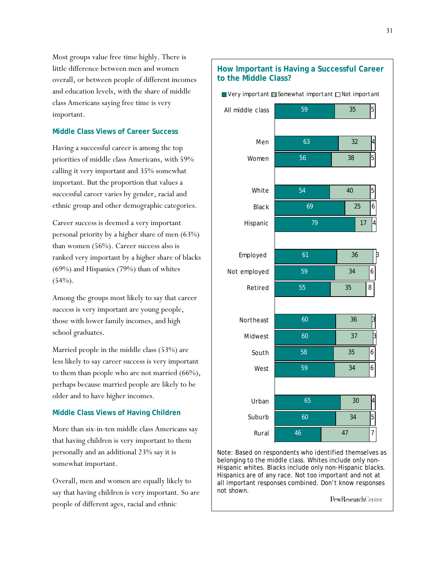Most groups value free time highly. There is little difference between men and women overall, or between people of different incomes and education levels, with the share of middle class Americans saying free time is very important.

### **Middle Class Views of Career Success**

Having a successful career is among the top priorities of middle class Americans, with 59% calling it very important and 35% somewhat important. But the proportion that values a successful career varies by gender, racial and ethnic group and other demographic categories.

Career success is deemed a very important personal priority by a higher share of men (63%) than women (56%). Career success also is ranked very important by a higher share of blacks (69%) and Hispanics (79%) than of whites  $(54%)$ .

Among the groups most likely to say that career success is very important are young people, those with lower family incomes, and high school graduates.

Married people in the middle class (53%) are less likely to say career success is very important to them than people who are not married (66%), perhaps because married people are likely to be older and to have higher incomes.

## **Middle Class Views of Having Children**

More than six-in-ten middle class Americans say that having children is very important to them personally and an additional 23% say it is somewhat important.

Overall, men and women are equally likely to say that having children is very important. So are people of different ages, racial and ethnic



Note: Based on respondents who identified themselves as belonging to the middle class. Whites include only non-Hispanic whites. Blacks include only non-Hispanic blacks. Hispanics are of any race. Not too important and not at all important responses combined. Don't know responses not shown.

PewResearchCenter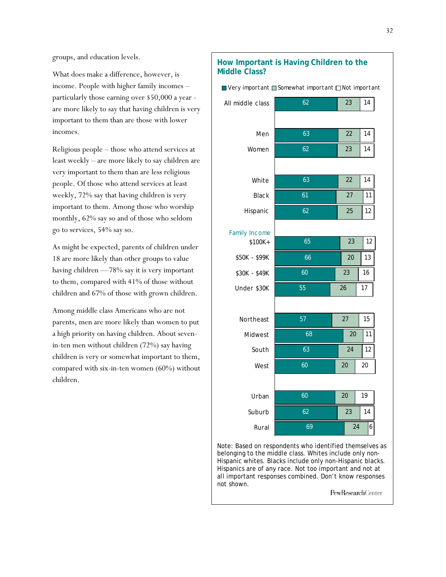groups, and education levels.

What does make a difference, however, is income. People with higher family incomes – particularly those earning over \$50,000 a year are more likely to say that having children is very important to them than are those with lower incomes.

Religious people – those who attend services at least weekly – are more likely to say children are very important to them than are less religious people. Of those who attend services at least weekly, 72% say that having children is very important to them. Among those who worship monthly, 62% say so and of those who seldom go to services, 54% say so.

As might be expected, parents of children under 18 are more likely than other groups to value having children —78% say it is very important to them, compared with 41% of those without children and 67% of those with grown children.

Among middle class Americans who are not parents, men are more likely than women to put a high priority on having children. About sevenin-ten men without children (72%) say having children is very or somewhat important to them, compared with six-in-ten women (60%) without children.

#### 62 63 62 63 61 62 65 66 60 55 57 68 63 60 60 62 69 23 22 23 22 27 25 23 20 23 26 27 20 24 20 20 23 24 14 14 14 14 11 12 12 13 16 17 15 11 12 20 19 14 6 All middle class Men Women White Black Hispanic \$100K+ \$50K - \$99K \$30K - \$49K Under \$30K Northeast **Midwest** South West Urban Suburb Rural  $\Box$  Very important  $\Box$  Somewhat important  $\Box$  Not important Family Income

Note: Based on respondents who identified themselves as belonging to the middle class. Whites include only non-Hispanic whites. Blacks include only non-Hispanic blacks. Hispanics are of any race. Not too important and not at all important responses combined. Don't know responses not shown.

PewResearchCenter

## **How Important is Having Children to the Middle Class?**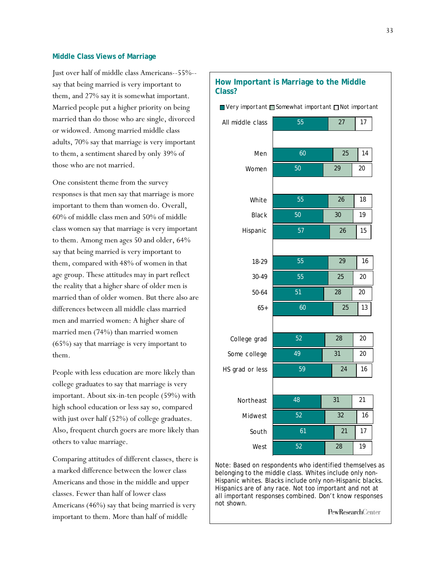### **Middle Class Views of Marriage**

Just over half of middle class Americans--55%- say that being married is very important to them, and 27% say it is somewhat important. Married people put a higher priority on being married than do those who are single, divorced or widowed. Among married middle class adults, 70% say that marriage is very important to them, a sentiment shared by only 39% of those who are not married.

One consistent theme from the survey responses is that men say that marriage is more important to them than women do. Overall, 60% of middle class men and 50% of middle class women say that marriage is very important to them. Among men ages 50 and older, 64% say that being married is very important to them, compared with 48% of women in that age group. These attitudes may in part reflect the reality that a higher share of older men is married than of older women. But there also are differences between all middle class married men and married women: A higher share of married men (74%) than married women (65%) say that marriage is very important to them.

People with less education are more likely than college graduates to say that marriage is very important. About six-in-ten people (59%) with high school education or less say so, compared with just over half (52%) of college graduates. Also, frequent church goers are more likely than others to value marriage.

Comparing attitudes of different classes, there is a marked difference between the lower class Americans and those in the middle and upper classes. Fewer than half of lower class Americans (46%) say that being married is very important to them. More than half of middle

| How Important is Marriage to the Middle<br>Class? |    |    |                                                       |  |  |
|---------------------------------------------------|----|----|-------------------------------------------------------|--|--|
|                                                   |    |    |                                                       |  |  |
| 55                                                | 27 | 17 |                                                       |  |  |
|                                                   |    |    |                                                       |  |  |
| 60                                                | 25 | 14 |                                                       |  |  |
| 50                                                | 29 | 20 |                                                       |  |  |
|                                                   |    |    |                                                       |  |  |
| 55                                                | 26 | 18 |                                                       |  |  |
| 50                                                | 30 | 19 |                                                       |  |  |
| 57                                                | 26 | 15 |                                                       |  |  |
|                                                   |    |    |                                                       |  |  |
| 55                                                | 29 | 16 |                                                       |  |  |
| 55                                                | 25 | 20 |                                                       |  |  |
| 51                                                | 28 | 20 |                                                       |  |  |
| 60                                                | 25 | 13 |                                                       |  |  |
|                                                   |    |    |                                                       |  |  |
| 52                                                | 28 | 20 |                                                       |  |  |
| 49                                                | 31 | 20 |                                                       |  |  |
| 59                                                | 24 | 16 |                                                       |  |  |
|                                                   |    |    |                                                       |  |  |
| 48                                                | 31 | 21 |                                                       |  |  |
| 52                                                | 32 | 16 |                                                       |  |  |
| 61                                                | 21 | 17 |                                                       |  |  |
| 52                                                | 28 | 19 |                                                       |  |  |
|                                                   |    |    | ■ Very important ■ Somewhat important □ Not important |  |  |

Note: Based on respondents who identified themselves as belonging to the middle class. Whites include only non-Hispanic whites. Blacks include only non-Hispanic blacks. Hispanics are of any race. Not too important and not at all important responses combined. Don't know responses not shown.

PewResearchCenter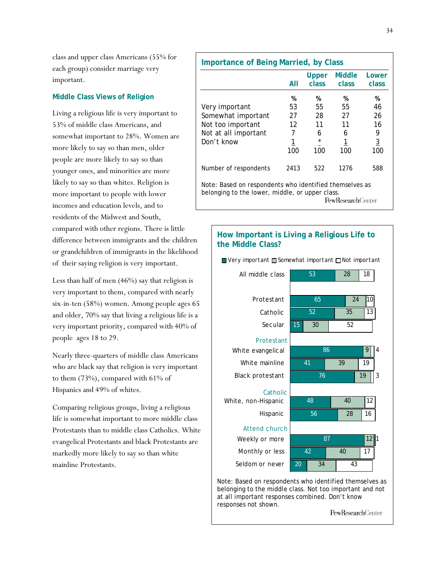class and upper class Americans (55% for each group) consider marriage very important.

## **Middle Class Views of Religion**

Living a religious life is very important to 53% of middle class Americans, and somewhat important to 28%. Women are more likely to say so than men, older people are more likely to say so than younger ones, and minorities are more likely to say so than whites. Religion is more important to people with lower incomes and education levels, and to residents of the Midwest and South, compared with other regions. There is little difference between immigrants and the children or grandchildren of immigrants in the likelihood of their saying religion is very important.

Less than half of men (46%) say that religion is very important to them, compared with nearly six-in-ten (58%) women. Among people ages 65 and older, 70% say that living a religious life is a very important priority, compared with 40% of people ages 18 to 29.

Nearly three-quarters of middle class Americans who are black say that religion is very important to them (73%), compared with 61% of Hispanics and 49% of whites.

Comparing religious groups, living a religious life is somewhat important to more middle class Protestants than to middle class Catholics. White evangelical Protestants and black Protestants are markedly more likely to say so than white mainline Protestants.

| <b>Importance of Being Married, by Class</b>                                                                                            |                                      |                                            |                                      |                                                   |  |
|-----------------------------------------------------------------------------------------------------------------------------------------|--------------------------------------|--------------------------------------------|--------------------------------------|---------------------------------------------------|--|
|                                                                                                                                         | All                                  | Upper<br><b>class</b>                      | <b>Middle</b><br>class               | Lower<br>class                                    |  |
| Very important<br>Somewhat important<br>Not too important<br>Not at all important<br>Don't know                                         | %<br>53<br>27<br>12<br>7<br>1<br>100 | %<br>55<br>28<br>11<br>6<br>$\star$<br>100 | %<br>55<br>27<br>11<br>6<br>1<br>100 | %<br>46<br>26<br>16<br>9<br>$\overline{3}$<br>100 |  |
| Number of respondents                                                                                                                   | 2413                                 | 522                                        | 1276                                 | 588                                               |  |
| Note: Based on respondents who identified themselves as<br>belonging to the lower, middle, or upper class.<br><b>PewResearch</b> Center |                                      |                                            |                                      |                                                   |  |



Note: Based on respondents who identified themselves as belonging to the middle class. Not too important and not at all important responses combined. Don't know responses not shown.

PewResearchCenter

#### 34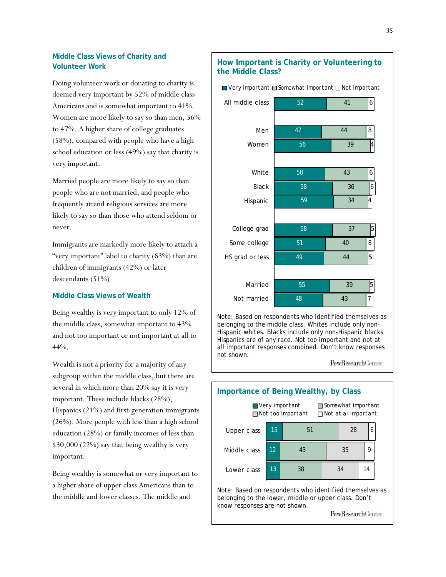## **Middle Class Views of Charity and Volunteer Work**

Doing volunteer work or donating to charity is deemed very important by 52% of middle class Americans and is somewhat important to 41%. Women are more likely to say so than men, 56% to 47%. A higher share of college graduates (58%), compared with people who have a high school education or less (49%) say that charity is very important.

Married people are more likely to say so than people who are not married, and people who frequently attend religious services are more likely to say so than those who attend seldom or never.

Immigrants are markedly more likely to attach a "very important" label to charity (63%) than are children of immigrants (42%) or later descendants (51%).

### **Middle Class Views of Wealth**

Being wealthy is very important to only 12% of the middle class, somewhat important to 43% and not too important or not important at all to 44%.

Wealth is not a priority for a majority of any subgroup within the middle class, but there are several in which more than 20% say it is very important. These include blacks (28%), Hispanics (21%) and first-generation immigrants (26%). More people with less than a high school education (28%) or family incomes of less than \$30,000 (22%) say that being wealthy is very important.

Being wealthy is somewhat or very important to a higher share of upper class Americans than to the middle and lower classes. The middle and

## **How Important is Charity or Volunteering to the Middle Class?**

 $\Box$  Very important  $\Box$  Somewhat important  $\Box$  Not important



Note: Based on respondents who identified themselves as belonging to the middle class. Whites include only non-Hispanic whites. Blacks include only non-Hispanic blacks. Hispanics are of any race. Not too important and not at all important responses combined. Don't know responses not shown.

PewResearchCenter **Importance of Being Wealthy, by Class** ■ Very important ■ Somewhat important  $\Box$  Not too important  $\Box$  Not at all important 51 28 Upper class 15 6 Middle class 12 43 35 9 13 38 34 14 Lower class

Note: Based on respondents who identified themselves as belonging to the lower, middle or upper class. Don't know responses are not shown.

PewResearchCenter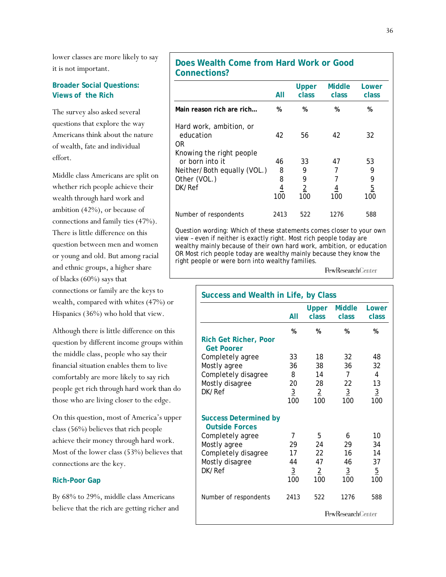lower classes are more likely to say it is not important.

## **Broader Social Questions: Views of the Rich**

The survey also asked several questions that explore the way Americans think about the nature of wealth, fate and individual effort.

Middle class Americans are split on whether rich people achieve their wealth through hard work and ambition (42%), or because of connections and family ties (47%). There is little difference on this question between men and women or young and old. But among racial and ethnic groups, a higher share of blacks (60%) says that connections or family are the keys to wealth, compared with whites (47%) or Hispanics (36%) who hold that view.

Although there is little difference on this question by different income groups within the middle class, people who say their financial situation enables them to live comfortably are more likely to say rich people get rich through hard work than do those who are living closer to the edge.

On this question, most of America's upper class (56%) believes that rich people achieve their money through hard work. Most of the lower class (53%) believes that connections are the key.

### **Rich-Poor Gap**

By 68% to 29%, middle class Americans believe that the rich are getting richer and

## **Does Wealth Come from Hard Work or Good Connections?**

|                                                                        | All                   | Upper<br>class        | <b>Middle</b><br>class | Lower<br>class        |
|------------------------------------------------------------------------|-----------------------|-----------------------|------------------------|-----------------------|
| Main reason rich are rich                                              | %                     | %                     | %                      | %                     |
| Hard work, ambition, or<br>education<br>0R<br>Knowing the right people | 42                    | 56                    | 42                     | 32                    |
| or born into it                                                        | 46                    | 33                    | 47                     | 53                    |
| Neither/Both equally (VOL.)                                            | 8                     | 9                     |                        | 9                     |
| Other (VOL.)                                                           | 8                     | 9                     |                        | 9                     |
| DK/Ref                                                                 | $\overline{4}$<br>100 | $\overline{2}$<br>100 | 4<br>100               | $\overline{5}$<br>100 |
| Number of respondents                                                  | 2413                  | 522                   | 1276                   | 588                   |

Question wording: Which of these statements comes closer to your own view – even if neither is exactly right. Most rich people today are wealthy mainly because of their own hard work, ambition, or education OR Most rich people today are wealthy mainly because they know the right people or were born into wealthy families.

PewResearchCenter

| Success and Wealth in Life, by Class                                                                                                          |                                              |                                               |                                              |                                               |
|-----------------------------------------------------------------------------------------------------------------------------------------------|----------------------------------------------|-----------------------------------------------|----------------------------------------------|-----------------------------------------------|
|                                                                                                                                               | All                                          | <b>Upper</b><br><b>class</b>                  | <b>Middle</b><br>class                       | Lower<br>class                                |
| <b>Rich Get Richer, Poor</b><br><b>Get Poorer</b>                                                                                             | %                                            | %                                             | %                                            | %                                             |
| Completely agree<br>Mostly agree<br>Completely disagree<br>Mostly disagree<br>DK/Ref                                                          | 33<br>36<br>8<br>20<br>$\overline{3}$<br>100 | 18<br>38<br>14<br>28<br>$\overline{2}$<br>100 | 32<br>36<br>7<br>22<br>$\overline{3}$<br>100 | 48<br>32<br>4<br>13<br>$\overline{3}$<br>100  |
| <b>Success Determined by</b><br><b>Outside Forces</b><br>Completely agree<br>Mostly agree<br>Completely disagree<br>Mostly disagree<br>DK/Ref | 7<br>29<br>17<br>44<br>$\overline{3}$<br>100 | 5<br>24<br>22<br>47<br>$\overline{2}$<br>100  | 6<br>29<br>16<br>46<br>$\overline{3}$<br>100 | 10<br>34<br>14<br>37<br>$\overline{5}$<br>100 |
| Number of respondents                                                                                                                         | 2413                                         | 522                                           | 1276<br><b>PewResearchCenter</b>             | 588                                           |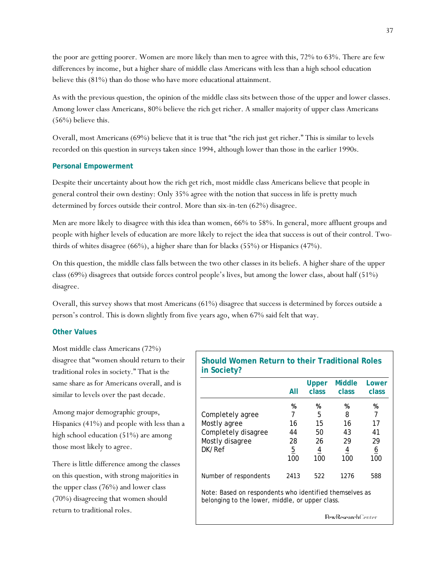the poor are getting poorer. Women are more likely than men to agree with this, 72% to 63%. There are few differences by income, but a higher share of middle class Americans with less than a high school education believe this (81%) than do those who have more educational attainment.

As with the previous question, the opinion of the middle class sits between those of the upper and lower classes. Among lower class Americans, 80% believe the rich get richer. A smaller majority of upper class Americans (56%) believe this.

Overall, most Americans (69%) believe that it is true that "the rich just get richer." This is similar to levels recorded on this question in surveys taken since 1994, although lower than those in the earlier 1990s.

### **Personal Empowerment**

Despite their uncertainty about how the rich get rich, most middle class Americans believe that people in general control their own destiny: Only 35% agree with the notion that success in life is pretty much determined by forces outside their control. More than six-in-ten (62%) disagree.

Men are more likely to disagree with this idea than women, 66% to 58%. In general, more affluent groups and people with higher levels of education are more likely to reject the idea that success is out of their control. Twothirds of whites disagree (66%), a higher share than for blacks (55%) or Hispanics (47%).

On this question, the middle class falls between the two other classes in its beliefs. A higher share of the upper class (69%) disagrees that outside forces control people's lives, but among the lower class, about half (51%) disagree.

Overall, this survey shows that most Americans (61%) disagree that success is determined by forces outside a person's control. This is down slightly from five years ago, when 67% said felt that way.

### **Other Values**

Most middle class Americans (72%) disagree that "women should return to their traditional roles in society." That is the same share as for Americans overall, and is similar to levels over the past decade.

Among major demographic groups, Hispanics (41%) and people with less than a high school education (51%) are among those most likely to agree.

There is little difference among the classes on this question, with strong majorities in the upper class (76%) and lower class (70%) disagreeing that women should return to traditional roles.

# **Should Women Return to their Traditional Roles in Society?**

|                                                                                                            | All                   | Upper<br>class        | <b>Middle</b><br>class | Lower<br>class  |
|------------------------------------------------------------------------------------------------------------|-----------------------|-----------------------|------------------------|-----------------|
|                                                                                                            | %                     | %                     | ℅                      | %               |
| Completely agree                                                                                           | 7                     | 5                     | 8                      | 7               |
| Mostly agree                                                                                               | 16                    | 15                    | 16                     | 17              |
| Completely disagree                                                                                        | 44                    | 50                    | 43                     | 41              |
| Mostly disagree                                                                                            | 28                    | 26                    | 29                     | 29              |
| DK/Ref                                                                                                     | $\overline{5}$<br>100 | $\overline{4}$<br>100 | $\overline{4}$<br>100  | <u>6</u><br>100 |
| Number of respondents                                                                                      | 2413                  | 522                   | 1276                   | 588             |
| Note: Based on respondents who identified themselves as<br>belonging to the lower, middle, or upper class. |                       |                       |                        |                 |
|                                                                                                            |                       |                       | PewResearchCenter      |                 |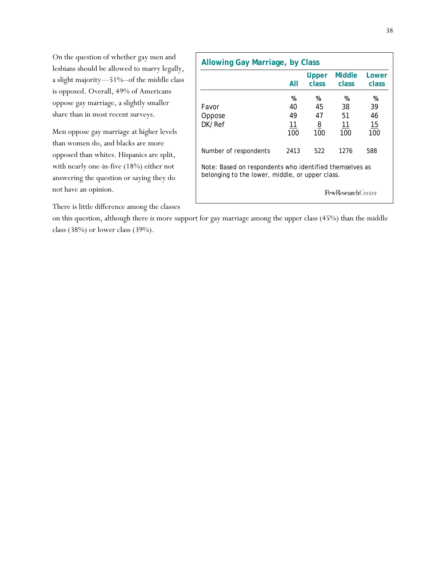On the question of whether gay men and lesbians should be allowed to marry legally, a slight majority—51%--of the middle class is opposed. Overall, 49% of Americans oppose gay marriage, a slightly smaller share than in most recent surveys.

Men oppose gay marriage at higher levels than women do, and blacks are more opposed than whites. Hispanics are split, with nearly one-in-five (18%) either not answering the question or saying they do not have an opinion.

| <b>Allowing Gay Marriage, by Class</b>                                                                     |                            |                                  |                            |                            |  |
|------------------------------------------------------------------------------------------------------------|----------------------------|----------------------------------|----------------------------|----------------------------|--|
|                                                                                                            | All                        | Upper<br>class                   | <b>Middle</b><br>class     | Lower<br>class             |  |
| Favor<br>Oppose<br>DK/Ref                                                                                  | %<br>40<br>49<br>11<br>100 | %<br>45<br>47<br><u>8</u><br>100 | %<br>38<br>51<br>11<br>100 | %<br>39<br>46<br>15<br>100 |  |
| Number of respondents                                                                                      | 2413                       | 522                              | 1276                       | 588                        |  |
| Note: Based on respondents who identified themselves as<br>belonging to the lower, middle, or upper class. |                            |                                  |                            |                            |  |
| <b>PewResearch</b> Center                                                                                  |                            |                                  |                            |                            |  |

There is little difference among the classes

on this question, although there is more support for gay marriage among the upper class (45%) than the middle class (38%) or lower class (39%).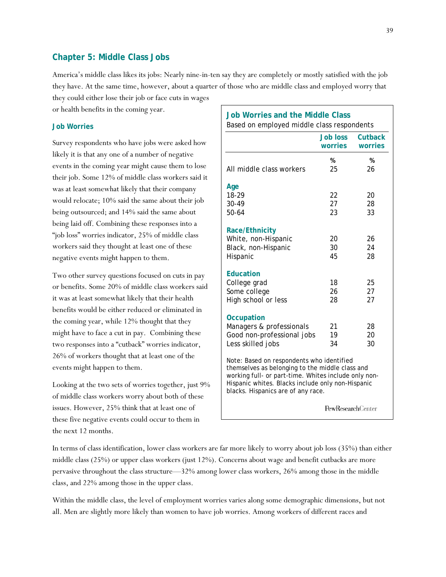## **Chapter 5: Middle Class Jobs**

America's middle class likes its jobs: Nearly nine-in-ten say they are completely or mostly satisfied with the job they have. At the same time, however, about a quarter of those who are middle class and employed worry that they could either lose their job or face cuts in wages

or health benefits in the coming year.

### **Job Worries**

Survey respondents who have jobs were asked how likely it is that any one of a number of negative events in the coming year might cause them to lose their job. Some 12% of middle class workers said it was at least somewhat likely that their company would relocate; 10% said the same about their job being outsourced; and 14% said the same about being laid off. Combining these responses into a "job loss" worries indicator, 25% of middle class workers said they thought at least one of these negative events might happen to them.

Two other survey questions focused on cuts in pay or benefits. Some 20% of middle class workers said it was at least somewhat likely that their health benefits would be either reduced or eliminated in the coming year, while 12% thought that they might have to face a cut in pay. Combining these two responses into a "cutback" worries indicator, 26% of workers thought that at least one of the events might happen to them.

Looking at the two sets of worries together, just 9% of middle class workers worry about both of these issues. However, 25% think that at least one of these five negative events could occur to them in the next 12 months.

# **Job Worries and the Middle Class**  Based on employed middle class respondents

|                                                                                                                                                                                                                                                 | <b>Job loss</b><br>worries | <b>Cutback</b><br>worries |
|-------------------------------------------------------------------------------------------------------------------------------------------------------------------------------------------------------------------------------------------------|----------------------------|---------------------------|
| All middle class workers                                                                                                                                                                                                                        | %<br>25                    | %<br>26                   |
| Age<br>18-29<br>30-49<br>50-64                                                                                                                                                                                                                  | 22<br>27<br>23             | 20<br>28<br>33            |
| <b>Race/Ethnicity</b><br>White, non-Hispanic<br>Black, non-Hispanic<br>Hispanic                                                                                                                                                                 | 20<br>30<br>45             | 26<br>24<br>28            |
| Education<br>College grad<br>Some college<br>High school or less                                                                                                                                                                                | 18<br>26<br>28             | 25<br>27<br>27            |
| <b>Occupation</b><br>Managers & professionals<br>Good non-professional jobs<br>Less skilled jobs                                                                                                                                                | 21<br>19<br>34             | 28<br>20<br>30            |
| Note: Based on respondents who identified<br>themselves as belonging to the middle class and<br>working full- or part-time. Whites include only non-<br>Hispanic whites. Blacks include only non-Hispanic<br>blacks. Hispanics are of any race. |                            |                           |
|                                                                                                                                                                                                                                                 | <b>PewResearchCenter</b>   |                           |

In terms of class identification, lower class workers are far more likely to worry about job loss (35%) than either middle class (25%) or upper class workers (just 12%). Concerns about wage and benefit cutbacks are more pervasive throughout the class structure—32% among lower class workers, 26% among those in the middle class, and 22% among those in the upper class.

Within the middle class, the level of employment worries varies along some demographic dimensions, but not all. Men are slightly more likely than women to have job worries. Among workers of different races and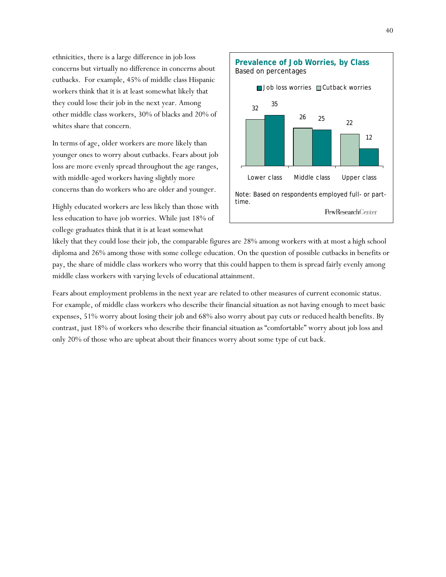ethnicities, there is a large difference in job loss concerns but virtually no difference in concerns about cutbacks. For example, 45% of middle class Hispanic workers think that it is at least somewhat likely that they could lose their job in the next year. Among other middle class workers, 30% of blacks and 20% of whites share that concern.

In terms of age, older workers are more likely than younger ones to worry about cutbacks. Fears about job loss are more evenly spread throughout the age ranges, with middle-aged workers having slightly more concerns than do workers who are older and younger.

Highly educated workers are less likely than those with less education to have job worries. While just 18% of college graduates think that it is at least somewhat



likely that they could lose their job, the comparable figures are 28% among workers with at most a high school diploma and 26% among those with some college education. On the question of possible cutbacks in benefits or pay, the share of middle class workers who worry that this could happen to them is spread fairly evenly among middle class workers with varying levels of educational attainment.

Fears about employment problems in the next year are related to other measures of current economic status. For example, of middle class workers who describe their financial situation as not having enough to meet basic expenses, 51% worry about losing their job and 68% also worry about pay cuts or reduced health benefits. By contrast, just 18% of workers who describe their financial situation as "comfortable" worry about job loss and only 20% of those who are upbeat about their finances worry about some type of cut back.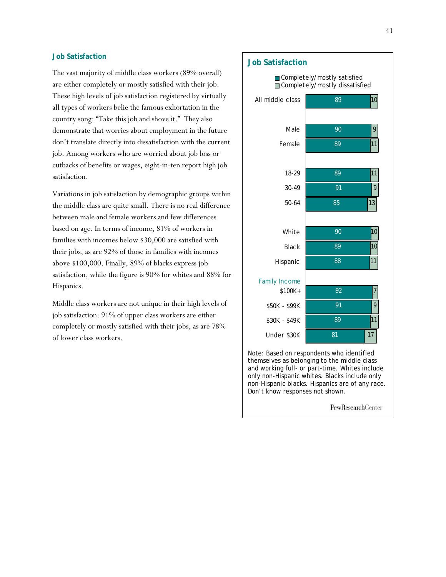## **Job Satisfaction**

The vast majority of middle class workers (89% overall) are either completely or mostly satisfied with their job. These high levels of job satisfaction registered by virtually all types of workers belie the famous exhortation in the country song: "Take this job and shove it." They also demonstrate that worries about employment in the future don't translate directly into dissatisfaction with the current job. Among workers who are worried about job loss or cutbacks of benefits or wages, eight-in-ten report high job satisfaction.

Variations in job satisfaction by demographic groups within the middle class are quite small. There is no real difference between male and female workers and few differences based on age. In terms of income, 81% of workers in families with incomes below \$30,000 are satisfied with their jobs, as are 92% of those in families with incomes above \$100,000. Finally, 89% of blacks express job satisfaction, while the figure is 90% for whites and 88% for Hispanics.

Middle class workers are not unique in their high levels of job satisfaction: 91% of upper class workers are either completely or mostly satisfied with their jobs, as are 78% of lower class workers.

#### **Job Satisfaction**  89 90 89 89 91 85 90 89 88 92 91 89 81 10 9 11 11 9 13 10 10 11 7 9 11 17 All middle class Male Female 18-29 30-49 50-64 White **Black** Hispanic \$100K+ \$50K - \$99K \$30K - \$49K Under \$30K Completely/mostly satisfied Completely/mostly dissatisfied Family Income Note: Based on respondents who identified

themselves as belonging to the middle class and working full- or part-time. Whites include only non-Hispanic whites. Blacks include only non-Hispanic blacks. Hispanics are of any race. Don't know responses not shown.

PewResearchCenter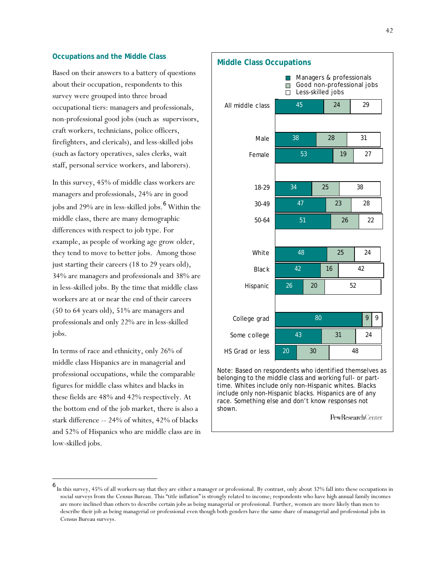### **Occupations and the Middle Class**

Based on their answers to a battery of questions about their occupation, respondents to this survey were grouped into three broad occupational tiers: managers and professionals, non-professional good jobs (such as supervisors, craft workers, technicians, police officers, firefighters, and clericals), and less-skilled jobs (such as factory operatives, sales clerks, wait staff, personal service workers, and laborers).

In this survey, 45% of middle class workers are managers and professionals, 24% are in good jobs and 29% are in less-skilled jobs.<sup>6</sup> Within the middle class, there are many demographic differences with respect to job type. For example, as people of working age grow older, they tend to move to better jobs. Among those just starting their careers (18 to 29 years old), 34% are managers and professionals and 38% are in less-skilled jobs. By the time that middle class workers are at or near the end of their careers (50 to 64 years old), 51% are managers and professionals and only 22% are in less-skilled jobs.

In terms of race and ethnicity, only 26% of middle class Hispanics are in managerial and professional occupations, while the comparable figures for middle class whites and blacks in these fields are 48% and 42% respectively. At the bottom end of the job market, there is also a stark difference -- 24% of whites, 42% of blacks and 52% of Hispanics who are middle class are in low-skilled jobs.

 $\overline{\phantom{a}}$ 



include only non-Hispanic blacks. Hispanics are of any race. Something else and don't know responses not shown.

PewResearchCenter

<sup>6</sup> In this survey, 45% of all workers say that they are either a manager or professional. By contrast, only about 32% fall into these occupations in social surveys from the Census Bureau. This "title inflation" is strongly related to income; respondents who have high annual family incomes are more inclined than others to describe certain jobs as being managerial or professional. Further, women are more likely than men to describe their job as being managerial or professional even though both genders have the same share of managerial and professional jobs in Census Bureau surveys.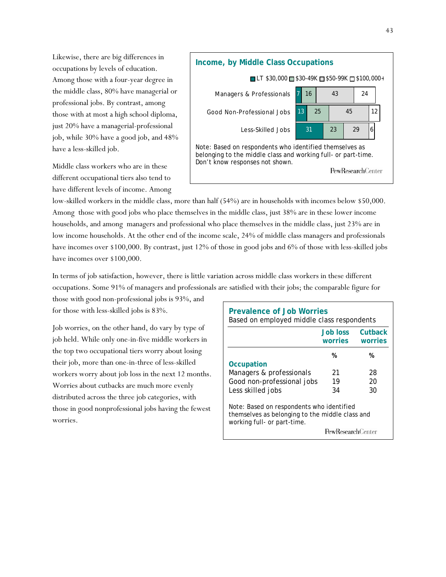Likewise, there are big differences in occupations by levels of education. Among those with a four-year degree in the middle class, 80% have managerial or professional jobs. By contrast, among those with at most a high school diploma, just 20% have a managerial-professional job, while 30% have a good job, and 48% have a less-skilled job.

Middle class workers who are in these different occupational tiers also tend to have different levels of income. Among



low-skilled workers in the middle class, more than half (54%) are in households with incomes below \$50,000. Among those with good jobs who place themselves in the middle class, just 38% are in these lower income households, and among managers and professional who place themselves in the middle class, just 23% are in low income households. At the other end of the income scale, 24% of middle class managers and professionals have incomes over \$100,000. By contrast, just 12% of those in good jobs and 6% of those with less-skilled jobs have incomes over \$100,000.

In terms of job satisfaction, however, there is little variation across middle class workers in these different occupations. Some 91% of managers and professionals are satisfied with their jobs; the comparable figure for

those with good non-professional jobs is 93%, and for those with less-skilled jobs is 83%.

Job worries, on the other hand, do vary by type of job held. While only one-in-five middle workers in the top two occupational tiers worry about losing their job, more than one-in-three of less-skilled workers worry about job loss in the next 12 months. Worries about cutbacks are much more evenly distributed across the three job categories, with those in good nonprofessional jobs having the fewest worries.

| Prevalence of Job Worries<br>Based on employed middle class respondents                                                                                 |                                           |    |  |  |  |  |
|---------------------------------------------------------------------------------------------------------------------------------------------------------|-------------------------------------------|----|--|--|--|--|
|                                                                                                                                                         | Cutback<br>Job loss<br>worries<br>worries |    |  |  |  |  |
|                                                                                                                                                         | %                                         | %  |  |  |  |  |
| Occupation                                                                                                                                              |                                           |    |  |  |  |  |
| Managers & professionals                                                                                                                                | 21<br>28                                  |    |  |  |  |  |
| Good non-professional jobs                                                                                                                              | 19<br>20                                  |    |  |  |  |  |
| Less skilled jobs                                                                                                                                       | 34                                        | 30 |  |  |  |  |
| Note: Based on respondents who identified<br>themselves as belonging to the middle class and<br>working full- or part-time.<br><b>PewResearchCenter</b> |                                           |    |  |  |  |  |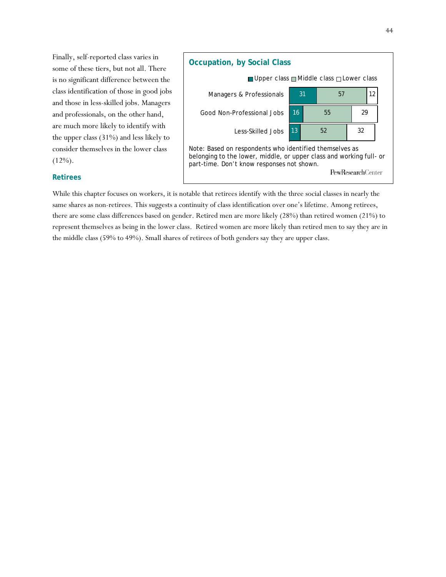Finally, self-reported class varies in some of these tiers, but not all. There is no significant difference between the class identification of those in good jobs and those in less-skilled jobs. Managers and professionals, on the other hand, are much more likely to identify with the upper class (31%) and less likely to consider themselves in the lower class  $(12\%)$ .



### **Retirees**

While this chapter focuses on workers, it is notable that retirees identify with the three social classes in nearly the same shares as non-retirees. This suggests a continuity of class identification over one's lifetime. Among retirees, there are some class differences based on gender. Retired men are more likely (28%) than retired women (21%) to represent themselves as being in the lower class. Retired women are more likely than retired men to say they are in the middle class (59% to 49%). Small shares of retirees of both genders say they are upper class.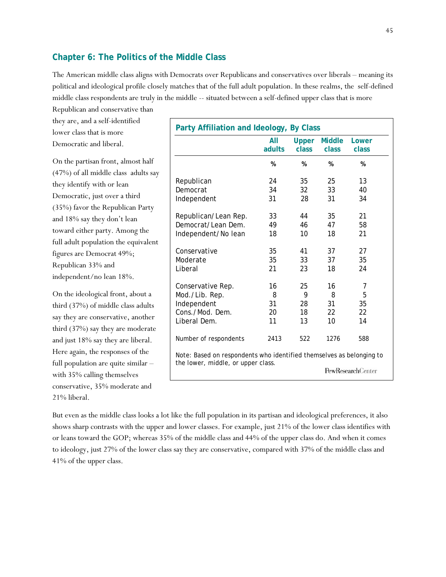# **Chapter 6: The Politics of the Middle Class**

The American middle class aligns with Democrats over Republicans and conservatives over liberals – meaning its political and ideological profile closely matches that of the full adult population. In these realms, the self-defined middle class respondents are truly in the middle -- situated between a self-defined upper class that is more

Republican and conservative than they are, and a self-identified lower class that is more Democratic and liberal.

On the partisan front, almost half (47%) of all middle class adults say they identify with or lean Democratic, just over a third (35%) favor the Republican Party and 18% say they don't lean toward either party. Among the full adult population the equivalent figures are Democrat 49%; Republican 33% and independent/no lean 18%.

On the ideological front, about a third (37%) of middle class adults say they are conservative, another third (37%) say they are moderate and just 18% say they are liberal. Here again, the responses of the full population are quite similar – with 35% calling themselves conservative, 35% moderate and 21% liberal.

| Party Affiliation and Ideology, By Class                             |        |              | All           |                          |  |  |  |  |
|----------------------------------------------------------------------|--------|--------------|---------------|--------------------------|--|--|--|--|
|                                                                      |        | <b>Upper</b> | <b>Middle</b> | Lower                    |  |  |  |  |
|                                                                      | adults | class        | class         | class                    |  |  |  |  |
|                                                                      | %      | %            | %             | %                        |  |  |  |  |
| Republican                                                           | 24     | 35           | 25            | 13                       |  |  |  |  |
| Democrat                                                             | 34     | 32           | 33            | 40                       |  |  |  |  |
| Independent                                                          | 31     | 28           | 31            | 34                       |  |  |  |  |
| Republican/Lean Rep.                                                 | 33     | 44           | 35            | 21                       |  |  |  |  |
| Democrat/Lean Dem.                                                   | 49     | 46           | 47            | 58                       |  |  |  |  |
| Independent/No lean                                                  | 18     | 10           | 18            | 21                       |  |  |  |  |
| Conservative                                                         | 35     | 41           | 37            | 27                       |  |  |  |  |
| Moderate                                                             | 35     | 33           | 37            | 35                       |  |  |  |  |
| Liberal                                                              | 21     | 23           | 18            | 24                       |  |  |  |  |
| Conservative Rep.                                                    | 16     | 25           | 16            | 7                        |  |  |  |  |
| Mod./Lib. Rep.                                                       | 8      | 9            | 8             | 5                        |  |  |  |  |
| Independent                                                          | 31     | 28           | 31            | 35                       |  |  |  |  |
| Cons./Mod. Dem.                                                      | 20     | 18           | 22            | 22                       |  |  |  |  |
| Liberal Dem.                                                         | 11     | 13           | 10            | 14                       |  |  |  |  |
| Number of respondents                                                | 2413   | 522          | 1276          | 588                      |  |  |  |  |
| Note: Based on respondents who identified themselves as belonging to |        |              |               |                          |  |  |  |  |
| the lower, middle, or upper class.                                   |        |              |               | <b>PewResearchCenter</b> |  |  |  |  |

But even as the middle class looks a lot like the full population in its partisan and ideological preferences, it also shows sharp contrasts with the upper and lower classes. For example, just 21% of the lower class identifies with or leans toward the GOP; whereas 35% of the middle class and 44% of the upper class do. And when it comes to ideology, just 27% of the lower class say they are conservative, compared with 37% of the middle class and 41% of the upper class.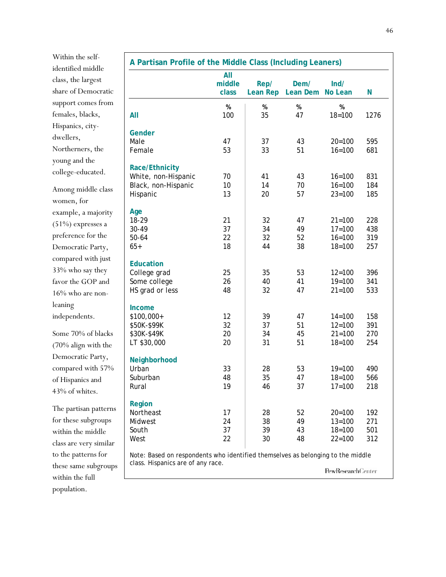Within the selfidentified middle class, the largest share of Democratic support comes from females, blacks, Hispanics, citydwellers, Northerners, the young and the college-educated.

Among middle class women, for example, a majority (51%) expresses a preference for the Democratic Party, compared with just 33% who say they favor the GOP and 16% who are nonleaning independents.

Some 70% of blacks (70% align with the Democratic Party, compared with 57% of Hispanics and 43% of whites.

The partisan patterns for these subgroups within the middle class are very similar to the patterns for these same subgroups within the full population.

| A Partisan Profile of the Middle Class (Including Leaners)                      |                        |                         |                  |                    |      |
|---------------------------------------------------------------------------------|------------------------|-------------------------|------------------|--------------------|------|
|                                                                                 | All<br>middle<br>class | Rep/<br><b>Lean Rep</b> | Dem/<br>Lean Dem | Ind/<br>No Lean    | N    |
| All                                                                             | $\%$<br>100            | $\%$<br>35              | $\%$<br>47       | $\%$<br>$18 = 100$ | 1276 |
| Gender                                                                          |                        |                         |                  |                    |      |
| Male                                                                            | 47                     | 37                      | 43               | $20 = 100$         | 595  |
| Female                                                                          | 53                     | 33                      | 51               | $16 = 100$         | 681  |
| Race/Ethnicity                                                                  |                        |                         |                  |                    |      |
| White, non-Hispanic                                                             | 70                     | 41                      | 43               | $16 = 100$         | 831  |
| Black, non-Hispanic                                                             | 10                     | 14                      | 70               | $16 = 100$         | 184  |
| Hispanic                                                                        | 13                     | 20                      | 57               | $23 = 100$         | 185  |
| Age                                                                             |                        |                         |                  |                    |      |
| 18-29                                                                           | 21                     | 32                      | 47               | $21 = 100$         | 228  |
| 30-49                                                                           | 37                     | 34                      | 49               | $17 = 100$         | 438  |
| 50-64                                                                           | 22                     | 32                      | 52               | $16 = 100$         | 319  |
| $65+$                                                                           | 18                     | 44                      | 38               | $18 = 100$         | 257  |
| <b>Education</b>                                                                |                        |                         |                  |                    |      |
| College grad                                                                    | 25                     | 35                      | 53               | $12 = 100$         | 396  |
| Some college                                                                    | 26                     | 40                      | 41               | $19 = 100$         | 341  |
| HS grad or less                                                                 | 48                     | 32                      | 47               | $21 = 100$         | 533  |
| Income                                                                          |                        |                         |                  |                    |      |
| \$100,000+                                                                      | 12                     | 39                      | 47               | $14 = 100$         | 158  |
| \$50K-\$99K                                                                     | 32                     | 37                      | 51               | $12 = 100$         | 391  |
| \$30K-\$49K                                                                     | 20                     | 34                      | 45               | $21 = 100$         | 270  |
| LT \$30,000                                                                     | 20                     | 31                      | 51               | $18 = 100$         | 254  |
| Neighborhood                                                                    |                        |                         |                  |                    |      |
| Urban                                                                           | 33                     | 28                      | 53               | $19 = 100$         | 490  |
| Suburban                                                                        | 48                     | 35                      | 47               | $18 = 100$         | 566  |
| Rural                                                                           | 19                     | 46                      | 37               | $17 = 100$         | 218  |
| Region                                                                          |                        |                         |                  |                    |      |
| Northeast                                                                       | 17                     | 28                      | 52               | $20 = 100$         | 192  |
| Midwest                                                                         | 24                     | 38                      | 49               | $13 = 100$         | 271  |
| South                                                                           | 37                     | 39                      | 43               | $18 = 100$         | 501  |
| West                                                                            | 22                     | 30                      | 48               | $22 = 100$         | 312  |
| Note: Based on respondents who identified themselves as belonging to the middle |                        |                         |                  |                    |      |
| class. Hispanics are of any race.                                               |                        |                         |                  | PewResearchCenter  |      |
|                                                                                 |                        |                         |                  |                    |      |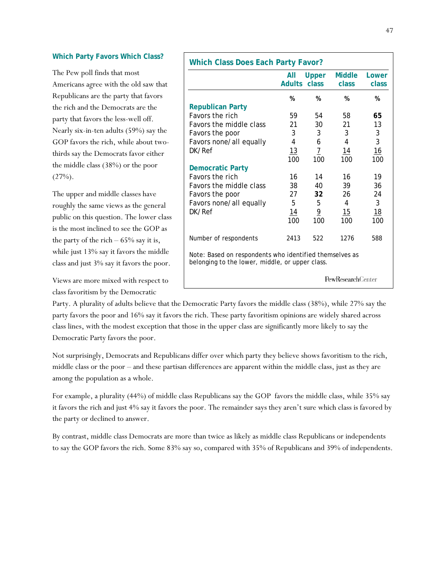### **Which Party Favors Which Class?**

The Pew poll finds that most Americans agree with the old saw that Republicans are the party that favors the rich and the Democrats are the party that favors the less-well off. Nearly six-in-ten adults (59%) say the GOP favors the rich, while about twothirds say the Democrats favor either the middle class (38%) or the poor  $(27\%)$ .

The upper and middle classes have roughly the same views as the general public on this question. The lower class is the most inclined to see the GOP as the party of the rich  $-65\%$  say it is, while just 13% say it favors the middle class and just 3% say it favors the poor.

Views are more mixed with respect to class favoritism by the Democratic

|                                                                                                            | All             | <b>Upper</b><br>Adults class | <b>Middle</b><br><b>class</b> | Lower<br>class |
|------------------------------------------------------------------------------------------------------------|-----------------|------------------------------|-------------------------------|----------------|
|                                                                                                            | %               | %                            | %                             | %              |
| <b>Republican Party</b>                                                                                    |                 |                              |                               |                |
| <b>Favors the rich</b>                                                                                     | 59              | 54                           | 58                            | 65             |
| <b>Favors the middle class</b>                                                                             | 21              | 30                           | 21                            | 13             |
| Favors the poor                                                                                            | 3               | 3                            | 3                             | 3              |
| Favors none/all equally                                                                                    | 4               | 6                            | 4                             | 3              |
| DK/Ref                                                                                                     | 13              | $\overline{1}$               | 14                            | 16             |
|                                                                                                            | 100             | 100                          | 100                           | 100            |
| <b>Democratic Party</b>                                                                                    |                 |                              |                               |                |
| <b>Favors the rich</b>                                                                                     | 16              | 14                           | 16                            | 19             |
| Favors the middle class                                                                                    | 38              | 40                           | 39                            | 36             |
| Favors the poor                                                                                            | 27              | 32                           | 26                            | 24             |
| Favors none/all equally                                                                                    | 5               | 5                            | 4                             | 3              |
| DK/Ref                                                                                                     | $\overline{14}$ | $\overline{6}$               | 15                            | 18             |
|                                                                                                            | 100             | 100                          | 100                           | 100            |
| Number of respondents                                                                                      | 2413            | 522                          | 1276                          | 588            |
| Note: Based on respondents who identified themselves as<br>belonging to the lower, middle, or upper class. |                 |                              |                               |                |
|                                                                                                            |                 |                              | <b>PewResearchCenter</b>      |                |

Party. A plurality of adults believe that the Democratic Party favors the middle class (38%), while 27% say the party favors the poor and 16% say it favors the rich. These party favoritism opinions are widely shared across class lines, with the modest exception that those in the upper class are significantly more likely to say the Democratic Party favors the poor.

Not surprisingly, Democrats and Republicans differ over which party they believe shows favoritism to the rich, middle class or the poor – and these partisan differences are apparent within the middle class, just as they are among the population as a whole.

For example, a plurality (44%) of middle class Republicans say the GOP favors the middle class, while 35% say it favors the rich and just 4% say it favors the poor. The remainder says they aren't sure which class is favored by the party or declined to answer.

By contrast, middle class Democrats are more than twice as likely as middle class Republicans or independents to say the GOP favors the rich. Some 83% say so, compared with 35% of Republicans and 39% of independents.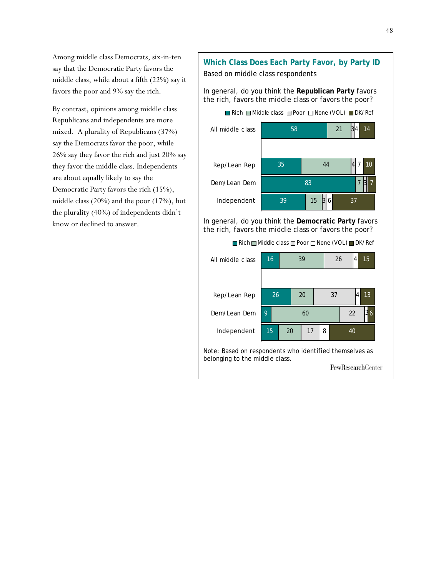Among middle class Democrats, six-in-ten say that the Democratic Party favors the middle class, while about a fifth (22%) say it favors the poor and 9% say the rich.

By contrast, opinions among middle class Republicans and independents are more mixed. A plurality of Republicans (37%) say the Democrats favor the poor, while 26% say they favor the rich and just 20% say they favor the middle class. Independents are about equally likely to say the Democratic Party favors the rich (15%), middle class (20%) and the poor (17%), but the plurality (40%) of independents didn't know or declined to answer.

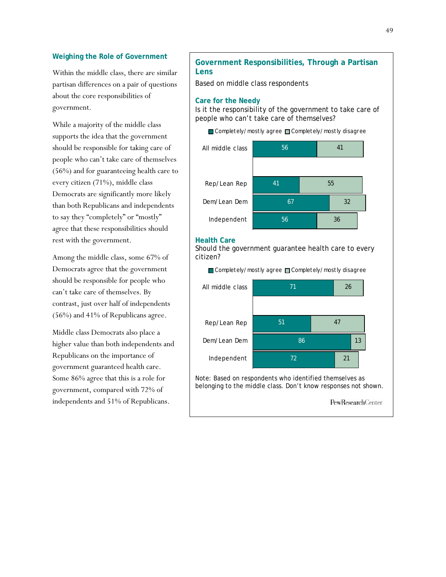### **Weighing the Role of Government**

Within the middle class, there are similar partisan differences on a pair of questions about the core responsibilities of government.

While a majority of the middle class supports the idea that the government should be responsible for taking care of people who can't take care of themselves (56%) and for guaranteeing health care to every citizen (71%), middle class Democrats are significantly more likely than both Republicans and independents to say they "completely" or "mostly" agree that these responsibilities should rest with the government.

Among the middle class, some 67% of Democrats agree that the government should be responsible for people who can't take care of themselves. By contrast, just over half of independents (56%) and 41% of Republicans agree.

Middle class Democrats also place a higher value than both independents and Republicans on the importance of government guaranteed health care. Some 86% agree that this is a role for government, compared with 72% of independents and 51% of Republicans.

# **Government Responsibilities, Through a Partisan Lens**

Based on middle class respondents

### **Care for the Needy**

Is it the responsibility of the government to take care of people who can't take care of themselves?

Completely/mostly agree Completely/mostly disagree



### **Health Care**

Should the government guarantee health care to every citizen?

Completely/mostly agree Completely/mostly disagree



PewResearchCenter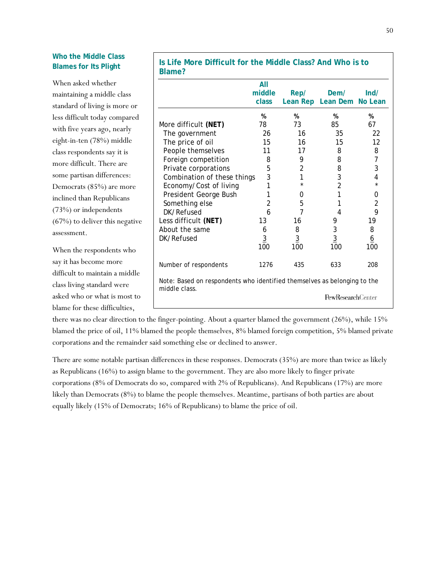# **Who the Middle Class Blames for Its Plight**

|                                  | uuniv:                                                                                    |                |                |                           |                 |
|----------------------------------|-------------------------------------------------------------------------------------------|----------------|----------------|---------------------------|-----------------|
| When asked whether               |                                                                                           | All            |                |                           |                 |
| maintaining a middle class       |                                                                                           | middle         | Rep/           | Dem/                      | Ind/            |
| standard of living is more or    |                                                                                           | class          |                | Lean Rep Lean Dem No Lean |                 |
| less difficult today compared    |                                                                                           | %              | %              | %                         | %               |
| with five years ago, nearly      | More difficult (NET)                                                                      | 78             | 73             | 85                        | 67              |
| eight-in-ten (78%) middle        | The government<br>The price of oil                                                        | 26<br>15       | 16<br>16       | 35<br>15                  | 22<br>12        |
| class respondents say it is      | People themselves                                                                         | 11             | 17             | 8                         | 8               |
| more difficult. There are        | Foreign competition                                                                       | 8              | 9              | 8                         | 7               |
| some partisan differences:       | Private corporations                                                                      | 5              | 2              | 8                         | 3               |
|                                  | Combination of these things<br>Economy/Cost of living                                     | 3              | 1<br>$\star$   | 3<br>2                    | 4               |
| Democrats (85%) are more         | President George Bush                                                                     |                | 0              |                           | 0               |
| inclined than Republicans        | Something else                                                                            | 2              | 5              |                           | $\sqrt{2}$      |
| (73%) or independents            | DK/Refused                                                                                | 6              | 7              | 4                         | 9               |
| $(67%)$ to deliver this negative | Less difficult (NET)                                                                      | 13             | 16             | 9                         | 19              |
| assessment.                      | About the same                                                                            | 6              | 8              | 3                         | 8               |
|                                  | DK/Refused                                                                                | $\overline{3}$ | $\overline{3}$ | $\overline{3}$            | $\underline{6}$ |
| When the respondents who         |                                                                                           | 100            | 100            | 100                       | 100             |
| say it has become more           | Number of respondents                                                                     | 1276           | 435            | 633                       | 208             |
| difficult to maintain a middle   |                                                                                           |                |                |                           |                 |
| class living standard were       | Note: Based on respondents who identified themselves as belonging to the<br>middle class. |                |                |                           |                 |
| asked who or what is most to     |                                                                                           |                |                | <b>PewResearchCenter</b>  |                 |
| blame for these difficulties,    |                                                                                           |                |                |                           |                 |

there was no clear direction to the finger-pointing. About a quarter blamed the government (26%), while 15% blamed the price of oil, 11% blamed the people themselves, 8% blamed foreign competition, 5% blamed private corporations and the remainder said something else or declined to answer.

There are some notable partisan differences in these responses. Democrats (35%) are more than twice as likely as Republicans (16%) to assign blame to the government. They are also more likely to finger private corporations (8% of Democrats do so, compared with 2% of Republicans). And Republicans (17%) are more likely than Democrats (8%) to blame the people themselves. Meantime, partisans of both parties are about equally likely (15% of Democrats; 16% of Republicans) to blame the price of oil.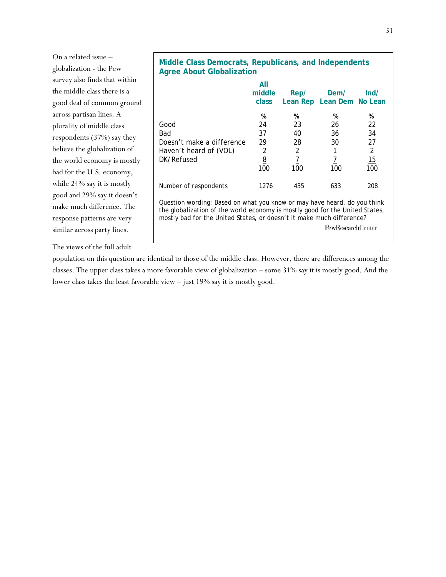| On a related issue -          |
|-------------------------------|
| globalization - the Pew       |
| survey also finds that within |
| the middle class there is a   |
| good deal of common ground    |
| across partisan lines. A      |
| plurality of middle class     |
| respondents $(37%)$ say they  |
| believe the globalization of  |
| the world economy is mostly   |
| bad for the U.S. economy,     |
| while 24% say it is mostly    |
| good and 29% say it doesn't   |
| make much difference. The     |
| response patterns are very    |
| similar across party lines.   |

The views of the full adult

| Middle Class Democrats, Republicans, and Independents<br><b>Agree About Globalization</b> |                        |      |                                   |      |
|-------------------------------------------------------------------------------------------|------------------------|------|-----------------------------------|------|
|                                                                                           | All<br>middle<br>class | Rep/ | Dem/<br>Lean Rep Lean Dem No Lean | Ind/ |
|                                                                                           | %                      | %    | %                                 | %    |
| Good                                                                                      | 24                     | 23   | 26                                | 22   |
| Bad                                                                                       | 37                     | 40   | 36                                | 34   |
| Doesn't make a difference                                                                 | 29                     | 28   | 30                                | 27   |

Haven't heard of (VOL) 2 2 1 2 DK/Refused  $8$   $7$   $7$   $7$   $15$ 100 100 100 100

Number of respondents 1276 435 633 208

Question wording: Based on what you know or may have heard, do you think the globalization of the world economy is mostly good for the United States, mostly bad for the United States, or doesn't it make much difference?

population on this question are identical to those of the middle class. However, there are differences among the classes. The upper class takes a more favorable view of globalization – some 31% say it is mostly good. And the lower class takes the least favorable view – just 19% say it is mostly good.

PewResearchCenter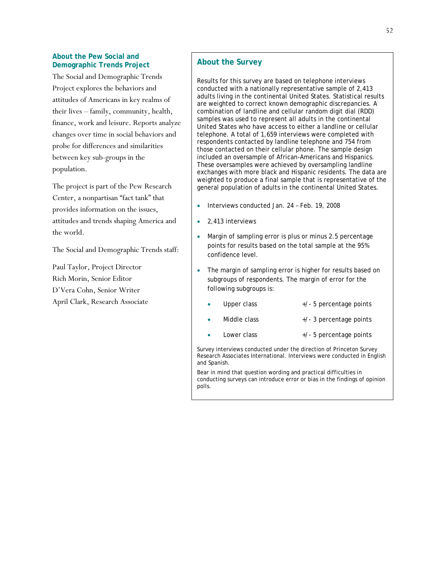### **About the Pew Social and Demographic Trends Project**

The Social and Demographic Trends Project explores the behaviors and attitudes of Americans in key realms of their lives – family, community, health, finance, work and leisure. Reports analyze changes over time in social behaviors and probe for differences and similarities between key sub-groups in the population.

The project is part of the Pew Research Center, a nonpartisan "fact tank" that provides information on the issues, attitudes and trends shaping America and the world.

The Social and Demographic Trends staff:

Paul Taylor, Project Director Rich Morin, Senior Editor D'Vera Cohn, Senior Writer April Clark, Research Associate

# **About the Survey**

Results for this survey are based on telephone interviews conducted with a nationally representative sample of 2,413 adults living in the continental United States. Statistical results are weighted to correct known demographic discrepancies. A combination of landline and cellular random digit dial (RDD) samples was used to represent all adults in the continental United States who have access to either a landline or cellular telephone. A total of 1,659 interviews were completed with respondents contacted by landline telephone and 754 from those contacted on their cellular phone. The sample design included an oversample of African-Americans and Hispanics. These oversamples were achieved by oversampling landline exchanges with more black and Hispanic residents. The data are weighted to produce a final sample that is representative of the general population of adults in the continental United States.

- Interviews conducted Jan. 24 Feb. 19, 2008
- 2,413 interviews
- Margin of sampling error is plus or minus 2.5 percentage points for results based on the total sample at the 95% confidence level.
- The margin of sampling error is higher for results based on subgroups of respondents. The margin of error for the following subgroups is:
	- Upper class  $+/- 5$  percentage points
	- Middle class  $+/- 3$  percentage points
		- - Lower class  $+/-5$  percentage points

Survey interviews conducted under the direction of Princeton Survey Research Associates International. Interviews were conducted in English and Spanish.

Bear in mind that question wording and practical difficulties in conducting surveys can introduce error or bias in the findings of opinion polls.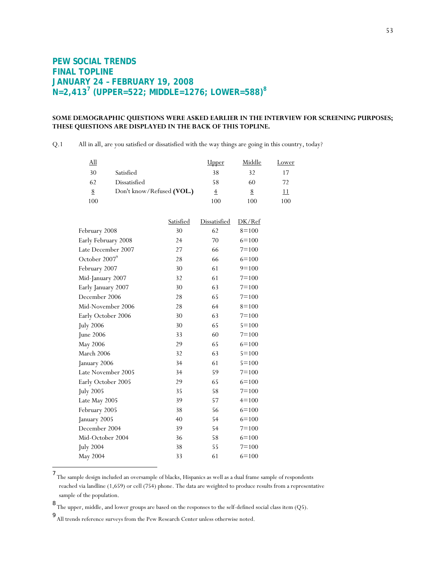# **PEW SOCIAL TRENDS FINAL TOPLINE JANUARY 24 – FEBRUARY 19, 2008 N=2,413<sup>7</sup> (UPPER=522; MIDDLE=1276; LOWER=588)<sup>8</sup>**

## **SOME DEMOGRAPHIC QUESTIONS WERE ASKED EARLIER IN THE INTERVIEW FOR SCREENING PURPOSES; THESE QUESTIONS ARE DISPLAYED IN THE BACK OF THIS TOPLINE.**

Q.1 All in all, are you satisfied or dissatisfied with the way things are going in this country, today?

| <u>All</u>                |                           |                  | Upper               | Middle         | <u>Lower</u> |
|---------------------------|---------------------------|------------------|---------------------|----------------|--------------|
| 30                        | Satisfied                 |                  | 38                  | 32             | 17           |
| 62                        | Dissatisfied              |                  | 58                  | 60             | 72           |
| $\underline{8}$           | Don't know/Refused (VOL.) |                  | $\overline{4}$      | $8\phantom{.}$ | 11           |
| 100                       |                           |                  | 100                 | 100            | 100          |
|                           |                           |                  |                     |                |              |
|                           |                           | <b>Satisfied</b> | <b>Dissatisfied</b> | DK/Ref         |              |
| February 2008             |                           | 30               | 62                  | $8 = 100$      |              |
| Early February 2008       |                           | 24               | 70                  | $6 = 100$      |              |
|                           | Late December 2007        | 27               | 66                  | $7 = 100$      |              |
| October 2007 <sup>9</sup> |                           | 28               | 66                  | $6 = 100$      |              |
| February 2007             |                           | 30               | 61                  | $9 = 100$      |              |
| Mid-January 2007          |                           | 32               | 61                  | $7 = 100$      |              |
| Early January 2007        |                           | 30               | 63                  | $7 = 100$      |              |
| December 2006             |                           | 28               | 65                  | $7 = 100$      |              |
|                           | Mid-November 2006         | 28               | 64                  | $8=100$        |              |
| Early October 2006        |                           | 30               | 63                  | $7 = 100$      |              |
| <b>July 2006</b>          |                           | 30               | 65                  | $5 = 100$      |              |
| June 2006                 |                           | 33               | 60                  | $7 = 100$      |              |
| May 2006                  |                           | 29               | 65                  | $6 = 100$      |              |
| March 2006                |                           | 32               | 63                  | $5 = 100$      |              |
| January 2006              |                           | 34               | 61                  | $5 = 100$      |              |
|                           | Late November 2005        | 34               | 59                  | $7 = 100$      |              |
| Early October 2005        |                           | 29               | 65                  | $6 = 100$      |              |
| <b>July 2005</b>          |                           | 35               | 58                  | $7 = 100$      |              |
| Late May 2005             |                           | 39               | 57                  | $4 = 100$      |              |
| February 2005             |                           | 38               | 56                  | $6 = 100$      |              |
| January 2005              |                           | 40               | 54                  | $6 = 100$      |              |
| December 2004             |                           | 39               | 54                  | $7 = 100$      |              |
| Mid-October 2004          |                           | 36               | 58                  | $6 = 100$      |              |
| <b>July 2004</b>          |                           | 38               | 55                  | $7 = 100$      |              |
| May 2004                  |                           | 33               | 61                  | $6 = 100$      |              |
|                           |                           |                  |                     |                |              |

<sup>7</sup> The sample design included an oversample of blacks, Hispanics as well as a dual frame sample of respondents reached via landline (1,659) or cell (754) phone. The data are weighted to produce results from a representative sample of the population.

 $^8$  The upper, middle, and lower groups are based on the responses to the self-defined social class item (Q5).

<sup>9</sup> All trends reference surveys from the Pew Research Center unless otherwise noted.

l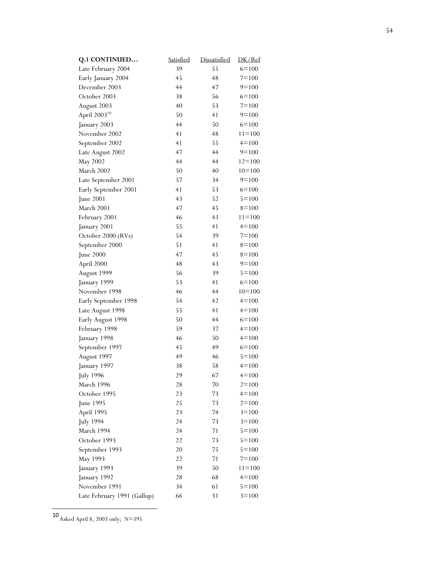| Q.1 CONTINUED               | <b>Satisfied</b> | <b>Dissatisfied</b> | DK/Ref     |
|-----------------------------|------------------|---------------------|------------|
| Late February 2004          | 39               | 55                  | $6 = 100$  |
| Early January 2004          | 45               | 48                  | $7 = 100$  |
| December 2003               | 44               | 47                  | $9=100$    |
| October 2003                | 38               | 56                  | $6 = 100$  |
| August 2003                 | 40               | 53                  | $7 = 100$  |
| April 2003 <sup>10</sup>    | 50               | 41                  | $9=100$    |
| January 2003                | 44               | 50                  | $6 = 100$  |
| November 2002               | 41               | 48                  | $11 = 100$ |
| September 2002              | 41               | 55                  | $4 = 100$  |
| Late August 2002            | 47               | 44                  | $9=100$    |
| May 2002                    | 44               | 44                  | $12 = 100$ |
| March 2002                  | 50               | 40                  | $10=100$   |
| Late September 2001         | 57               | 34                  | $9=100$    |
| Early September 2001        | 41               | 53                  | $6 = 100$  |
| June 2001                   | 43               | 52                  | $5 = 100$  |
| March 2001                  | 47               | 45                  | $8=100$    |
| February 2001               | 46               | 43                  | $11 = 100$ |
| January 2001                | 55               | 41                  | $4 = 100$  |
| October 2000 (RVs)          | 54               | 39                  | $7 = 100$  |
| September 2000              | 51               | 41                  | $8=100$    |
| June 2000                   | 47               | 45                  | $8=100$    |
| April 2000                  | 48               | 43                  | $9=100$    |
| August 1999                 | 56               | 39                  | $5 = 100$  |
| January 1999                | 53               | 41                  | $6 = 100$  |
| November 1998               | 46               | 44                  | $10=100$   |
| Early September 1998        | 54               | 42                  | $4 = 100$  |
| Late August 1998            | 55               | 41                  | $4 = 100$  |
| Early August 1998           | 50               | 44                  | $6 = 100$  |
| February 1998               | 59               | 37                  | $4 = 100$  |
| January 1998                | 46               | 50                  | $4 = 100$  |
| September 1997              | 45               | 49                  | $6 = 100$  |
| August 1997                 | 49               | 46                  | $5 = 100$  |
| January 1997                | 38               | 58                  | $4 = 100$  |
| <b>July 1996</b>            | 29               | 67                  | $4 = 100$  |
| March 1996                  | 28               | 70                  | $2 = 100$  |
| October 1995                | 23               | 73                  | $4 = 100$  |
| June 1995                   | 25               | 73                  | $2 = 100$  |
| April 1995                  | 23               | 74                  | $3 = 100$  |
| <b>July 1994</b>            | 24               | 73                  | $3 = 100$  |
| March 1994                  | 24               | 71                  | $5 = 100$  |
| October 1993                | 22               | 73                  | $5 = 100$  |
| September 1993              | 20               | 75                  | $5 = 100$  |
| May 1993                    | 22               | 71                  | $7 = 100$  |
| January 1993                | 39               | 50                  | $11 = 100$ |
| January 1992                | 28               | 68                  | $4 = 100$  |
| November 1991               | 34               | 61                  | $5 = 100$  |
| Late February 1991 (Gallup) | 66               | 31                  | $3 = 100$  |

<sup>10</sup> Asked April 8, 2003 only; N=395

 $\overline{\phantom{a}}$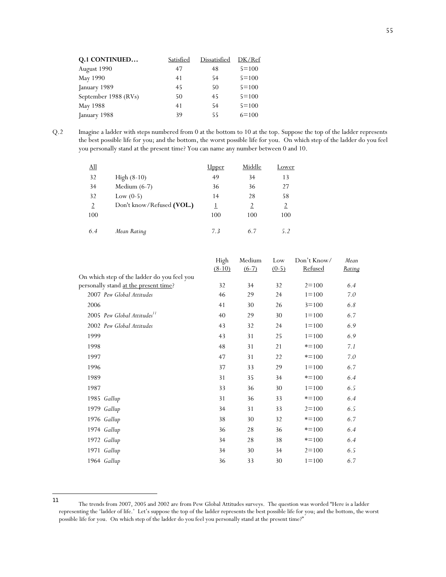| Q.1 CONTINUED        | Satisfied | Dissatisfied | DK/Ref    |
|----------------------|-----------|--------------|-----------|
| August 1990          | 47        | 48           | $5 = 100$ |
| May 1990             | 41        | 54           | $5 = 100$ |
| January 1989         | 45        | 50           | $5 = 100$ |
| September 1988 (RVs) | 50        | 45           | $5 = 100$ |
| May 1988             | 41        | 54           | $5 = 100$ |
| January 1988         | 39        | 55           | $6 = 100$ |

Q.2 Imagine a ladder with steps numbered from 0 at the bottom to 10 at the top. Suppose the top of the ladder represents the best possible life for you; and the bottom, the worst possible life for you. On which step of the ladder do you feel you personally stand at the present time? You can name any number between 0 and 10.

| <u>All</u>     |                           | <u>Upper</u> | Middle         | Lower          |
|----------------|---------------------------|--------------|----------------|----------------|
| 32             | High $(8-10)$             | 49           | 34             | 13             |
| 34             | Medium $(6-7)$            | 36           | 36             | 27             |
| 32             | Low $(0-5)$               | 14           | 28             | 58             |
| $\overline{2}$ | Don't know/Refused (VOL.) |              | $\overline{2}$ | $\overline{2}$ |
| 100            |                           | 100          | 100            | 100            |
| 6.4            | Mean Rating               | 7.3          | 67             | 52             |

|                                             | High<br>$(8-10)$ | Medium<br>$(6-7)$ | Low<br>$(0-5)$ | Don't Know/<br>Refused | Mean<br>Rating |
|---------------------------------------------|------------------|-------------------|----------------|------------------------|----------------|
| On which step of the ladder do you feel you |                  |                   |                |                        |                |
| personally stand at the present time?       | 32               | 34                | 32             | $2 = 100$              | 6.4            |
| 2007 Pew Global Attitudes                   | 46               | 29                | 24             | $1 = 100$              | 7.0            |
| 2006                                        | 41               | 30                | 26             | $3 = 100$              | 6.8            |
| 2005 Pew Global Attitudes <sup>11</sup>     | 40               | 29                | 30             | $1 = 100$              | 6.7            |
| 2002 Pew Global Attitudes                   | 43               | 32                | 24             | $1 = 100$              | 6.9            |
| 1999                                        | 43               | 31                | 25             | $1 = 100$              | 6.9            |
| 1998                                        | 48               | 31                | 21             | $* = 100$              | 7.1            |
| 1997                                        | 47               | 31                | 22             | $* = 100$              | 7.0            |
| 1996                                        | 37               | 33                | 29             | $1 = 100$              | 6.7            |
| 1989                                        | 31               | 35                | 34             | $* = 100$              | 6.4            |
| 1987                                        | 33               | 36                | 30             | $1 = 100$              | 6.5            |
| 1985 Gallup                                 | 31               | 36                | 33             | $* = 100$              | 6.4            |
| 1979 Gallup                                 | 34               | 31                | 33             | $2 = 100$              | 6.5            |
| 1976 Gallup                                 | 38               | 30                | 32             | $* = 100$              | 6.7            |
| 1974 Gallup                                 | 36               | 28                | 36             | $* = 100$              | 6.4            |
| 1972 Gallup                                 | 34               | 28                | 38             | $* = 100$              | 6.4            |
| 1971 Gallup                                 | 34               | 30                | 34             | $2 = 100$              | 6.5            |
| 1964 Gallup                                 | 36               | 33                | 30             | $1 = 100$              | 6.7            |

 $11$ The trends from 2007, 2005 and 2002 are from Pew Global Attitudes surveys. The question was worded "Here is a ladder representing the 'ladder of life.' Let's suppose the top of the ladder represents the best possible life for you; and the bottom, the worst possible life for you. On which step of the ladder do you feel you personally stand at the present time?"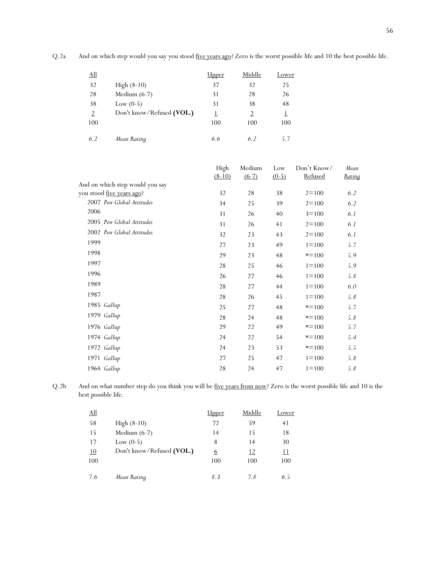Q.2a And on which step would you say you stood five years ago? Zero is the worst possible life and 10 the best possible life.

| <u>All</u>     |                           | <b>Upper</b> | Middle   | <u>Lower</u> |
|----------------|---------------------------|--------------|----------|--------------|
| 32             | High $(8-10)$             | 37           | 32       | 25           |
| 28             | Medium $(6-7)$            | 31           | 28       | 26           |
| 38             | Low $(0-5)$               | 31           | 38       | 48           |
| $\overline{2}$ | Don't know/Refused (VOL.) |              | <u>2</u> | 1            |
| 100            |                           | 100          | 100      | 100          |
| 6.2            | Mean Rating               | 6.6          | 6.2      | 5.7          |

|                                   | High<br>$(8-10)$ | Medium<br>$(6-7)$ | Low<br>$(0-5)$ | Don't Know/<br>Refused | Mean<br><u>Rating</u> |
|-----------------------------------|------------------|-------------------|----------------|------------------------|-----------------------|
| And on which step would you say   |                  |                   |                |                        |                       |
| you stood <u>five years ago</u> ? | 32               | 28                | 38             | $2 = 100$              | 6.2                   |
| 2007 Pew Global Attitudes         | 34               | 25                | 39             | $2 = 100$              | 6.2                   |
| 2006                              | 31               | 26                | 40             | $3 = 100$              | 6.1                   |
| 2005 Pew Global Attitudes         | 31               | 26                | 41             | $2 = 100$              | 6.1                   |
| 2002 Pew Global Attitudes         | 32               | 23                | 43             | $2 = 100$              | 6.1                   |
| 1999                              | 27               | 23                | 49             | $1 = 100$              | 5.7                   |
| 1998                              | 29               | 23                | 48             | $* = 100$              | 5.9                   |
| 1997                              | 28               | 25                | 46             | $1 = 100$              | 5.9                   |
| 1996                              | 26               | 27                | 46             | $1 = 100$              | 5.8                   |
| 1989                              | 28               | 27                | 44             | $1 = 100$              | 6.0                   |
| 1987                              | 28               | 26                | 45             | $1 = 100$              | 5.8                   |
| 1985 Gallup                       | 25               | 27                | 48             | $* = 100$              | 5.7                   |
| 1979 Gallup                       | 28               | 24                | 48             | $* = 100$              | 5.8                   |
| 1976 Gallup                       | 29               | 22                | 49             | $* = 100$              | 5.7                   |
| 1974 Gallup                       | 24               | 22                | 54             | $* = 100$              | 5.4                   |
| 1972 Gallup                       | 24               | 23                | 53             | $* = 100$              | 5.5                   |
| 1971 Gallup                       | 27               | 25                | 47             | $1 = 100$              | 5.8                   |
| 1964 Gallup                       | 28               | 24                | 47             | $1 = 100$              | 5.8                   |

Q.2b And on what number step do you think you will be five years from now? Zero is the worst possible life and 10 is the best possible life*.* 

| <u>All</u> |                           | <u>Upper</u> | Middle    | Lower      |
|------------|---------------------------|--------------|-----------|------------|
| 58         | $High (8-10)$             | 72           | 59        | 41         |
| 15         | Medium $(6-7)$            | 14           | 15        | 18         |
| 17         | Low $(0-5)$               | 8            | 14        | 30         |
| 10         | Don't know/Refused (VOL.) | <u>6</u>     | <u>12</u> | <u> 11</u> |
| 100        |                           | 100          | 100       | 100        |
|            |                           |              |           |            |
| 7.6        | Mean Rating               | 8.3          | 7.8       | 6.5        |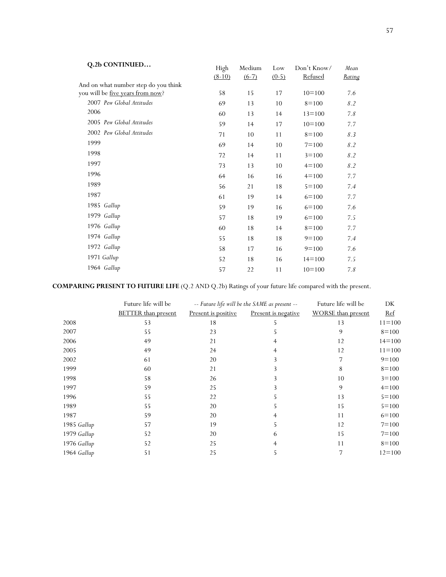| Q.2b CONTINUED                       | High<br>$(8-10)$ | Medium<br>$(6-7)$ | Low<br>$(0-5)$ | Don't Know/<br>Refused | Mean<br><u>Rating</u> |
|--------------------------------------|------------------|-------------------|----------------|------------------------|-----------------------|
| And on what number step do you think |                  |                   |                |                        |                       |
| you will be five years from now?     | 58               | 15                | 17             | $10=100$               | 7.6                   |
| 2007 Pew Global Attitudes            | 69               | 13                | 10             | $8=100$                | 8.2                   |
| 2006                                 | 60               | 13                | 14             | $13 = 100$             | 7.8                   |
| 2005 Pew Global Attitudes            | 59               | 14                | 17             | $10=100$               | 7.7                   |
| 2002 Pew Global Attitudes            | 71               | 10                | 11             | $8=100$                | 8.3                   |
| 1999                                 | 69               | 14                | 10             | $7 = 100$              | 8.2                   |
| 1998                                 | 72               | 14                | 11             | $3 = 100$              | 8.2                   |
| 1997                                 | 73               | 13                | 10             | $4 = 100$              | 8.2                   |
| 1996                                 | 64               | 16                | 16             | $4 = 100$              | 7.7                   |
| 1989                                 | 56               | 21                | 18             | $5 = 100$              | 7.4                   |
| 1987                                 | 61               | 19                | 14             | $6 = 100$              | 7.7                   |
| 1985 Gallup                          | 59               | 19                | 16             | $6 = 100$              | 7.6                   |
| 1979 Gallup                          | 57               | 18                | 19             | $6=100$                | 7.5                   |
| 1976 Gallup                          | 60               | 18                | 14             | $8=100$                | 7.7                   |
| 1974 Gallup                          | 55               | 18                | 18             | $9=100$                | 7.4                   |
| 1972 Gallup                          | 58               | 17                | 16             | $9=100$                | 7.6                   |
| 1971 Gallup                          | 52               | 18                | 16             | $14 = 100$             | 7.5                   |
| 1964 Gallup                          | 57               | 22                | 11             | $10=100$               | 7.8                   |

# **COMPARING PRESENT TO FUTURE LIFE** (Q.2 AND Q.2b) Ratings of your future life compared with the present.

|             | Future life will be        |                     | -- Future life will be the SAME as present -- | Future life will be       | DK         |
|-------------|----------------------------|---------------------|-----------------------------------------------|---------------------------|------------|
|             | <b>BETTER</b> than present | Present is positive | Present is negative                           | <b>WORSE</b> than present | <u>Ref</u> |
| 2008        | 53                         | 18                  | C                                             | 13                        | $11 = 100$ |
| 2007        | 55                         | 23                  |                                               | 9                         | $8=100$    |
| 2006        | 49                         | 21                  |                                               | 12                        | $14 = 100$ |
| 2005        | 49                         | 24                  |                                               | 12                        | $11 = 100$ |
| 2002        | 61                         | 20                  |                                               |                           | $9=100$    |
| 1999        | 60                         | 21                  |                                               | 8                         | $8=100$    |
| 1998        | 58                         | 26                  | 3                                             | 10                        | $3 = 100$  |
| 1997        | 59                         | 25                  |                                               | 9                         | $4=100$    |
| 1996        | 55                         | 22                  |                                               | 13                        | $5 = 100$  |
| 1989        | 55                         | 20                  |                                               | 15                        | $5 = 100$  |
| 1987        | 59                         | 20                  |                                               | 11                        | $6=100$    |
| 1985 Gallup | 57                         | 19                  | 5                                             | 12                        | $7 = 100$  |
| 1979 Gallup | 52                         | 20                  | 6                                             | 15                        | $7 = 100$  |
| 1976 Gallup | 52                         | 25                  |                                               | 11                        | $8=100$    |
| 1964 Gallup | 51                         | 25                  | Ć.                                            |                           | $12 = 100$ |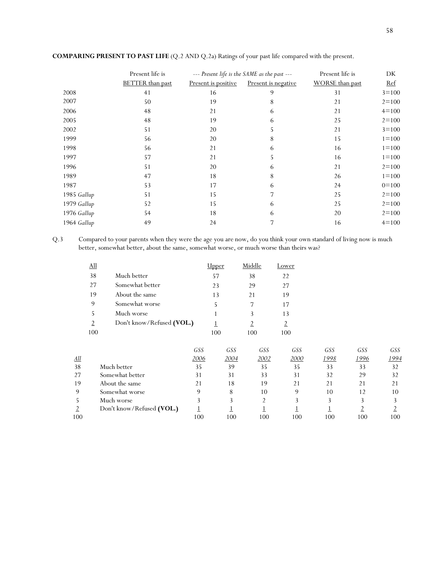|             | Present life is         |                     | --- Present life is the SAME as the past --- | Present life is        | DK         |
|-------------|-------------------------|---------------------|----------------------------------------------|------------------------|------------|
|             | <b>BETTER</b> than past | Present is positive | Present is negative                          | <b>WORSE</b> than past | <u>Ref</u> |
| 2008        | 41                      | 16                  | 9                                            | 31                     | $3 = 100$  |
| 2007        | 50                      | 19                  | 8                                            | 21                     | $2 = 100$  |
| 2006        | 48                      | 21                  | 6                                            | 21                     | $4 = 100$  |
| 2005        | 48                      | 19                  | 6                                            | 25                     | $2 = 100$  |
| 2002        | 51                      | 20                  | 5                                            | 21                     | $3 = 100$  |
| 1999        | 56                      | 20                  | 8                                            | 15                     | $1 = 100$  |
| 1998        | 56                      | 21                  | 6                                            | 16                     | $1 = 100$  |
| 1997        | 57                      | 21                  | 5                                            | 16                     | $1 = 100$  |
| 1996        | 51                      | 20                  | 6                                            | 21                     | $2 = 100$  |
| 1989        | 47                      | 18                  | 8                                            | 26                     | $1 = 100$  |
| 1987        | 53                      | 17                  | 6                                            | 24                     | $0=100$    |
| 1985 Gallup | 51                      | 15                  | 7                                            | 25                     | $2 = 100$  |
| 1979 Gallup | 52                      | 15                  | 6                                            | 25                     | $2 = 100$  |
| 1976 Gallup | 54                      | 18                  | 6                                            | 20                     | $2 = 100$  |
| 1964 Gallup | 49                      | 24                  | 7                                            | 16                     | $4 = 100$  |

## **COMPARING PRESENT TO PAST LIFE** (Q.2 AND Q.2a) Ratings of your past life compared with the present.

Q.3 Compared to your parents when they were the age you are now, do you think your own standard of living now is much better, somewhat better, about the same, somewhat worse, or much worse than theirs was?

| <u>All</u>     |                           | Jpper | Middle | Lower |
|----------------|---------------------------|-------|--------|-------|
| 38             | Much better               | 57    | 38     | 22    |
| 27             | Somewhat better           | 23    | 29     | 27    |
| 19             | About the same            | 13    | 21     | 19    |
| 9              | Somewhat worse            | 5     |        | 17    |
| 5              | Much worse                | 1     |        | 13    |
| $\overline{2}$ | Don't know/Refused (VOL.) |       |        |       |
| 100            |                           | 100   | 100    | 100   |

|            |                           | GSS  | GSS  | GSS  | GSS  | GSS  | GSS  | GSS  |
|------------|---------------------------|------|------|------|------|------|------|------|
| <u>All</u> |                           | 2006 | 2004 | 2002 | 2000 | 1998 | 1996 | 1994 |
| 38         | Much better               | 35   | 39   | 35   | 35   | 33   | 33   | 32   |
| 27         | Somewhat better           | 31   | 31   | 33   | 31   | 32   | 29   | 32   |
| 19         | About the same            | 21   | 18   | 19   |      | 21   | 21   |      |
| 9          | Somewhat worse            | Q    | 8    | 10   | Q    | 10   | 12   | 10   |
|            | Much worse                |      |      |      |      |      |      |      |
|            | Don't know/Refused (VOL.) |      |      |      |      |      |      |      |
| 100        |                           | 100  | 100  | 100  | 100  | 100  | 100  | 100  |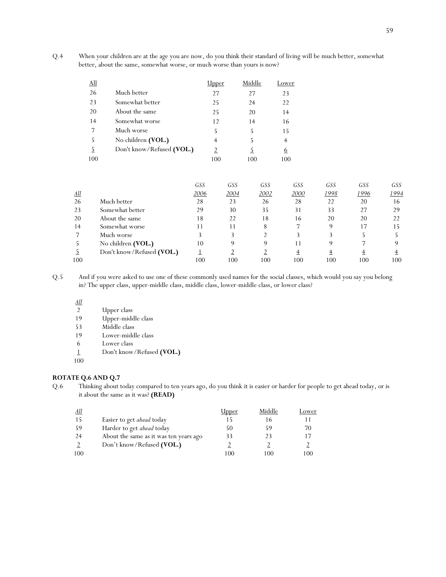Q.4 When your children are at the age you are now, do you think their standard of living will be much better, somewhat better, about the same, somewhat worse, or much worse than yours is now?

| <u>All</u> |                           | lpper          | Middle | Lower          |
|------------|---------------------------|----------------|--------|----------------|
| 26         | Much better               | 27             | 27     | 23             |
| 23         | Somewhat better           | 25             | 24     | 22             |
| 20         | About the same            | 25             | 20     | 14             |
| 14         | Somewhat worse            | 12             | 14     | 16             |
| 7          | Much worse                | 5              | 5      | 15             |
| 5          | No children (VOL.)        | $\overline{4}$ | 5      | $\overline{4}$ |
| 5          | Don't know/Refused (VOL.) | $\overline{2}$ | 5      | 6              |
| 100        |                           | 100            | 100    | 100            |

|            |                           | GSS  | GSS  | GSS  | GSS  | GSS  | GSS  | <b>GSS</b> |
|------------|---------------------------|------|------|------|------|------|------|------------|
| <u>All</u> |                           | 2006 | 2004 | 2002 | 2000 | 1998 | 1996 | 1994       |
| 26         | Much better               | 28   | 23   | 26   | 28   | 22   | 20   | 16         |
| 23         | Somewhat better           | 29   | 30   | 35   | 31   | 33   | 27   | 29         |
| 20         | About the same            | 18   | 22   | 18   | 16   | 20   | 20   | 22         |
| 14         | Somewhat worse            |      | 11   | 8    |      | 9    | 17   | 15         |
|            | Much worse                |      |      |      |      |      |      |            |
|            | No children (VOL.)        | 10   | 9    | 9    |      | 9    |      |            |
|            | Don't know/Refused (VOL.) |      |      |      |      |      |      |            |
| 100        |                           | 100  | 100  | 100  | 100  | 100  | 100  | 100        |

Q.5 And if you were asked to use one of these commonly used names for the social classes, which would you say you belong in? The upper class, upper-middle class, middle class, lower-middle class, or lower class?

 $\frac{All}{2}$ 

2 Upper class<br>19 Upper-mide

- 19 Upper-middle class
- 53 Middle class
- 19 Lower-middle class
- 6 Lower class
- 1 Don't know/Refused **(VOL.)**

100

## **ROTATE Q.6 AND Q.7**

Q.6 Thinking about today compared to ten years ago, do you think it is easier or harder for people to get ahead today, or is it about the same as it was? **(READ)** 

| All            |                                        | <u>Upper</u> | Middle | Lower |
|----------------|----------------------------------------|--------------|--------|-------|
| 15             | Easier to get ahead today              |              | 16     |       |
| 59             | Harder to get ahead today              | 50           | 59     | 70    |
| 24             | About the same as it was ten years ago | 33           | 23     | 17    |
| $\overline{2}$ | Don't know/Refused (VOL.)              |              |        |       |
| 100            |                                        | 100          | 100    | 100   |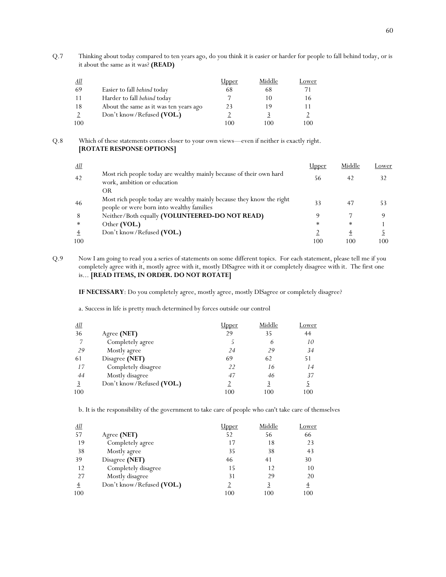Q.7 Thinking about today compared to ten years ago, do you think it is easier or harder for people to fall behind today, or is it about the same as it was? **(READ)** 

| <u>All</u> |                                        | <u>Upper</u> | Middle | Lower |
|------------|----------------------------------------|--------------|--------|-------|
| -69        | Easier to fall behind today            | 68           | 68     | 71    |
| -11        | Harder to fall behind today            |              | 10     | 16    |
| 18         | About the same as it was ten years ago | 23           | 19     |       |
|            | Don't know/Refused (VOL.)              |              |        |       |
| 100        |                                        | 100          | 100    | 100   |

### Q.8 Which of these statements comes closer to your own views—even if neither is exactly right. **[ROTATE RESPONSE OPTIONS]**

| <u>All</u> |                                                                                                                    | Upper  | Middle | Lower |
|------------|--------------------------------------------------------------------------------------------------------------------|--------|--------|-------|
| 42         | Most rich people today are wealthy mainly because of their own hard<br>work, ambition or education                 | 56     | 42     |       |
|            | OR                                                                                                                 |        |        |       |
| 46         | Most rich people today are wealthy mainly because they know the right<br>people or were born into wealthy families | 33     | 47     | 53    |
| 8          | Neither/Both equally (VOLUNTEERED-DO NOT READ)                                                                     | О      |        | Q     |
| ∗          | Other (VOL.)                                                                                                       | $\ast$ | $\ast$ |       |
|            | Don't know/Refused (VOL.)                                                                                          |        |        |       |
| 100        |                                                                                                                    | 100    | 100    | 100   |

Q.9 Now I am going to read you a series of statements on some different topics. For each statement, please tell me if you completely agree with it, mostly agree with it, mostly DISagree with it or completely disagree with it. The first one is... **[READ ITEMS, IN ORDER. DO NOT ROTATE]**

**IF NECESSARY**: Do you completely agree, mostly agree, mostly DISagree or completely disagree?

a. Success in life is pretty much determined by forces outside our control

| <u>All</u> |                           | lpper | Middle | Lower          |
|------------|---------------------------|-------|--------|----------------|
| 36         | Agree (NET)               | 29    | 35     | 44             |
| 7          | Completely agree          |       | 6      | 10             |
| 29         | Mostly agree              | 24    | 29     | 34             |
| 61         | Disagree (NET)            | 69    | 62     | 51             |
| 17         | Completely disagree       | 22    | 16     | 14             |
| 44         | Mostly disagree           | 47    | 46     | 37             |
|            | Don't know/Refused (VOL.) |       | 3      | $\overline{2}$ |
| 100        |                           | 100   | 100    | 100            |

b. It is the responsibility of the government to take care of people who can't take care of themselves

| <u>All</u> |                           | Jpper | Middle | Lower    |
|------------|---------------------------|-------|--------|----------|
| 57         | Agree (NET)               | 52    | 56     | 66       |
| 19         | Completely agree          | 17    | 18     | 23       |
| 38         | Mostly agree              | 35    | 38     | 43       |
| 39         | Disagree (NET)            | 46    | 41     | 30       |
| 12         | Completely disagree       | 15    | 12     | 10       |
| 27         | Mostly disagree           | 31    | 29     | 20       |
|            | Don't know/Refused (VOL.) |       |        | $_{\pm}$ |
| 100        |                           | 100   | 100    | 100      |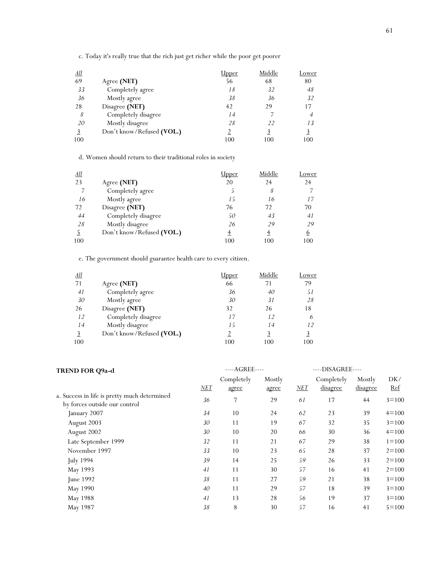c. Today it's really true that the rich just get richer while the poor get poorer

| <u>All</u> |                           | Upper | Middle        | Lower |
|------------|---------------------------|-------|---------------|-------|
| 69         | Agree (NET)               | 56    | 68            | 80    |
| 33         | Completely agree          | 18    | 32            | 48    |
| 36         | Mostly agree              | 38    | 36            | 32    |
| 28         | Disagree (NET)            | 42    | 29            | 17    |
| 8          | Completely disagree       | 14    |               |       |
| 20         | Mostly disagree           | 28    | $\mathcal{D}$ | 13    |
|            | Don't know/Refused (VOL.) |       |               |       |
| 100        |                           | 100   | 100           | 100   |

d. Women should return to their traditional roles in society

| <u>All</u> |                           | Jpper | Middle | Lower    |
|------------|---------------------------|-------|--------|----------|
| 23         | Agree (NET)               | 20    | 24     | 24       |
| 7          | Completely agree          |       | 8      |          |
| 16         | Mostly agree              | 15    | 16     | 17       |
| 72         | Disagree (NET)            | 76    | 72     | 70       |
| 44         | Completely disagree       | 50    | 43     | 41       |
| 28         | Mostly disagree           | 26    | 29     | 29       |
|            | Don't know/Refused (VOL.) | 4     |        | <u>6</u> |
| 100        |                           | 100   | 100    | 100      |

e. The government should guarantee health care to every citizen.

| <u>All</u> |                           | <u>Upper</u> | Middle | Lower |
|------------|---------------------------|--------------|--------|-------|
| 71         | Agree (NET)               | 66           | 71     | 79    |
| 41         | Completely agree          | 36           | 40     | 51    |
| 30         | Mostly agree              | 30           | 31     | 28    |
| 26         | Disagree (NET)            | 32           | 26     | 18    |
| 12         | Completely disagree       | 17           | 12     |       |
| 14         | Mostly disagree           | 15           | 14     | 12    |
|            | Don't know/Refused (VOL.) |              | 3      |       |
| 100        |                           | 100          | 100    | 100   |

| TREND FOR Q9a-d                              |     | ----AGREE---- |        | ----DISAGREE---- |            |                 |            |
|----------------------------------------------|-----|---------------|--------|------------------|------------|-----------------|------------|
|                                              |     | Completely    | Mostly |                  | Completely | Mostly          | DK/        |
|                                              | NET | agree         | agree  | NET              | disagree   | <u>disagree</u> | <u>Ref</u> |
| a. Success in life is pretty much determined | 36  | 7             | 29     | 61               | 17         | 44              | $3 = 100$  |
| by forces outside our control                |     |               |        |                  |            |                 |            |
| January 2007                                 | 34  | 10            | 24     | 62               | 23         | 39              | $4=100$    |
| August 2003                                  | 30  | 11            | 19     | 67               | 32         | 35              | $3 = 100$  |
| August 2002                                  | 30  | 10            | 20     | 66               | 30         | 36              | $4 = 100$  |
| Late September 1999                          | 32  | 11            | 21     | 67               | 29         | 38              | $1 = 100$  |
| November 1997                                | 33  | 10            | 23     | 65               | 28         | 37              | $2 = 100$  |
| July 1994                                    | 39  | 14            | 25     | 59               | 26         | 33              | $2 = 100$  |
| May 1993                                     | 41  | 11            | 30     | 57               | 16         | 41              | $2 = 100$  |
| June 1992                                    | 38  | 11            | 27     | 59               | 21         | 38              | $3 = 100$  |
| May 1990                                     | 40  | 11            | 29     | 57               | 18         | 39              | $3 = 100$  |
| May 1988                                     | 41  | 13            | 28     | 56               | 19         | 37              | $3 = 100$  |
| May 1987                                     | 38  | 8             | 30     | 57               | 16         | 41              | $5 = 100$  |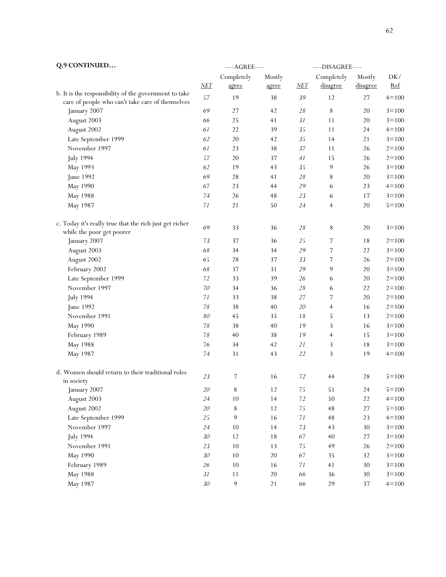| Q.9 CONTINUED                                                                        |        | ---- AGREE---- |        | ----DISAGREE---- |                |          |           |
|--------------------------------------------------------------------------------------|--------|----------------|--------|------------------|----------------|----------|-----------|
|                                                                                      |        | Completely     | Mostly |                  | Completely     | Mostly   | DK/       |
|                                                                                      | $NET$  | agree          | agree  | NET              | disagree       | disagree | $Ref$     |
| b. It is the responsibility of the government to take                                | 57     | 19             | 38     | 39               | 12             | 27       | $4 = 100$ |
| care of people who can't take care of themselves                                     |        |                |        |                  |                |          |           |
| January 2007                                                                         | 69     | 27             | 42     | 28               | $\, 8$         | 20       | $3 = 100$ |
| August 2003                                                                          | 66     | 25             | 41     | $31\,$           | 11             | 20       | $3 = 100$ |
| August 2002                                                                          | 61     | 22             | 39     | 35               | 11             | 24       | $4=100$   |
| Late September 1999                                                                  | 62     | 20             | 42     | 35               | 14             | 21       | $3 = 100$ |
| November 1997                                                                        | 61     | 23             | 38     | $37\,$           | 11             | 26       | $2 = 100$ |
| <b>July 1994</b>                                                                     | 57     | $20\,$         | 37     | $4 \\ l$         | 15             | 26       | $2 = 100$ |
| May 1993                                                                             | 62     | 19             | 43     | 35               | $\overline{9}$ | 26       | $3 = 100$ |
| June 1992                                                                            | 69     | 28             | 41     | 28               | $\,8\,$        | $20\,$   | $3 = 100$ |
| May 1990                                                                             | 67     | 23             | 44     | 29               | 6              | 23       | $4 = 100$ |
| May 1988                                                                             | 74     | 26             | 48     | 23               | 6              | 17       | $3 = 100$ |
| May 1987                                                                             | 71     | 21             | 50     | 24               | $\overline{4}$ | 20       | $5 = 100$ |
| c. Today it's really true that the rich just get richer<br>while the poor get poorer | 69     | 33             | 36     | $2\sqrt{8}$      | $\,8\,$        | 20       | $3 = 100$ |
| January 2007                                                                         | 73     | 37             | 36     | 25               | 7              | 18       | $2 = 100$ |
| August 2003                                                                          | 68     | 34             | 34     | 29               | 7              | 22       | $3 = 100$ |
| August 2002                                                                          | 65     | $2\,8$         | 37     | 33               | 7              | 26       | $2 = 100$ |
| February 2002                                                                        | 68     | 37             | 31     | 29               | 9              | 20       | $3 = 100$ |
| Late September 1999                                                                  | 72     | 33             | 39     | 26               | 6              | $20\,$   | $2 = 100$ |
|                                                                                      | 70     |                |        |                  |                |          |           |
| November 1997                                                                        |        | 34             | 36     | 28               | 6              | 22       | $2 = 100$ |
| <b>July 1994</b>                                                                     | 71     | 33             | 38     | 27               | 7              | 20       | $2 = 100$ |
| June 1992                                                                            | 78     | 38             | $40\,$ | 20               | $\overline{4}$ | 16       | $2 = 100$ |
| November 1991                                                                        | 80     | 45             | 35     | 18               | 5              | 13       | $2 = 100$ |
| May 1990                                                                             | 78     | 38             | 40     | 19               | 3              | 16       | $3 = 100$ |
| February 1989                                                                        | $78\,$ | 40             | 38     | 19               | $\overline{4}$ | 15       | $3 = 100$ |
| May 1988                                                                             | 76     | 34             | 42     | 21               | 3              | 18       | $3 = 100$ |
| May 1987                                                                             | 74     | 31             | 43     | 22               | 3              | 19       | $4 = 100$ |
| d. Women should return to their traditional roles                                    | 23     | 7              | 16     | 72               | 44             | 28       | $5 = 100$ |
| in society                                                                           |        |                |        |                  |                |          |           |
| January 2007                                                                         | $20\,$ | $\,8\,$        | 12     | $75\,$           | 51             | 24       | $5 = 100$ |
| August 2003                                                                          | 24     | 10             | 14     | $72\,$           | 50             | 22       | $4 = 100$ |
| August 2002                                                                          | $20\,$ | $\,8\,$        | 12     | 75               | $\bf 48$       | $27\,$   | $5 = 100$ |
| Late September 1999                                                                  | 25     | 9              | 16     | $71\,$           | $\rm 48$       | 23       | $4 = 100$ |
| November 1997                                                                        | 24     | 10             | 14     | 73               | 43             | 30       | $3 = 100$ |
| <b>July 1994</b>                                                                     | 30     | $12$           | 18     | 67               | 40             | $27\,$   | $3 = 100$ |
| November 1991                                                                        | 23     | $10\,$         | 13     | $75\,$           | 49             | 26       | $2 = 100$ |
| May 1990                                                                             | 30     | 10             | $20\,$ | 67               | 35             | 32       | $3 = 100$ |
| February 1989                                                                        | 26     | 10             | 16     | $71\,$           | 41             | $30\,$   | $3 = 100$ |
| May 1988                                                                             | $31\,$ | 11             | $20\,$ | 66               | 36             | $30\,$   | $3 = 100$ |
| May 1987                                                                             | $30\,$ | $\mathbf 9$    | 21     | 66               | 29             | 37       | $4 = 100$ |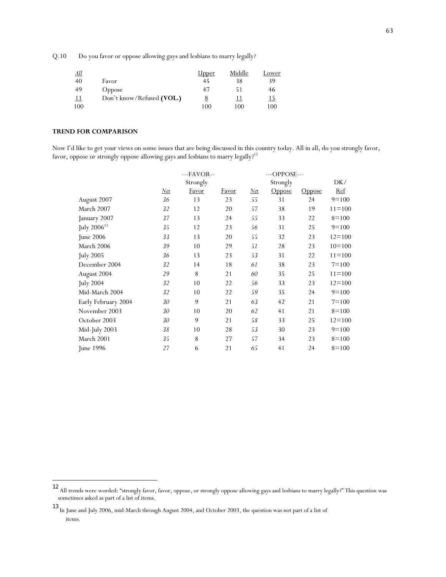Q.10 Do you favor or oppose allowing gays and lesbians to marry legally?

| <u>All</u> |                           | <u>Upper</u> | Middle     | Lower |
|------------|---------------------------|--------------|------------|-------|
| 40         | Favor                     | 45           | 38         | 39    |
| 49         | <b>Oppose</b>             | 47           | 51         | 46    |
| <u> 11</u> | Don't know/Refused (VOL.) |              | <u> 11</u> | 15    |
| 100        |                           | 100          | 100        | 100   |

### **TREND FOR COMPARISON**

l

Now I'd like to get your views on some issues that are being discussed in this country today. All in all, do you strongly favor, favor, oppose or strongly oppose allowing gays and lesbians to marry legally?<sup>12</sup>

|                     | $--FAVOR--$ |              |       |       | ---OPPOSE--- |               |            |  |  |
|---------------------|-------------|--------------|-------|-------|--------------|---------------|------------|--|--|
|                     |             | Strongly     |       |       | Strongly     |               |            |  |  |
|                     | Net         | <b>Favor</b> | Favor | $Net$ | Oppose       | <b>Oppose</b> | <u>Ref</u> |  |  |
| August 2007         | 36          | 13           | 23    | 55    | 31           | 24            | $9=100$    |  |  |
| March 2007          | 32          | 12           | 20    | 57    | 38           | 19            | $11 = 100$ |  |  |
| January 2007        | 37          | 13           | 24    | 55    | 33           | 22            | $8=100$    |  |  |
| July $2006^{13}$    | 35          | 12           | 23    | 56    | 31           | 25            | $9=100$    |  |  |
| June $2006$         | 33          | 13           | 20    | 55    | 32           | 23            | $12 = 100$ |  |  |
| March 2006          | 39          | 10           | 29    | 51    | 28           | 23            | $10 = 100$ |  |  |
| <b>July 2005</b>    | 36          | 13           | 23    | 53    | 31           | 22            | $11 = 100$ |  |  |
| December 2004       | 32          | 14           | 18    | 61    | 38           | 23            | $7 = 100$  |  |  |
| August 2004         | 29          | 8            | 21    | 60    | 35           | 25            | $11 = 100$ |  |  |
| <b>July 2004</b>    | 32          | 10           | 22    | 56    | 33           | 23            | $12 = 100$ |  |  |
| Mid-March 2004      | 32          | 10           | 22    | 59    | 35           | 24            | $9=100$    |  |  |
| Early February 2004 | 30          | 9            | 21    | 63    | 42           | 21            | $7 = 100$  |  |  |
| November 2003       | 30          | 10           | 20    | 62    | 41           | 21            | $8=100$    |  |  |
| October 2003        | 30          | 9            | 21    | 58    | 33           | 25            | $12 = 100$ |  |  |
| Mid-July 2003       | 38          | 10           | 28    | 53    | 30           | 23            | $9=100$    |  |  |
| March 2001          | 35          | 8            | 27    | 57    | 34           | 23            | $8=100$    |  |  |
| June 1996           | 27          | 6            | 21    | 65    | 41           | 24            | $8=100$    |  |  |

<sup>12</sup> All trends were worded: "strongly favor, favor, oppose, or strongly oppose allowing gays and lesbians to marry legally?" This question was sometimes asked as part of a list of items.

<sup>13</sup> In June and July 2006, mid-March through August 2004, and October 2003, the question was not part of a list of items.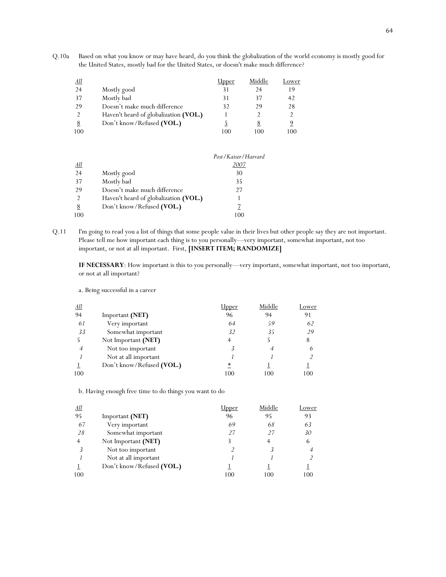Q.10a Based on what you know or may have heard, do you think the globalization of the world economy is mostly good for the United States, mostly bad for the United States, or doesn't make much difference?

| <u>All</u> |                                       | Jpper | Middle | Lower |
|------------|---------------------------------------|-------|--------|-------|
| 24         | Mostly good                           | 31    | 24     | 19    |
| -37        | Mostly bad                            | 31    | 37     | 42    |
| 29         | Doesn't make much difference          | 32    | 29     | 28    |
|            | Haven't heard of globalization (VOL.) |       |        |       |
|            | Don't know/Refused (VOL.)             |       | 8      |       |
| 100        |                                       | 100   | 100    | 100   |

|            |                                       | Post / Kaiser / Harvard |
|------------|---------------------------------------|-------------------------|
| <u>All</u> |                                       |                         |
| 24         | Mostly good                           | 30                      |
| 37         | Mostly bad                            | 35                      |
| 29         | Doesn't make much difference          | 27                      |
|            | Haven't heard of globalization (VOL.) |                         |
| 8          | Don't know/Refused (VOL.)             |                         |
| 100        |                                       | 100                     |

Q.11 I'm going to read you a list of things that some people value in their lives but other people say they are not important. Please tell me how important each thing is to you personally—very important, somewhat important, not too important, or not at all important. First, **[INSERT ITEM; RANDOMIZE]**

**IF NECESSARY**: How important is this to you personally—very important, somewhat important, not too important, or not at all important?

| <u>All</u> |                           | lpper | Middle | Lower |
|------------|---------------------------|-------|--------|-------|
| 94         | Important (NET)           | 96    | 94     | 91    |
| 61         | Very important            | 64    | 59     | 62    |
| 33         | Somewhat important        | 32    | 35     | 29    |
|            | Not Important (NET)       | 4     |        | 8     |
| 4          | Not too important         |       |        |       |
|            | Not at all important      |       |        |       |
|            | Don't know/Refused (VOL.) | ∗     |        |       |
| 100        |                           | 100   | 100    | 100   |

a. Being successful in a career

b. Having enough free time to do things you want to do

| <u>All</u> |                           | Jpper | Middle | Lower |
|------------|---------------------------|-------|--------|-------|
| 95         | Important (NET)           | 96    | 95     | 93    |
| 67         | Very important            | 69    | 68     | 63    |
| 28         | Somewhat important        | 27    | 27     | 30    |
|            | Not Important (NET)       |       |        | 6     |
| 3          | Not too important         |       |        |       |
|            | Not at all important      |       |        |       |
|            | Don't know/Refused (VOL.) |       |        |       |
| 100        |                           | 100   | 100    | 100   |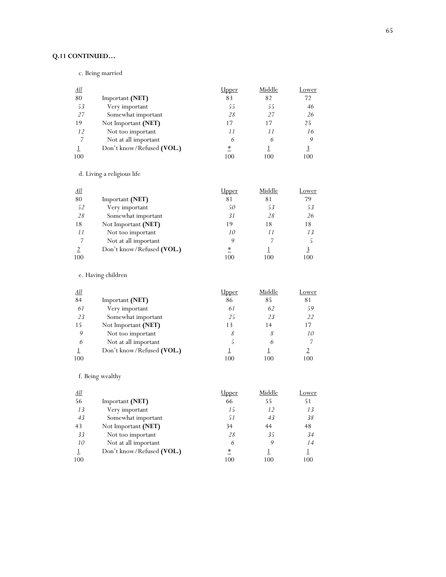# **Q.11 CONTINUED…**

c. Being married

| <u>All</u> |                           | Upper  | Middle | Lower |
|------------|---------------------------|--------|--------|-------|
| 80         | Important (NET)           | 83     | 82     | 72    |
| 53         | Very important            | 55     | 55     | 46    |
| 27         | Somewhat important        | 28     | 27     | 26    |
| 19         | Not Important (NET)       | 17     | 17     | 25    |
| 12         | Not too important         | 11     | 11     | 16    |
| 7          | Not at all important      | 6      | 6      |       |
|            | Don't know/Refused (VOL.) | $\ast$ |        |       |
| 100        |                           | 100    | 100    | 100   |

d. Living a religious life

| <u>All</u> |                           | Jpper | Middle | Lower |
|------------|---------------------------|-------|--------|-------|
| 80         | Important (NET)           | 81    | 81     | 79    |
| 52         | Very important            | 50    | 53     | 53    |
| 28         | Somewhat important        | 31    | 28     | 26    |
| 18         | Not Important (NET)       | 19    | 18     | 18    |
| 11         | Not too important         | 10    | 11     | 13    |
| 7          | Not at all important      | 9     |        |       |
|            | Don't know/Refused (VOL.) | ∗     |        |       |
| 100        |                           | 100   | 100    | 100   |

e. Having children

| <u>All</u> |                           | lpper | Middle | Lower         |
|------------|---------------------------|-------|--------|---------------|
| 84         | Important (NET)           | 86    | 85     | 81            |
| 61         | Very important            | 61    | 62     | 59            |
| 23         | Somewhat important        | 25    | 23     | $\mathcal{D}$ |
| 15         | Not Important (NET)       | 13    | 14     | 17            |
| 9          | Not too important         | 8     |        | 10            |
| 6          | Not at all important      |       | 6      |               |
|            | Don't know/Refused (VOL.) |       |        |               |
| 100        |                           | 100   | 100    | 100           |
|            |                           |       |        |               |

f. Being wealthy

| <u>All</u> |                           | <u> Jpper</u> | Middle | Lower |
|------------|---------------------------|---------------|--------|-------|
| 56         | Important (NET)           | 66            | 55     | 51    |
| 13         | Very important            | 15            | 12     | 13    |
| 43         | Somewhat important        | 51            | 43     | 38    |
| 43         | Not Important (NET)       | 34            | 44     | 48    |
| 33         | Not too important         | 28            | 35     | 34    |
| 10         | Not at all important      | 6             | 9      | 14    |
|            | Don't know/Refused (VOL.) | $\ast$        |        |       |
| 100        |                           | 100           | 100    | 100   |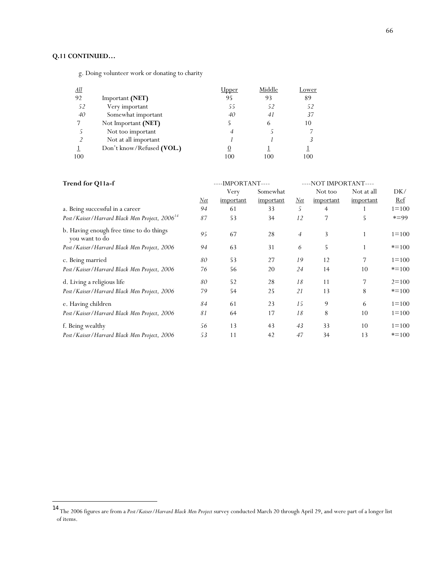# **Q.11 CONTINUED…**

l

g. Doing volunteer work or donating to charity

| <u>All</u> |                           | lpper | Middle | Lower |
|------------|---------------------------|-------|--------|-------|
| 92         | Important (NET)           | 95    | 93     | 89    |
| 52         | Very important            | 55    | 52     | 52    |
| 40         | Somewhat important        | 40    | 41     | 37    |
|            | Not Important (NET)       |       | 6      | 10    |
| 5.         | Not too important         | 4     |        |       |
|            | Not at all important      |       |        |       |
|            | Don't know/Refused (VOL.) | O     |        |       |
| 100        |                           | 100   | 100    | 100   |

| Trend for Q11a-f                                              |            | ----IMPORTANT----<br>----NOT IMPORTANT---- |           |                |           |                |           |
|---------------------------------------------------------------|------------|--------------------------------------------|-----------|----------------|-----------|----------------|-----------|
|                                                               |            | Very                                       | Somewhat  |                | Not too   | Not at all     | DK/       |
|                                                               | <u>Net</u> | important                                  | important | $Net$          | important | important      | Ref       |
| a. Being successful in a career                               | 94         | 61                                         | 33        | 5              | 4         |                | $1 = 100$ |
| Post / Kaiser / Harvard Black Men Project, 2006 <sup>14</sup> | 87         | 53                                         | 34        | 12             | 7         | 5              | $* = 99$  |
| b. Having enough free time to do things<br>you want to do     | 95         | 67                                         | 28        | $\overline{4}$ | 3         |                | $1 = 100$ |
| Post / Kaiser / Harvard Black Men Project, 2006               | 94         | 63                                         | 31        | 6              | 5         |                | $* = 100$ |
| c. Being married                                              | 80         | 53                                         | 27        | 19             | 12        | $\overline{7}$ | $1 = 100$ |
| Post / Kaiser / Harvard Black Men Project, 2006               | 76         | 56                                         | 20        | 24             | 14        | 10             | $* = 100$ |
| d. Living a religious life                                    | 80         | 52                                         | 28        | 18             | 11        | 7              | $2 = 100$ |
| Post / Kaiser / Harvard Black Men Project, 2006               | 79         | 54                                         | 25        | 21             | 13        | 8              | $* = 100$ |
| e. Having children                                            | 84         | 61                                         | 23        | 15             | 9         | 6              | $1 = 100$ |
| Post / Kaiser / Harvard Black Men Project, 2006               | 81         | 64                                         | 17        | 18             | 8         | 10             | $1 = 100$ |
| f. Being wealthy                                              | 56         | 13                                         | 43        | 43             | 33        | 10             | $1 = 100$ |
| Post / Kaiser / Harvard Black Men Project, 2006               | 53         | 11                                         | 42        | 47             | 34        | 13             | $* = 100$ |

<sup>14</sup> The 2006 figures are from a *Post/Kaiser/Harvard Black Men Project* survey conducted March 20 through April 29, and were part of a longer list of items.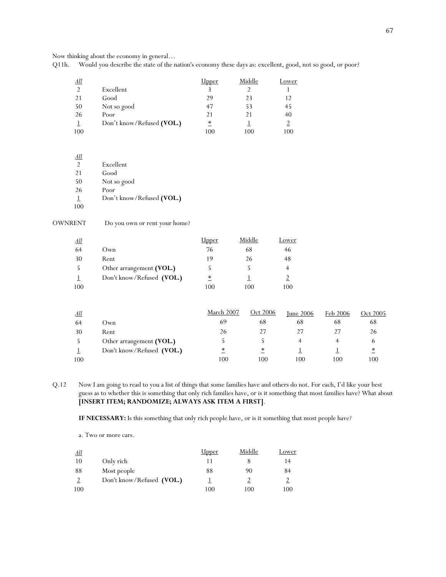Now thinking about the economy in general…

Q11h. Would you describe the state of the nation's economy these days as: excellent, good, not so good, or poor?

| <u>All</u>    |                           | Jpper | Middle | Lower |
|---------------|---------------------------|-------|--------|-------|
| $\mathcal{D}$ | Excellent                 |       |        |       |
| 21            | Good                      | 29    | 23     | 12    |
| 50            | Not so good               | 47    | 53     | 45    |
| 26            | Poor                      | 21    | 21     | 40    |
|               | Don't know/Refused (VOL.) | ∗     |        |       |
| 100           |                           | 100   | 100    | 100   |

| All            |                           |
|----------------|---------------------------|
| $\mathfrak{D}$ | Excellent                 |
| 21             | Good                      |
| 50             | Not so good               |
| 26             | Poor                      |
| 1              | Don't know/Refused (VOL.) |
| 100            |                           |

| OWNRENT | Do you own or rent your home? |  |
|---------|-------------------------------|--|
|---------|-------------------------------|--|

| <u>All</u> |                           | <u>Upper</u> | Middle | Lower |
|------------|---------------------------|--------------|--------|-------|
| 64         | Own                       | 76           | 68     | 46    |
| 30         | Rent                      | 19           | 26     | 48    |
|            | Other arrangement (VOL.)  |              |        |       |
|            | Don't know/Refused (VOL.) | $\ast$       |        |       |
| 100        |                           | 100          | 100    | 100   |

| All |                           | March 2007 | Oct 2006 | Iune $2006$ | Feb 2006 | Oct 2005        |
|-----|---------------------------|------------|----------|-------------|----------|-----------------|
| 64  | Own                       | 69         | 68       | 68          | 68       | 68              |
| 30  | Rent                      | 26         |          |             |          | 26              |
|     | Other arrangement (VOL.)  |            |          |             |          | h               |
|     | Don't know/Refused (VOL.) | ∗          | ∗        |             |          | $\overline{\ }$ |
| 100 |                           | 100        | 100      | 100         | 100      | 100             |

Q.12 Now I am going to read to you a list of things that some families have and others do not. For each, I'd like your best guess as to whether this is something that only rich families have, or is it something that most families have? What about **[INSERT ITEM; RANDOMIZE; ALWAYS ASK ITEM A FIRST]**.

**IF NECESSARY:** Is this something that only rich people have, or is it something that most people have?

a. Two or more cars.

| All |                           | <u>Upper</u> | Middle | Lower |
|-----|---------------------------|--------------|--------|-------|
| 10  | Only rich                 |              |        | 14    |
| 88  | Most people               | 88           | 90     | 84    |
|     | Don't know/Refused (VOL.) |              |        |       |
| 100 |                           | 100          | 100    | 100   |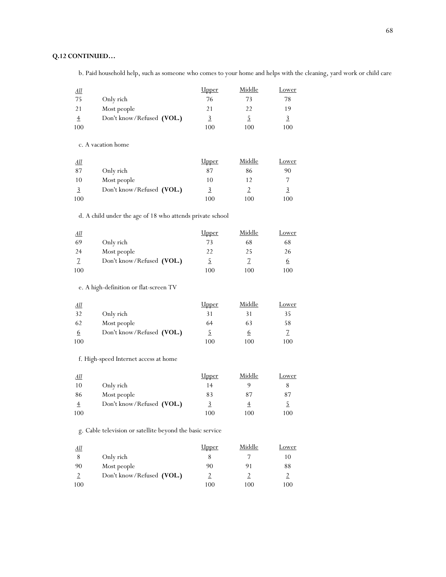## **Q.12 CONTINUED…**

b. Paid household help, such as someone who comes to your home and helps with the cleaning, yard work or child care

| All |                           | <u>Upper</u> | Middle | Lower |
|-----|---------------------------|--------------|--------|-------|
| -75 | Only rich                 | 76           | 73     | 78    |
| 21  | Most people               | 21           | 22     | 19    |
|     | Don't know/Refused (VOL.) | 그            |        |       |
| 100 |                           | 100          | 100    | 100   |

c. A vacation home

| <u>All</u> |                           | <u>Upper</u> | Middle | Lower |
|------------|---------------------------|--------------|--------|-------|
| 87         | Only rich                 | 87           | 86     | 90    |
| 10         | Most people               | 10           |        |       |
|            | Don't know/Refused (VOL.) |              |        |       |
| 100        |                           | 100          | 100    | 100   |

## d. A child under the age of 18 who attends private school

| <u>All</u> |                           | <u>Upper</u> | Middle | Lower |
|------------|---------------------------|--------------|--------|-------|
| 69         | Only rich                 | 73           | 68     | 68    |
| 24         | Most people               | 22           | 25     | 26    |
|            | Don't know/Refused (VOL.) |              |        |       |
| 100        |                           | 100          | 100    | 100   |

e. A high-definition or flat-screen TV

| <u>All</u> |                           | <u>Upper</u> | Middle   | Lower |
|------------|---------------------------|--------------|----------|-------|
| 32         | Only rich                 | 31           | 31       | 35    |
| 62         | Most people               | 64           | 63       | 58    |
| 6          | Don't know/Refused (VOL.) |              | $\sigma$ |       |
| 100        |                           | 100          | 100      | 100   |

f. High-speed Internet access at home

| <u>All</u> |                           | <u>Upper</u> | Middle | Lower |
|------------|---------------------------|--------------|--------|-------|
| 10         | Only rich                 | 14           |        |       |
| 86         | Most people               | 83           | 87     | 87    |
|            | Don't know/Refused (VOL.) |              |        |       |
| 100        |                           | 100          | 100    | 100   |

g. Cable television or satellite beyond the basic service

| All |                           | <u>Upper</u> | Middle | Lower |
|-----|---------------------------|--------------|--------|-------|
|     | Only rich                 |              |        | 10    |
| 90  | Most people               | 90           | 91     | 88    |
|     | Don't know/Refused (VOL.) |              |        |       |
| 100 |                           | 100          | 100    | 100   |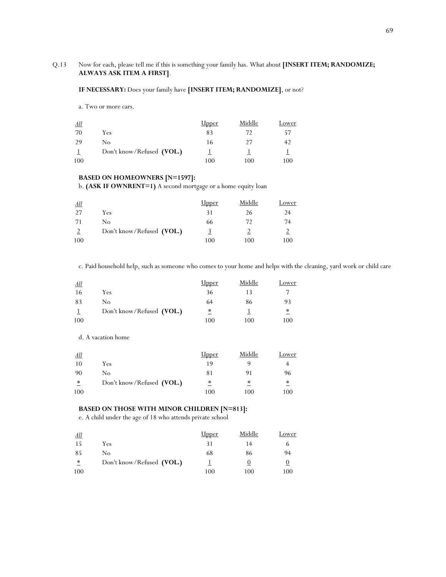## Q.13 Now for each, please tell me if this is something your family has. What about **[INSERT ITEM; RANDOMIZE; ALWAYS ASK ITEM A FIRST]**.

### **IF NECESSARY:** Does your family have **[INSERT ITEM; RANDOMIZE]**, or not?

a. Two or more cars.

| All |                           | <u>Upper</u> | Middle | Lower |
|-----|---------------------------|--------------|--------|-------|
| 70  | Yes                       | 83           | 72     | 57    |
| 29  | No                        | 16           | 27     |       |
|     | Don't know/Refused (VOL.) |              |        |       |
| 100 |                           | 100          | 100    | 100   |

### **BASED ON HOMEOWNERS [N=1597]:**

b. **(ASK IF OWNRENT=1)** A second mortgage or a home equity loan

| <u>All</u> |                           | <u>Upper</u> | Middle | Lower |
|------------|---------------------------|--------------|--------|-------|
| 27         | Yes                       | 31           | 26     | 24    |
| 71         | Nο                        | 66           | 72     | 74    |
|            | Don't know/Refused (VOL.) | <u>3</u>     |        |       |
| 100        |                           | 100          | 100    | 100   |

c. Paid household help, such as someone who comes to your home and helps with the cleaning, yard work or child care

| All |                           | <u>Upper</u>     | Middle | Lower           |
|-----|---------------------------|------------------|--------|-----------------|
| -16 | Yes                       | 36               |        |                 |
| 83  | No                        | 64               | 86     | 93              |
|     | Don't know/Refused (VOL.) | $\overset{*}{-}$ |        | $\overline{\ }$ |
| 100 |                           | 100              | 100    | 100             |

d. A vacation home

| <u>All</u> |                           | <u>Upper</u>     | Middle | Lower           |
|------------|---------------------------|------------------|--------|-----------------|
| 10         | Yes                       | 19               |        |                 |
| 90         | No                        | 81               | 91     | 96              |
| $\ast$     | Don't know/Refused (VOL.) | $\overset{*}{-}$ | $\ast$ | $\overline{\ }$ |
| 100        |                           | 100              | 100    | 100             |

### **BASED ON THOSE WITH MINOR CHILDREN [N=813]:**

e. A child under the age of 18 who attends private school

| All    |                           | <u>Upper</u> | Middle | Lower |
|--------|---------------------------|--------------|--------|-------|
| 15     | Yes                       |              | 14     |       |
| 85     | Nο                        | 68           | 86     | 94    |
| $\ast$ | Don't know/Refused (VOL.) |              |        |       |
| 100    |                           | 100          | 100    | 100   |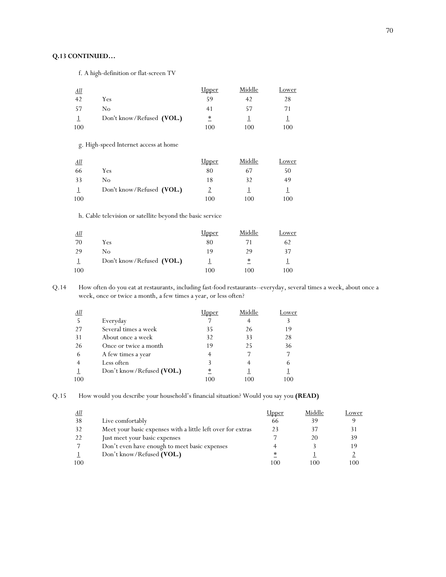## **Q.13 CONTINUED…**

f. A high-definition or flat-screen TV

| <u>All</u> |                           | <u>Upper</u> | Middle | Lower |
|------------|---------------------------|--------------|--------|-------|
| 42         | Yes                       | 59           | 42     | 28    |
| -57        | No                        | 41           | 57     | 71    |
|            | Don't know/Refused (VOL.) | $^\ast$      |        |       |
| 100        |                           | 100          | 100    | 100   |

g. High-speed Internet access at home

| <u>All</u> |                           | <u>Upper</u> | Middle | Lower |
|------------|---------------------------|--------------|--------|-------|
| 66         | Yes                       | 80           | 67     | 50    |
| 33         | No                        | 18           | 32     | 49    |
|            | Don't know/Refused (VOL.) |              |        |       |
| 100        |                           | 100          | 100    | 100   |

h. Cable television or satellite beyond the basic service

| All |                           | <u>Upper</u> | Middle | Lower |
|-----|---------------------------|--------------|--------|-------|
| 70  | Yes                       | 80           |        | 62    |
| 29  | No                        | 19           | 29     | 37    |
|     | Don't know/Refused (VOL.) |              | ∗      |       |
| 100 |                           | 100          | 100    | 100   |

Q.14 How often do you eat at restaurants, including fast-food restaurants--everyday, several times a week, about once a week, once or twice a month, a few times a year, or less often?

| All |                           | Jpper | Middle | ower |
|-----|---------------------------|-------|--------|------|
|     | Everyday                  |       |        |      |
| 27  | Several times a week      | 35    | 26     | 19   |
| 31  | About once a week         | 32    | 33     | 28   |
| 26  | Once or twice a month     | 19    | 25     | 36   |
| 6   | A few times a year        |       |        | 7    |
|     | Less often                |       |        |      |
|     | Don't know/Refused (VOL.) | ∗     |        |      |
| 100 |                           | 100   | 100    |      |

Q.15 How would you describe your household's financial situation? Would you say you **(READ)**

| <u>All</u> |                                                             | <u> Jpper</u> | Middle | Lower |
|------------|-------------------------------------------------------------|---------------|--------|-------|
| 38         | Live comfortably                                            | 66            | 39     |       |
| 32         | Meet your basic expenses with a little left over for extras | 23            |        |       |
| 22         | Just meet your basic expenses                               |               | 20     | 39    |
|            | Don't even have enough to meet basic expenses               |               |        | 19    |
|            | Don't know/Refused (VOL.)                                   |               |        |       |
| 100        |                                                             | 100           | 100    | 100   |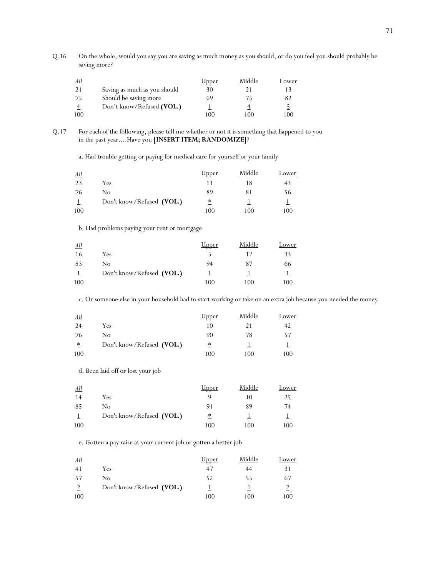Q.16 On the whole, would you say you are saving as much money as you should, or do you feel you should probably be saving more*?* 

| <u>All</u> |                              | <u>Upper</u> | Middle | Lower |
|------------|------------------------------|--------------|--------|-------|
|            | Saving as much as you should | 30           |        |       |
| -75        | Should be saving more        | 69           | 75     | 82    |
|            | Don't know/Refused (VOL.)    |              |        |       |
| 100        |                              | 100          | 100    | 100   |

### Q.17 For each of the following, please tell me whether or not it is something that happened to you in the past year....Have you **[INSERT ITEM; RANDOMIZE]**?

a. Had trouble getting or paying for medical care for yourself or your family

| <u>All</u> |                           | <b>Upper</b> | Middle | Lower |
|------------|---------------------------|--------------|--------|-------|
| 23         | Yes                       |              | 18     | 43    |
| 76         | No                        | 89           | 81     | 56    |
|            | Don't know/Refused (VOL.) | ∗<br>-       |        |       |
| 100        |                           | 100          | 100    | 100   |

## b. Had problems paying your rent or mortgage

| <u>All</u> |                           | Upper | Middle | Lower |
|------------|---------------------------|-------|--------|-------|
| 16         | Yes                       |       |        | 33    |
| 83         | No                        | 94    | 87     | 66    |
|            | Don't know/Refused (VOL.) |       |        |       |
| 100        |                           | 100   | 100    | 100   |

c. Or someone else in your household had to start working or take on an extra job because you needed the money

| All                     |                           | <u>Upper</u> | Middle | Lower |
|-------------------------|---------------------------|--------------|--------|-------|
| 24                      | Yes                       | 10           | 21     |       |
| 76                      | No                        | 90           | 78     | 57    |
| $\overline{\mathbf{r}}$ | Don't know/Refused (VOL.) | ≛            |        |       |
| 100                     |                           | 100          | 100    | 100   |

d. Been laid off or lost your job

| <u>All</u> |                           | <u>Upper</u> | Middle | Lower |
|------------|---------------------------|--------------|--------|-------|
| 14         | Yes                       |              | 10     | 25    |
| 85         | No                        | 91           | 89     | 74    |
|            | Don't know/Refused (VOL.) | ∗            |        |       |
| 100        |                           | 100          | 100    | 100   |

e. Gotten a pay raise at your current job or gotten a better job

| All |                           | <u>Upper</u> | Middle | Lower |
|-----|---------------------------|--------------|--------|-------|
| 41  | Yes                       | 47           | 44     |       |
| 57  | No                        | 52           | 55     | 67    |
|     | Don't know/Refused (VOL.) |              |        |       |
| 100 |                           | 100          | 100    | 100   |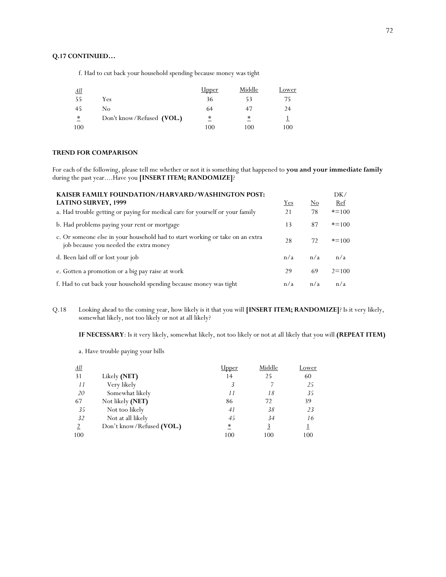### **Q.17 CONTINUED…**

f. Had to cut back your household spending because money was tight

| All |                           | <u>Upper</u>    | Middle | Lower |
|-----|---------------------------|-----------------|--------|-------|
| -55 | Yes                       | 36              | 53     | 75    |
| 45  | No                        | 64              | 47     | 24    |
| *   | Don't know/Refused (VOL.) | $\overline{\ }$ | ∗      |       |
| 100 |                           | 100             | 100    | 100   |

## **TREND FOR COMPARISON**

For each of the following, please tell me whether or not it is something that happened to **you and your immediate family** during the past year....Have you **[INSERT ITEM; RANDOMIZE]**?

| KAISER FAMILY FOUNDATION/HARVARD/WASHINGTON POST:                                                                       |     |                        | DK/       |
|-------------------------------------------------------------------------------------------------------------------------|-----|------------------------|-----------|
| <b>LATINO SURVEY, 1999</b>                                                                                              | Yes | $\overline{\text{No}}$ | Ref       |
| a. Had trouble getting or paying for medical care for yourself or your family                                           | 21  | 78                     | $* = 100$ |
| b. Had problems paying your rent or mortgage                                                                            | 13  | 87                     | $* = 100$ |
| c. Or someone else in your household had to start working or take on an extra<br>job because you needed the extra money | 28  | 72                     | $* = 100$ |
| d. Been laid off or lost your job                                                                                       | n/a | n/a                    | n/a       |
| e. Gotten a promotion or a big pay raise at work                                                                        | 29  | 69                     | $2 = 100$ |
| f. Had to cut back your household spending because money was tight                                                      | n/a | n/a                    | n/a       |

Q.18 Looking ahead to the coming year, how likely is it that you will **[INSERT ITEM; RANDOMIZE]**? Is it very likely, somewhat likely, not too likely or not at all likely?

**IF NECESSARY**: Is it very likely, somewhat likely, not too likely or not at all likely that you will **(REPEAT ITEM)** 

a. Have trouble paying your bills

| <u>All</u> |                           | lpper | Middle   | Lower |
|------------|---------------------------|-------|----------|-------|
| 31         | Likely (NET)              | 14    | 25       | 60    |
| 11         | Very likely               | 3     |          | 25    |
| 20         | Somewhat likely           | 11    | 18       | 35    |
| 67         | Not likely (NET)          | 86    | 72       | 39    |
| 35         | Not too likely            | 41    | 38       | 23    |
| 32         | Not at all likely         | 45    | 34       | 16    |
|            | Don't know/Refused (VOL.) | ∗     | <u>3</u> |       |
| 100        |                           | 100   | 100      | 100   |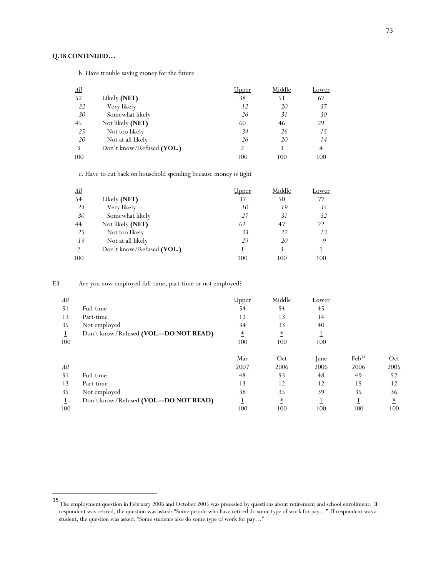# **Q.18 CONTINUED…**

 $\overline{\phantom{a}}$ 

b. Have trouble saving money for the future

| $\Delta$ ll |                           | Upper | Middle | Lower          |
|-------------|---------------------------|-------|--------|----------------|
| 52          | Likely (NET)              | 38    | 51     | 67             |
| 22          | Very likely               | 12    | 20     | 37             |
| 30          | Somewhat likely           | 26    | 31     | 30             |
| 45          | Not likely (NET)          | 60    | 46     | 29             |
| 25          | Not too likely            | 34    | 26     | 15             |
| 20          | Not at all likely         | 26    | 20     | 14             |
| 3           | Don't know/Refused (VOL.) |       | 3      | $\overline{4}$ |
| 100         |                           | 100   | 100    | 100            |

c. Have to cut back on household spending because money is tight

| <u>All</u> |                           | Jpper | Middle   | <u>Lower</u> |
|------------|---------------------------|-------|----------|--------------|
| 54         | Likely (NET)              | 37    | 50       | 77           |
| 24         | Very likely               | 10    | 19       | 45           |
| 30         | Somewhat likely           | 27    | 31       | 32           |
| 44         | Not likely (NET)          | 62    | 47       | 22           |
| 25         | Not too likely            | 33    | 27       | 13           |
| 19         | Not at all likely         | 29    | 20       |              |
|            | Don't know/Refused (VOL.) |       | <u>3</u> |              |
| 100        |                           | 100   | 100      | 100          |

E3 Are you now employed full-time, part-time or not employed?

| <u>All</u> |                                          | Upper           | Middle | Lower       |                   |        |
|------------|------------------------------------------|-----------------|--------|-------------|-------------------|--------|
| 51         | Full-time                                | 54              | 54     | 45          |                   |        |
| 13         | Part-time                                | 12              | 13     | 14          |                   |        |
| 35         | Not employed                             | 34              | 33     | 40          |                   |        |
|            | Don't know/Refused (VOL .-- DO NOT READ) | $\overline{\ }$ | ∗      |             |                   |        |
| 100        |                                          | 100             | 100    | 100         |                   |        |
|            |                                          | Mar             | Oct    | <i>lune</i> | $\text{Feb}^{15}$ | Oct    |
| <u>All</u> |                                          | 2007            | 2006   | 2006        | 2006              | 2005   |
| 51         | Full-time                                | 48              | 53     | 48          | 49                | 52     |
| 13         | Part-time                                | 13              | 12     | 12          | 15                | 12     |
| 35         | Not employed                             | 38              | 35     | 39          | 35                | 36     |
|            | Don't know/Refused (VOL--DO NOT READ)    |                 | $\ast$ |             |                   | $\ast$ |
| 100        |                                          | 100             | 100    | 100         | 100               | 100    |

<sup>15</sup> The employment question in February 2006 and October 2005 was preceded by questions about retirement and school enrollment. If respondent was retired, the question was asked: "Some people who have retired do some type of work for pay…" If respondent was a student, the question was asked: "Some students also do some type of work for pay…"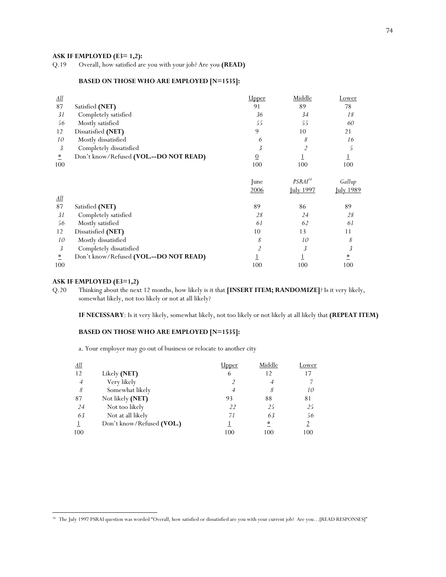# **ASK IF EMPLOYED (E3= 1,2):**<br>Q.19 Overall, how satisfied are

Q.19 Overall, how satisfied are you with your job? Are you **(READ)**

# **BASED ON THOSE WHO ARE EMPLOYED [N=1535]:**

| <u>All</u>              |                                          | <b>Upper</b>   | Middle              | <u>Lower</u>     |
|-------------------------|------------------------------------------|----------------|---------------------|------------------|
| 87                      | Satisfied (NET)                          | 91             | 89                  | 78               |
| 31                      | Completely satisfied                     | 36             | 34                  | 18               |
| 56                      | Mostly satisfied                         | 55             | 55                  | 60               |
| 12                      | Dissatisfied (NET)                       | 9              | 10                  | 21               |
| 10                      | Mostly dissatisfied                      | 6              | 8                   | 16               |
| 3                       | Completely dissatisfied                  | 3              | $\overline{2}$      | 5                |
| $\overline{\ }$         | Don't know/Refused (VOL .-- DO NOT READ) | $\overline{0}$ |                     | $\overline{1}$   |
| 100                     |                                          | 100            | 100                 | 100              |
|                         |                                          | June           | PSRAI <sup>16</sup> | Gallup           |
|                         |                                          | 2006           | <b>July 1997</b>    | <u>Iuly 1989</u> |
| $\underline{All}$       |                                          |                |                     |                  |
| 87                      | Satisfied (NET)                          | 89             | 86                  | 89               |
| 31                      | Completely satisfied                     | 28             | 24                  | 28               |
| 56                      | Mostly satisfied                         | 61             | 62                  | 61               |
| 12                      | Dissatisfied (NET)                       | 10             | 13                  | 11               |
| 10                      | Mostly dissatisfied                      | 8              | 10                  | 8                |
| 3                       | Completely dissatisfied                  | $\overline{2}$ | 3                   | 3                |
| $\overline{\mathbf{r}}$ | Don't know/Refused (VOL .-- DO NOT READ) |                |                     | $\overline{\ }$  |
| 100                     |                                          | 100            | 100                 | 100              |

# **ASK IF EMPLOYED (E3=1,2)**

 $\overline{\phantom{a}}$ 

Q.20 Thinking about the next 12 months, how likely is it that **[INSERT ITEM; RANDOMIZE]**? Is it very likely, somewhat likely, not too likely or not at all likely?

**IF NECESSARY**: Is it very likely, somewhat likely, not too likely or not likely at all likely that **(REPEAT ITEM)** 

# **BASED ON THOSE WHO ARE EMPLOYED [N=1535]:**

a. Your employer may go out of business or relocate to another city

| <u>All</u>     |                           | Jpper | Middle          | Lower |
|----------------|---------------------------|-------|-----------------|-------|
| 12             | Likely (NET)              | 6     | 12              | 17    |
| $\overline{4}$ | Very likely               |       | $\overline{A}$  |       |
| 8              | Somewhat likely           | 4     |                 | 10    |
| 87             | Not likely (NET)          | 93    | 88              | 81    |
| 24             | Not too likely            | 22    | 25              | 25    |
| 63             | Not at all likely         | 71    | 63              | 56    |
|                | Don't know/Refused (VOL.) |       | $\overline{\ }$ |       |
| 100            |                           | 100   | 100             | 100   |

<sup>&</sup>lt;sup>16</sup> The July 1997 PSRAI question was worded "Overall, how satisfied or dissatisfied are you with your current job? Are you...[READ RESPONSES]"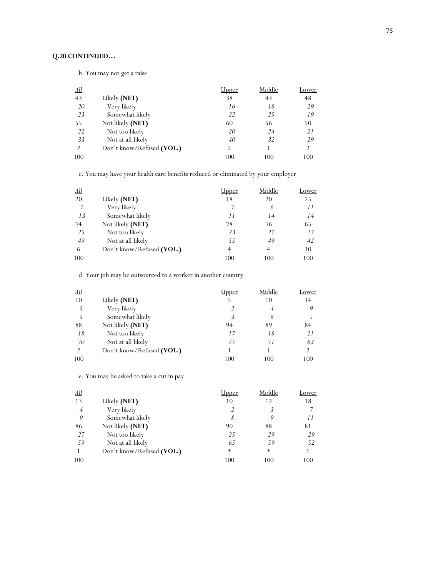# **Q.20 CONTINUED…**

b. You may not get a raise

| <u>All</u>     |                           | Jpper | Middle | Lower |
|----------------|---------------------------|-------|--------|-------|
| 43             | Likely (NET)              | 38    | 43     | 48    |
| 20             | Very likely               | 16    | 18     | 29    |
| 23             | Somewhat likely           | 22    | 25     | 19    |
| 55             | Not likely (NET)          | 60    | 56     | 50    |
| 22             | Not too likely            | 20    | 24     | 21    |
| 33             | Not at all likely         | 40    | 32     | 29    |
| $\overline{2}$ | Don't know/Refused (VOL.) | 2     |        |       |
| 100            |                           | 100   | 100    | 100   |

c. You may have your health care benefits reduced or eliminated by your employer

| <u>All</u> |                           | lpper | Middle   | Lower     |
|------------|---------------------------|-------|----------|-----------|
| 20         | Likely (NET)              | 18    | 20       | 25        |
| 7          | Very likely               |       | 6        | 11        |
| 13         | Somewhat likely           | 11    | 14       | 14        |
| 74         | Not likely (NET)          | 78    | 76       | 65        |
| 25         | Not too likely            | 23    | 27       | 23        |
| 49         | Not at all likely         | 55    | 49       | 42        |
| <u>6</u>   | Don't know/Refused (VOL.) | $\pm$ | $_{\pm}$ | <u>10</u> |
| 100        |                           | 100   | 100      | 100       |

d. Your job may be outsourced to a worker in another country

| <u>All</u> |                           | Jpper | Middle         | Lower |
|------------|---------------------------|-------|----------------|-------|
| 10         | Likely (NET)              |       | 10             | 14    |
| Ć          | Very likely               |       | $\overline{A}$ |       |
|            | Somewhat likely           |       | 6              |       |
| 88         | Not likely (NET)          | 94    | 89             | 84    |
| 18         | Not too likely            | 17    | 18             | 21    |
| 70         | Not at all likely         | 77    | 71             | 63    |
|            | Don't know/Refused (VOL.) |       |                |       |
| 100        |                           | 100   | 100            | 100   |

e. You may be asked to take a cut in pay

| <u>All</u>     |                           | <u>Upper</u> | Middle | Lower |
|----------------|---------------------------|--------------|--------|-------|
| 13             | Likely (NET)              | 10           | 12     | 18    |
| $\overline{4}$ | Very likely               |              |        |       |
| 9              | Somewhat likely           | 8            | 9      | 11    |
| 86             | Not likely (NET)          | 90           | 88     | 81    |
| 27             | Not too likely            | 25           | 29     | 29    |
| 59             | Not at all likely         | 65           | 59     | 52    |
|                | Don't know/Refused (VOL.) | *            | *      |       |
| 100            |                           | 100          | 100    | 100   |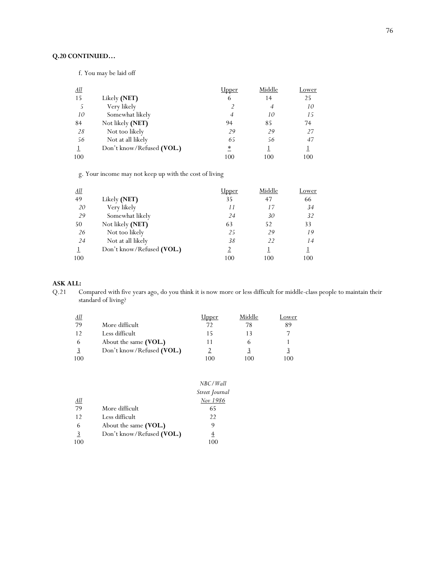# **Q.20 CONTINUED…**

f. You may be laid off

| <u>All</u> |                           | lpper}،         | Middle         | Lower |
|------------|---------------------------|-----------------|----------------|-------|
| 15         | Likely (NET)              | 6               | 14             | 25    |
| 5          | Very likely               |                 | $\overline{4}$ | 10    |
| 10         | Somewhat likely           | $\overline{4}$  | 10             | 15    |
| 84         | Not likely (NET)          | 94              | 85             | 74    |
| 28         | Not too likely            | 29              | 29             | 27    |
| 56         | Not at all likely         | 65              | 56             | 47    |
|            | Don't know/Refused (VOL.) | $\overline{\ }$ |                |       |
| 100        |                           | 100             | 100            | 100   |

g. Your income may not keep up with the cost of living

| <u>All</u> |                           | Jpper          | Middle         | Lower |
|------------|---------------------------|----------------|----------------|-------|
| 49         | Likely (NET)              | 35             | 47             | 66    |
| 20         | Very likely               | 11             | 17             | 34    |
| 29         | Somewhat likely           | 24             | 30             | 32    |
| 50         | Not likely (NET)          | 63             | 52             | 33    |
| 26         | Not too likely            | 25             | 29             | 19    |
| 24         | Not at all likely         | 38             | $\mathfrak{D}$ | 14    |
|            | Don't know/Refused (VOL.) | $\overline{2}$ |                |       |
| 100        |                           | 100            | 100            | 100   |

**ASK ALL:**<br>Q.21 C Compared with five years ago, do you think it is now more or less difficult for middle-class people to maintain their standard of living?

| All          |                           | <u>Jpper</u> | Middle | Lower |
|--------------|---------------------------|--------------|--------|-------|
| 79           | More difficult            | 72           | 78     | 89    |
| 12           | Less difficult            | 15           | 13     |       |
| $\mathbf{b}$ | About the same (VOL.)     |              |        |       |
|              | Don't know/Refused (VOL.) |              |        |       |
| 100          |                           | 100          | 100    | 100   |

|            |                           | NBC/Wall       |
|------------|---------------------------|----------------|
|            |                           | Street Journal |
| <u>All</u> |                           | Nov 1986       |
| 79         | More difficult            | 65             |
| 12         | Less difficult            | 22             |
| 6          | About the same (VOL.)     | 9              |
| 3          | Don't know/Refused (VOL.) | 4              |
| 100        |                           | 100            |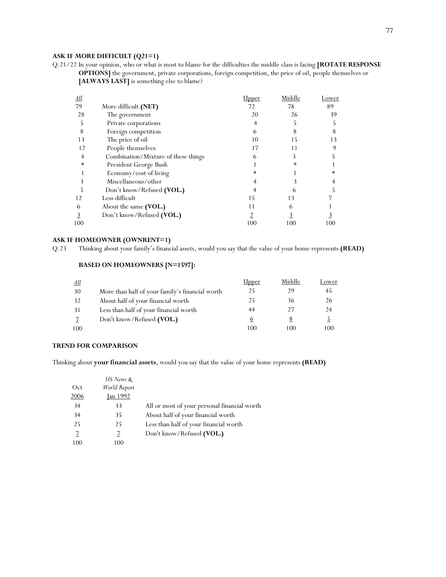# **ASK IF MORE DIFFICULT (Q21=1)**

Q.21/22 In your opinion, who or what is most to blame for the difficulties the middle class is facing **[ROTATE RESPONSE OPTIONS]** the government, private corporations, foreign competition, the price of oil, people themselves or **[ALWAYS LAST]** is something else to blame?

| <u>All</u> |                                     | <u> Jpper</u> | Middle | Lower |
|------------|-------------------------------------|---------------|--------|-------|
| 79         | More difficult (NET)                | 72            | 78     | 89    |
| 28         | The government                      | 20            | 26     | 39    |
| 5          | Private corporations                | 4             |        |       |
| 8          | Foreign competition                 | 6             | 8      | 8     |
| 13         | The price of oil                    | 10            | 15     | 13    |
| 12         | People themselves                   | 17            |        | q     |
| 4          | Combination/Mixture of these things | 6             | 3      |       |
| ∗          | President George Bush               |               | *      |       |
|            | Economy/cost of living              | *             |        | *     |
| 3          | Miscellaneous/other                 |               |        |       |
| 5          | Don't know/Refused (VOL.)           |               | h      |       |
| 12         | Less difficult                      | 15            | 13     |       |
| 6          | About the same (VOL.)               | 11            | 6      |       |
| 3          | Don't know/Refused (VOL.)           |               |        |       |
| 100        |                                     | 100           | 100    | 100   |

# **ASK IF HOMEOWNER (OWNRENT=1)**

Q.23 Thinking about your family's financial assets, would you say that the value of your home represents **(READ)**

# **BASED ON HOMEOWNERS [N=1597]:**

| <u>All</u> |                                                 | <u>Upper</u> | Middle   | Lower |
|------------|-------------------------------------------------|--------------|----------|-------|
| 30         | More than half of your family's financial worth | 25           | 29       | 45    |
| 32         | About half of your financial worth              | 25           | 36       | 26    |
| 31         | Less than half of your financial worth          | 44           | 27       | 24    |
| 7          | Don't know/Refused (VOL.)                       | 6            | <u>8</u> |       |
| 100        |                                                 | 100          | 100      | 100   |

### **TREND FOR COMPARISON**

Thinking about **your financial assets**, would you say that the value of your home represents **(READ)**

|      | US News &       |                                              |
|------|-----------------|----------------------------------------------|
| Oct  | World Report    |                                              |
| 2006 | <b>Jan 1992</b> |                                              |
| 34   | 33              | All or most of your personal financial worth |
| 34   | 35              | About half of your financial worth           |
| 25   | 25              | Less than half of your financial worth       |
| 7    | 7               | Don't know/Refused (VOL.)                    |
| 100  | 100             |                                              |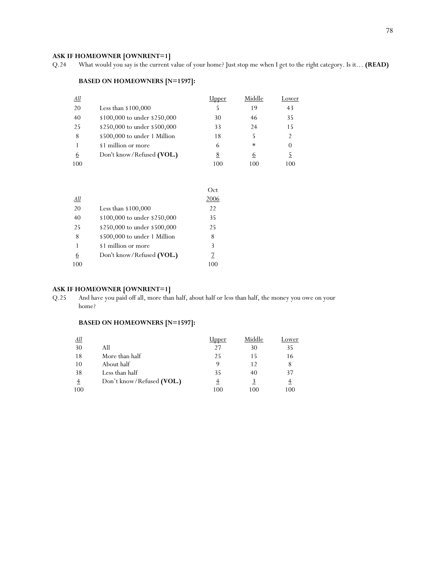**ASK IF HOMEOWNER [OWNRENT=1]**<br>Q.24 What would you say is the current v What would you say is the current value of your home? Just stop me when I get to the right category. Is it… **(READ)** 

# **BASED ON HOMEOWNERS [N=1597]:**

| <u>All</u> |                              | ipper    | Middle | Lower |
|------------|------------------------------|----------|--------|-------|
| 20         | Less than $$100,000$         | 5        | 19     | 43    |
| 40         | \$100,000 to under \$250,000 | 30       | 46     | 35    |
| 25         | \$250,000 to under \$500,000 | 33       | 24     | 15    |
| 8          | \$500,000 to under 1 Million | 18       |        | 2     |
|            | \$1 million or more          | 6        | ∗      |       |
| 6          | Don't know/Refused (VOL.)    | <u>8</u> | 6      |       |
| 100        |                              | 100      | 100    | 100   |

|           |                              | Oct  |
|-----------|------------------------------|------|
| <u>АШ</u> |                              | 2006 |
| 20        | Less than $$100,000$         | 22   |
| 40        | \$100,000 to under \$250,000 | 35   |
| 25        | \$250,000 to under \$500,000 | 25   |
| 8         | \$500,000 to under 1 Million | 8    |
| 1         | \$1 million or more          | 3    |
| <u>6</u>  | Don't know/Refused (VOL.)    | 7    |
| 100       |                              | 100  |

# **ASK IF HOMEOWNER [OWNRENT=1]**<br>Q.25 And have you paid off all, more than

And have you paid off all, more than half, about half or less than half, the money you owe on your home?

# **BASED ON HOMEOWNERS [N=1597]:**

| <u>All</u> |                           | Jpper | Middle | Lower |
|------------|---------------------------|-------|--------|-------|
| 30         | All                       | 27    | 30     | 35    |
| 18         | More than half            | 25    |        | 16    |
| 10         | About half                |       | 12     |       |
| 38         | Less than half            | 35    | 40     | 37    |
|            | Don't know/Refused (VOL.) |       |        |       |
| 100        |                           | 100   | 100    | 100   |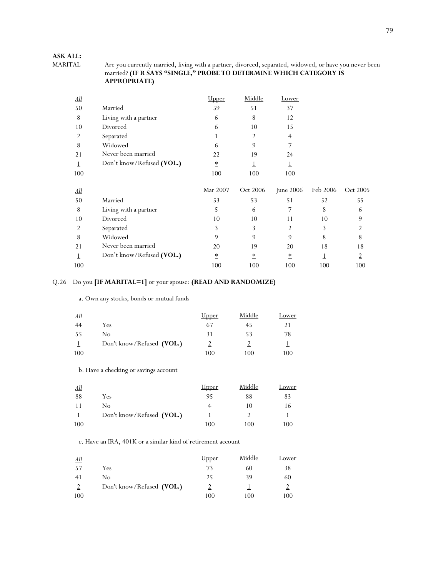# **ASK ALL:**

Are you currently married, living with a partner, divorced, separated, widowed, or have you never been married? **(IF R SAYS "SINGLE," PROBE TO DETERMINE WHICH CATEGORY IS APPROPRIATE)** 

| <u>All</u>        |                           | <u>Upper</u>            | Middle   | Lower            |          |                |
|-------------------|---------------------------|-------------------------|----------|------------------|----------|----------------|
| 50                | Married                   | 59                      | 51       | 37               |          |                |
| 8                 | Living with a partner     | 6                       | 8        | 12               |          |                |
| 10                | Divorced                  | 6                       | 10       | 15               |          |                |
| 2                 | Separated                 |                         | 2        | $\overline{4}$   |          |                |
| 8                 | Widowed                   | 6                       | 9        | 7                |          |                |
| 21                | Never been married        | 22                      | 19       | 24               |          |                |
|                   | Don't know/Refused (VOL.) | $\overline{\mathbf{r}}$ |          |                  |          |                |
| 100               |                           | 100                     | 100      | 100              |          |                |
| $\underline{All}$ |                           | Mar 2007                | Oct 2006 | <b>Iune 2006</b> | Feb 2006 | Oct 2005       |
| 50                | Married                   | 53                      | 53       | 51               | 52       | 55             |
| 8                 | Living with a partner     | 5                       | 6        | 7                | 8        | 6              |
| 10                | Divorced                  | 10                      | 10       | 11               | 10       | 9              |
| 2                 | Separated                 | 3                       | 3        | 2                | 3        | 2              |
| 8                 | Widowed                   | 9                       | 9        | 9                | 8        | 8              |
| 21                |                           |                         |          | 20               | 18       | 18             |
|                   | Never been married        | 20                      | 19       |                  |          |                |
|                   | Don't know/Refused (VOL.) | $\ast$                  | ∗        | $\ast$           |          | $\overline{2}$ |

# Q.26 Do you **[IF MARITAL=1]** or your spouse: **(READ AND RANDOMIZE)**

a. Own any stocks, bonds or mutual funds

| All |                           | <u>Upper</u> | Middle | Lower |
|-----|---------------------------|--------------|--------|-------|
| 44  | <b>Yes</b>                | 67           | 45     |       |
| 55  | No                        | 31           | 53     | 78    |
|     | Don't know/Refused (VOL.) |              |        |       |
| 100 |                           | 100          | 100    | 100   |

b. Have a checking or savings account

| <u>All</u> |                           | <u>Upper</u> | Middle | Lower |
|------------|---------------------------|--------------|--------|-------|
| 88         | Yes                       | 95           | 88     | 83    |
| 11         | No                        |              | 10     | 16    |
|            | Don't know/Refused (VOL.) |              |        |       |
| 100        |                           | 100          | 100    | 100   |

c. Have an IRA, 401K or a similar kind of retirement account

| All |                           | <u>Upper</u> | Middle | Lower |
|-----|---------------------------|--------------|--------|-------|
| -57 | Yes                       | 73           | 60     | 38    |
| 41  | No                        | 25           | 39     | 60    |
|     | Don't know/Refused (VOL.) |              |        |       |
| 100 |                           | 100          | 100    | 100   |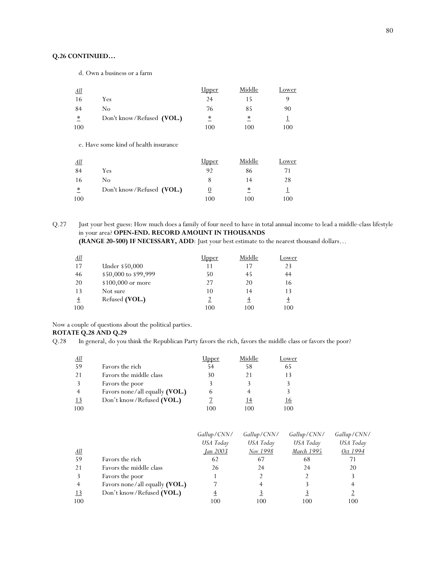# **Q.26 CONTINUED…**

d. Own a business or a farm

| All    |                           | <u>Upper</u> | Middle | Lower |
|--------|---------------------------|--------------|--------|-------|
| 16     | Yes                       | 24           |        |       |
| 84     | No                        | 76           | 85     | 90    |
| $\ast$ | Don't know/Refused (VOL.) | ≛            | ∗      |       |
| 100    |                           | 100          | 100    | 100   |

e. Have some kind of health insurance

| All    |                           | <u>Upper</u> | Middle | Lower |
|--------|---------------------------|--------------|--------|-------|
| 84     | Yes                       | 92           | 86     | 71    |
| -16    | No                        |              | 14     | 28    |
| $\ast$ | Don't know/Refused (VOL.) | <u>0</u>     | ∗      |       |
| 100    |                           | 100          | 100    | 100   |

Q.27 Just your best guess: How much does a family of four need to have in total annual income to lead a middle-class lifestyle in your area? **OPEN-END. RECORD AMOUNT IN THOUSANDS (RANGE 20-500) IF NECESSARY, ADD**: Just your best estimate to the nearest thousand dollars…

| <u>All</u> |                      | Jpper | Middle | ower  |
|------------|----------------------|-------|--------|-------|
| 17         | Under \$50,000       | 11    | 17     | 23    |
| 46         | \$50,000 to \$99,999 | 50    | 45     | 44    |
| 20         | \$100,000 or more    | 27    | 20     | 16    |
| 13         | Not sure             | 10    | 14     | 13    |
|            | Refused (VOL.)       |       |        | $\pm$ |
| 100        |                      | 100   | 100    | 100   |

Now a couple of questions about the political parties.

# **ROTATE Q.28 AND Q.29**

Q.28In general, do you think the Republican Party favors the rich, favors the middle class or favors the poor?

| <u>All</u> |                                  | <u> Jpper</u> | Middle | Lower     |
|------------|----------------------------------|---------------|--------|-----------|
| 59         | Favors the rich                  | 54            | 58     | 65        |
| 21         | Favors the middle class          | 30            | 21     | 13        |
|            | Favors the poor                  |               |        |           |
|            | Favors none/all equally $(VOL.)$ | 6             |        |           |
| 13         | Don't know/Refused (VOL.)        |               | 14     | <u>16</u> |
| 100        |                                  | 100           | 100    | 100       |

|                |                                | Gallup/CNN/     | Gallup/CNN/ | Gallup/CNN/ | Gallup/CNN/ |
|----------------|--------------------------------|-----------------|-------------|-------------|-------------|
|                |                                | USA Today       | USA Today   | USA Today   | USA Today   |
| <u>All</u>     |                                | <i>Ian 2003</i> | Nov 1998    | March 1995  | Oct 1994    |
| 59             | Favors the rich                | 62              | 67          | 68          | 71          |
| 21             | Favors the middle class        | 26              | 24          | 24          | 20          |
| 3              | Favors the poor                |                 |             |             | 3           |
| $\overline{4}$ | Favors none/all equally (VOL.) |                 |             |             |             |
| <u>13</u>      | Don't know/Refused (VOL.)      |                 |             |             |             |
| 100            |                                | 100             | 100         | 100         | 100         |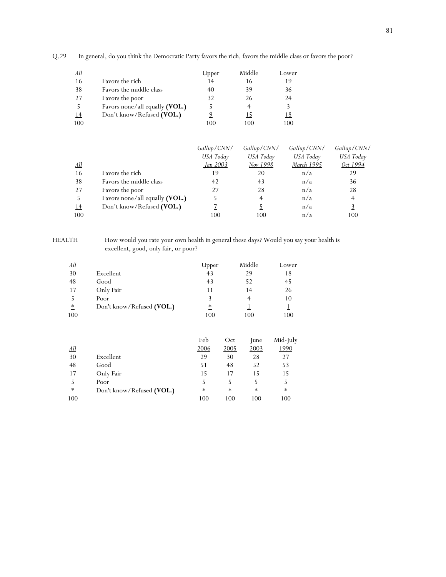Q.29In general, do you think the Democratic Party favors the rich, favors the middle class or favors the poor?

| All |                                | Jpper | Middle | Lower     |
|-----|--------------------------------|-------|--------|-----------|
| 16  | Favors the rich                | 14    | 16     | 19        |
| 38  | Favors the middle class        | 40    | 39     | 36        |
| 27  | Favors the poor                | 32    | 26     | 24        |
|     | Favors none/all equally (VOL.) |       |        |           |
| 14  | Don't know/Refused (VOL.)      |       | 15     | <u>18</u> |
| 100 |                                | 100   | 100    | 100       |

|            |                                | Gallup/CNN/ | Gallup/CNN/ | Gallup/CNN/ | Gallup/CNN/    |
|------------|--------------------------------|-------------|-------------|-------------|----------------|
|            |                                | USA Today   | USA Today   | USA Today   | USA Today      |
| <u>All</u> |                                | Jan 2003    | Nov 1998    | March 1995  | Oct 1994       |
| 16         | Favors the rich                | 19          | 20          | n/a         | 29             |
| 38         | Favors the middle class        | 42          | 43          | n/a         | 36             |
| 27         | Favors the poor                | 27          | 28          | n/a         | 28             |
| 5.         | Favors none/all equally (VOL.) |             |             | n/a         | $\overline{4}$ |
| <u>14</u>  | Don't know/Refused (VOL.)      |             |             | n/a         |                |
| 100        |                                | 100         | 100         | n/a         | 100            |

HEALTH How would you rate your own health in general these days? Would you say your health is excellent, good, only fair, or poor?

| <u>All</u> |                           | Upper | Middle | Lower |
|------------|---------------------------|-------|--------|-------|
| 30         | Excellent                 | 43    | 29     | 18    |
| 48         | Good                      | 43    | 52     | 45    |
| 17         | Only Fair                 | 11    | 14     | 26    |
|            | Poor                      | 3     |        | 10    |
| *          | Don't know/Refused (VOL.) | ∗     |        |       |
| 100        |                           | 100   | 100    | 100   |

|            |                           | Feb             | Oct  | <b>Iune</b> | Mid-July             |
|------------|---------------------------|-----------------|------|-------------|----------------------|
| <u>All</u> |                           | 2006            | 2005 | 2003        | 1990                 |
| 30         | Excellent                 | 29              | 30   | 28          | 27                   |
| 48         | Good                      | 51              | 48   | 52          | 53                   |
| 17         | Only Fair                 | 15              | 17   | 15          | 15                   |
|            | Poor                      | 5               | 5    |             | 5                    |
| $\ast$     | Don't know/Refused (VOL.) | $\overline{\ }$ | *    | *           | $\ddot{\phantom{1}}$ |
| 100        |                           | 100             | 100  | 100         | 100                  |